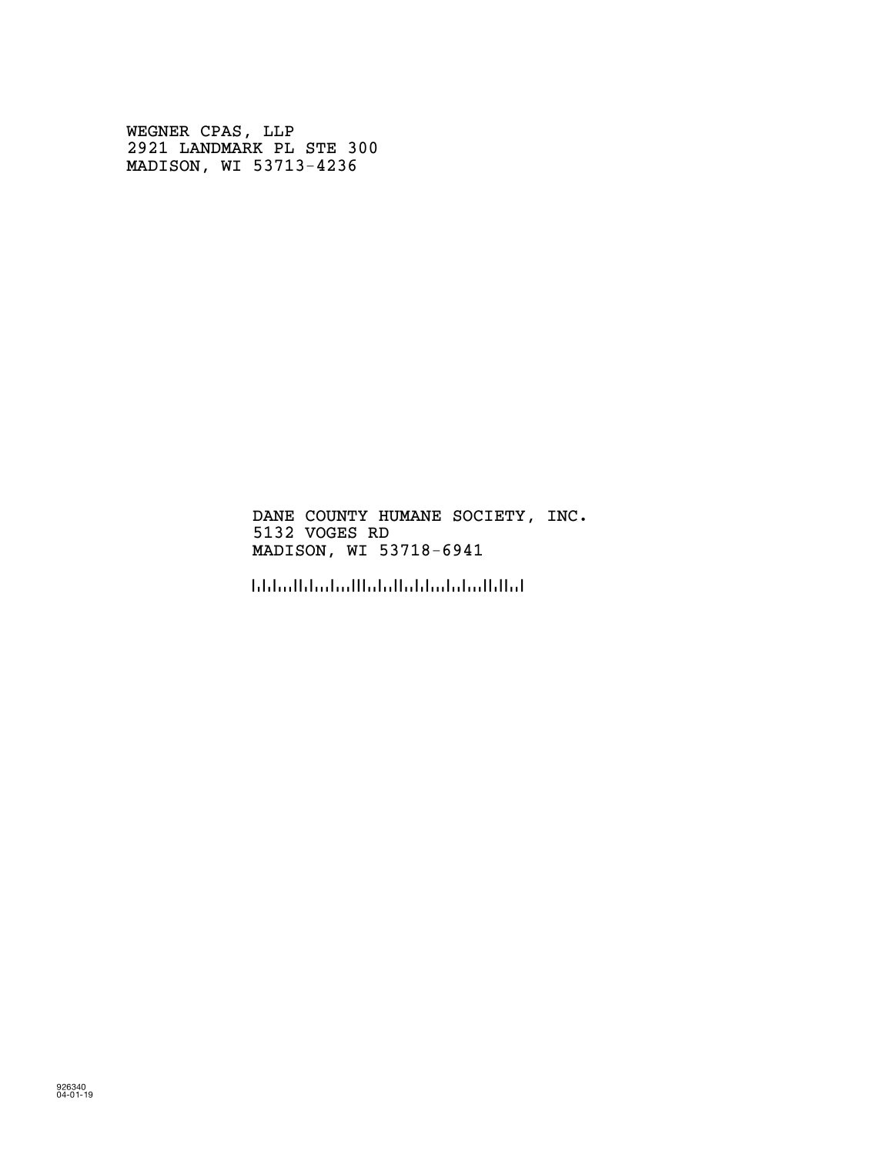WEGNER CPAS, LLP 2921 LANDMARK PL STE 300 MADISON, WI 53713-4236

> DANE COUNTY HUMANE SOCIETY, INC. 5132 VOGES RD MADISON, WI 53718-6941

!5371869416!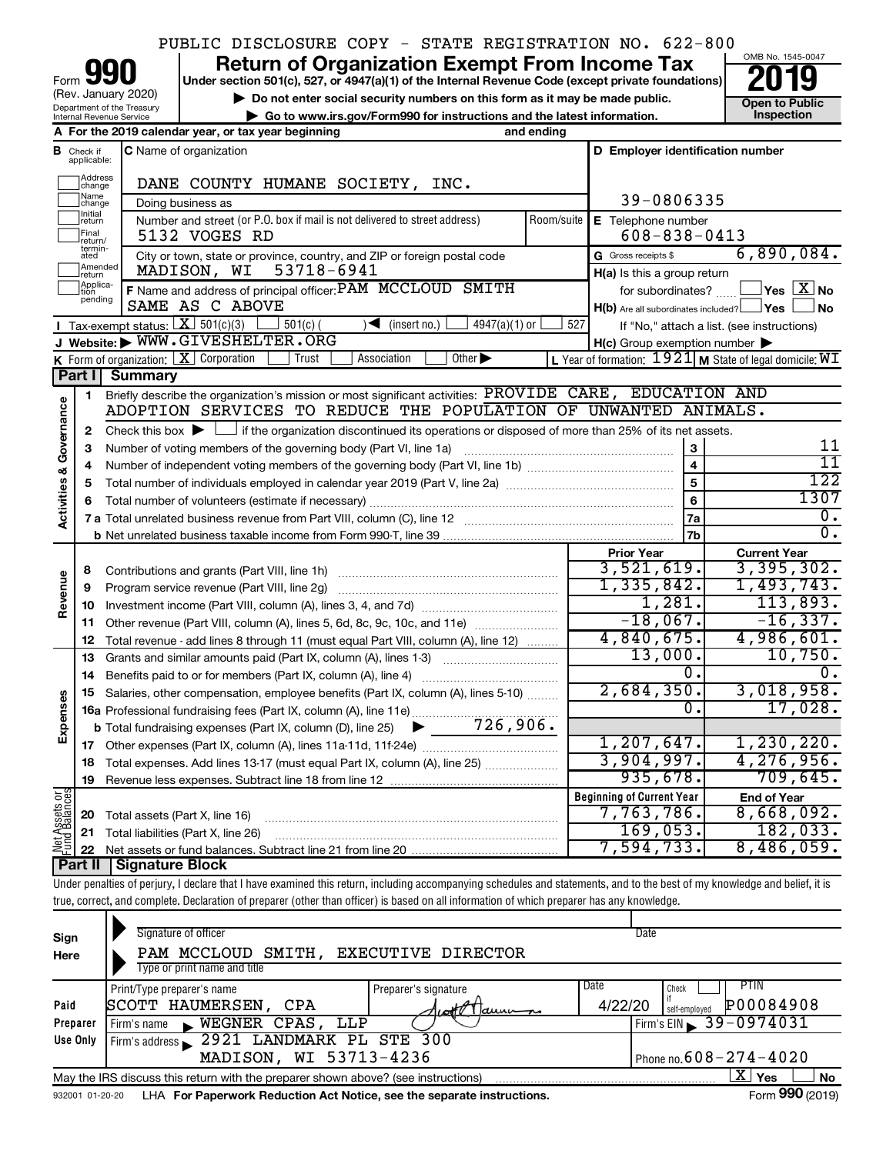# PUBLIC DISCLOSURE COPY - STATE REGISTRATION NO. 622-800

Department of the Treasury Internal Revenue Service Form (Rev. January 2020)

**your Section 501(c), 527, or 4947(a)(1) of the Internal Revenue Code (except private foundations) 2019** 



| (Rev. January 2020)<br>Department of the Treasury<br>Internal Revenue Service | ► Do not enter social security numbers on this form as it may be made public.<br>Go to www.irs.gov/Form990 for instructions and the latest information. |  |                             |      |            | <b>Open to Public</b><br><b>Inspection</b> |  |
|-------------------------------------------------------------------------------|---------------------------------------------------------------------------------------------------------------------------------------------------------|--|-----------------------------|------|------------|--------------------------------------------|--|
|                                                                               | A For the 2019 calendar year, or tax year beginning                                                                                                     |  |                             |      | and ending |                                            |  |
| <b>3</b> Check if applicable:                                                 | <b>C</b> Name of organization                                                                                                                           |  |                             |      |            | D Employer identification number           |  |
| 1Address<br>change                                                            |                                                                                                                                                         |  | DANE COUNTY HUMANE SOCIETY, | INC. |            |                                            |  |

|                                    | Address<br>change            | DANE COUNTY HUMANE SOCIETY, INC.                                                                                                            |            |                                                         |                                                         |
|------------------------------------|------------------------------|---------------------------------------------------------------------------------------------------------------------------------------------|------------|---------------------------------------------------------|---------------------------------------------------------|
|                                    | Name<br>change               | Doing business as                                                                                                                           |            | 39-0806335                                              |                                                         |
|                                    | Initial<br>return            | Number and street (or P.O. box if mail is not delivered to street address)                                                                  | Room/suite | E Telephone number                                      |                                                         |
|                                    | Final<br>return/             | 5132 VOGES RD                                                                                                                               |            | $608 - 838 - 0413$                                      |                                                         |
|                                    | termin-<br>ated              | City or town, state or province, country, and ZIP or foreign postal code                                                                    |            | G Gross receipts \$                                     | 6,890,084.                                              |
|                                    | Amended<br>return            | 53718-6941<br>MADISON, WI                                                                                                                   |            | H(a) Is this a group return                             |                                                         |
|                                    | Applica-<br>Ition<br>pending | F Name and address of principal officer: PAM MCCLOUD SMITH                                                                                  |            | for subordinates?                                       | $\overline{\ }$ Yes $\overline{\rm X}$ No               |
|                                    |                              | SAME AS C ABOVE                                                                                                                             |            | $H(b)$ Are all subordinates included? $\Box$ Yes $\Box$ | ⊥No                                                     |
|                                    |                              | Tax-exempt status: $X \mid 501(c)(3)$<br>$\blacktriangleleft$ (insert no.)<br>$501(c)$ (<br>$4947(a)(1)$ or                                 | 527        |                                                         | If "No," attach a list. (see instructions)              |
|                                    |                              | J Website: WWW.GIVESHELTER.ORG                                                                                                              |            | $H(c)$ Group exemption number $\blacktriangleright$     |                                                         |
|                                    |                              | K Form of organization: $X$ Corporation<br>Other $\blacktriangleright$<br>Association<br>Trust                                              |            |                                                         | L Year of formation: 1921 M State of legal domicile: WI |
|                                    | Part I                       | <b>Summary</b>                                                                                                                              |            |                                                         |                                                         |
|                                    | 1                            | Briefly describe the organization's mission or most significant activities: PROVIDE CARE, EDUCATION AND                                     |            |                                                         |                                                         |
|                                    |                              | ADOPTION SERVICES TO REDUCE THE POPULATION OF UNWANTED ANIMALS.                                                                             |            |                                                         |                                                         |
| <b>Activities &amp; Governance</b> | 2                            | Check this box $\blacktriangleright$ $\Box$ if the organization discontinued its operations or disposed of more than 25% of its net assets. |            |                                                         |                                                         |
|                                    | з                            | Number of voting members of the governing body (Part VI, line 1a)                                                                           |            |                                                         | 11<br>$\overline{11}$                                   |
|                                    | 4                            |                                                                                                                                             |            | $\overline{4}$<br>$\overline{5}$                        | 122                                                     |
|                                    | 5                            |                                                                                                                                             |            | $6\phantom{a}$                                          | 1307                                                    |
|                                    | 6                            |                                                                                                                                             |            |                                                         | 0.                                                      |
|                                    |                              |                                                                                                                                             |            | <b>7a</b><br>7b                                         | $\overline{0}$ .                                        |
|                                    |                              |                                                                                                                                             |            | <b>Prior Year</b>                                       | <b>Current Year</b>                                     |
|                                    | 8                            | Contributions and grants (Part VIII, line 1h)                                                                                               |            | 3,521,619.                                              | 3,395,302.                                              |
|                                    | 9                            | Program service revenue (Part VIII, line 2g)                                                                                                |            | 1,335,842.                                              | 1,493,743.                                              |
| Revenue                            | 10                           |                                                                                                                                             |            | 1,281.                                                  | 113,893.                                                |
|                                    | 11                           | Other revenue (Part VIII, column (A), lines 5, 6d, 8c, 9c, 10c, and 11e)                                                                    |            | $-18,067.$                                              | $-16, 337.$                                             |
|                                    | 12                           | Total revenue - add lines 8 through 11 (must equal Part VIII, column (A), line 12)                                                          |            | 4,840,675.                                              | 4,986,601.                                              |
|                                    | 13                           | Grants and similar amounts paid (Part IX, column (A), lines 1-3)                                                                            |            | 13,000.                                                 | 10,750.                                                 |
|                                    | 14                           |                                                                                                                                             |            | 0.                                                      |                                                         |
|                                    | 15                           | Salaries, other compensation, employee benefits (Part IX, column (A), lines 5-10)                                                           |            | 2,684,350.                                              | 3,018,958.                                              |
| Expenses                           |                              | 16a Professional fundraising fees (Part IX, column (A), line 11e)                                                                           |            | Ο.                                                      | 17,028.                                                 |
|                                    |                              | $-726,906.$<br><b>b</b> Total fundraising expenses (Part IX, column (D), line 25)                                                           |            |                                                         |                                                         |
|                                    |                              |                                                                                                                                             |            | 1, 207, 647.                                            | 1, 230, 220.                                            |
|                                    | 18                           | Total expenses. Add lines 13-17 (must equal Part IX, column (A), line 25)                                                                   |            | 3,904,997.                                              | 4, 276, 956.                                            |
|                                    | 19                           |                                                                                                                                             |            | 935,678.                                                | 709,645.                                                |
|                                    |                              |                                                                                                                                             |            | <b>Beginning of Current Year</b>                        | <b>End of Year</b>                                      |
|                                    | 20                           | Total assets (Part X, line 16)                                                                                                              |            | 7,763,786.                                              | 8,668,092.                                              |
| Net Assets or<br>Fund Balances     | 21                           | Total liabilities (Part X, line 26)                                                                                                         |            | 169,053.                                                | 182,033.                                                |
|                                    |                              |                                                                                                                                             |            | 7,594,733.                                              | 8,486,059.                                              |
|                                    |                              | Part II   Signature Block                                                                                                                   |            |                                                         |                                                         |

Under penalties of perjury, I declare that I have examined this return, including accompanying schedules and statements, and to the best of my knowledge and belief, it is true, correct, and complete. Declaration of preparer (other than officer) is based on all information of which preparer has any knowledge.

| Sign<br>Here     | Signature of officer<br>PAM MCCLOUD<br>SMITH, EXECUTIVE DIRECTOR<br>Type or print name and title                                                                                          | Date                                                                                                 |
|------------------|-------------------------------------------------------------------------------------------------------------------------------------------------------------------------------------------|------------------------------------------------------------------------------------------------------|
| Paid<br>Preparer | Print/Type preparer's name<br>Preparer's signature<br>SCOTT HAUMERSEN,<br>CPA<br>$a$ unu $-a$<br>$7$ $\omega$ of $\overline{V}$ )<br>WEGNER CPAS,<br>LLP<br>Firm's name<br>$\blacksquare$ | Date<br>PIIN<br>Check<br>P00084908<br>4/22/20<br>self-employed<br>$I$ Firm's EIN $\geq 39 - 0974031$ |
| Use Only         | 2921 LANDMARK PL STE 300<br>Firm's address<br>MADISON, WI 53713-4236                                                                                                                      | Phone no. $608 - 274 - 4020$                                                                         |
| 932001 01-20-20  | May the IRS discuss this return with the preparer shown above? (see instructions)<br>LHA For Paperwork Reduction Act Notice, see the separate instructions.                               | $\mathbf{X}$ Yes<br>No<br>Form 990 (2019)                                                            |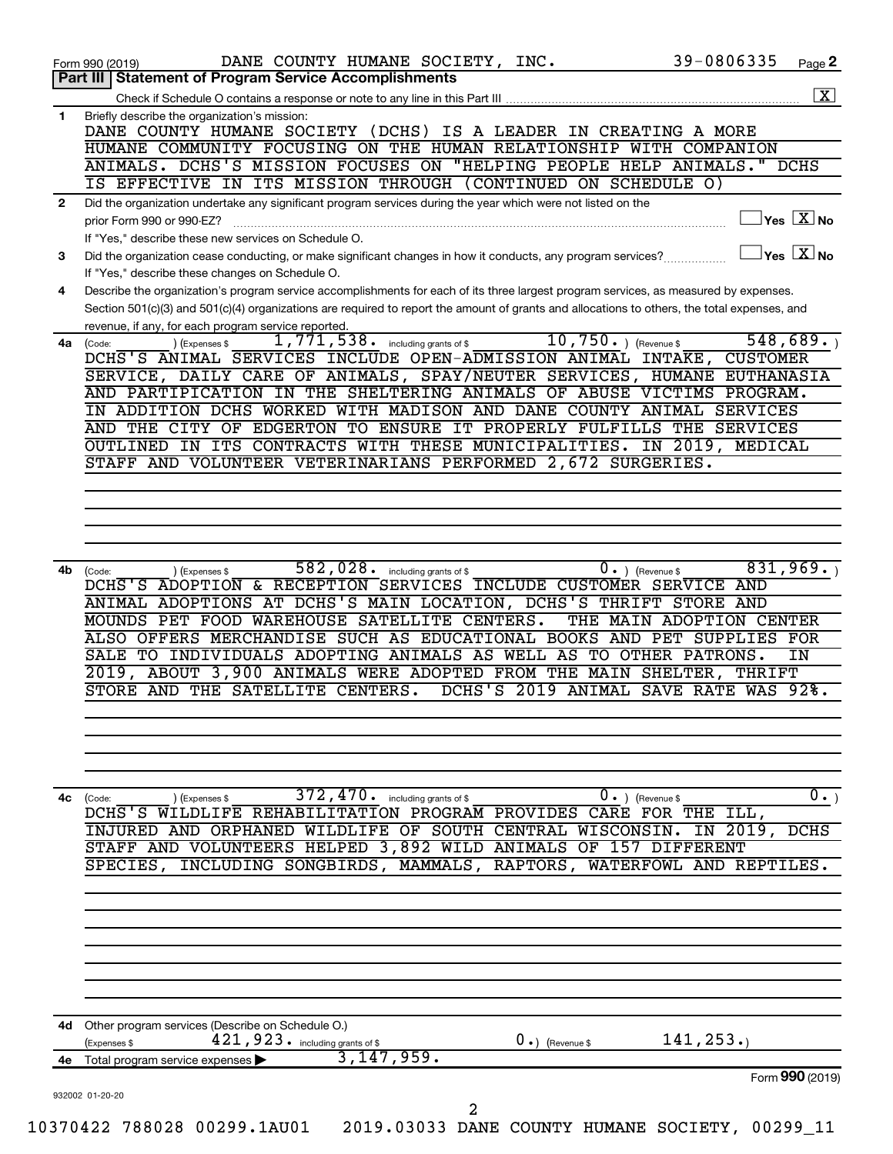|              | Part III   Statement of Program Service Accomplishments                                                                                                                                             |
|--------------|-----------------------------------------------------------------------------------------------------------------------------------------------------------------------------------------------------|
|              |                                                                                                                                                                                                     |
| $\mathbf{1}$ | Briefly describe the organization's mission:                                                                                                                                                        |
|              | DANE COUNTY HUMANE SOCIETY (DCHS) IS A LEADER IN CREATING A MORE                                                                                                                                    |
|              | HUMANE COMMUNITY FOCUSING ON THE HUMAN RELATIONSHIP WITH COMPANION<br>ANIMALS. DCHS'S MISSION FOCUSES ON "HELPING PEOPLE HELP ANIMALS."<br>DCHS                                                     |
|              | IS EFFECTIVE IN ITS MISSION THROUGH (CONTINUED ON SCHEDULE O)                                                                                                                                       |
| $\mathbf{2}$ | Did the organization undertake any significant program services during the year which were not listed on the                                                                                        |
|              | $\vert$ Yes $\boxed{\text{X}}$ No<br>prior Form 990 or 990-EZ?                                                                                                                                      |
|              | If "Yes," describe these new services on Schedule O.                                                                                                                                                |
| 3            | $Yes \quad X \overline{X}$ No<br>Did the organization cease conducting, or make significant changes in how it conducts, any program services?                                                       |
|              | If "Yes," describe these changes on Schedule O.                                                                                                                                                     |
| 4            | Describe the organization's program service accomplishments for each of its three largest program services, as measured by expenses.                                                                |
|              | Section 501(c)(3) and 501(c)(4) organizations are required to report the amount of grants and allocations to others, the total expenses, and<br>revenue, if any, for each program service reported. |
| 4a           | 10,750.<br>548,689.<br>1,771,538.<br>) (Revenue \$<br>including grants of \$<br>) (Expenses \$<br>(Code:                                                                                            |
|              | DCHS'S ANIMAL SERVICES INCLUDE OPEN-ADMISSION ANIMAL INTAKE,<br><b>CUSTOMER</b>                                                                                                                     |
|              | SERVICE, DAILY CARE OF ANIMALS, SPAY/NEUTER SERVICES, HUMANE EUTHANASIA                                                                                                                             |
|              | AND PARTIPICATION IN THE SHELTERING ANIMALS OF ABUSE VICTIMS PROGRAM.                                                                                                                               |
|              | IN ADDITION DCHS WORKED WITH MADISON AND DANE COUNTY ANIMAL SERVICES                                                                                                                                |
|              | AND THE CITY OF EDGERTON TO ENSURE IT PROPERLY FULFILLS THE SERVICES                                                                                                                                |
|              | OUTLINED IN ITS CONTRACTS WITH THESE MUNICIPALITIES. IN 2019, MEDICAL<br>STAFF AND VOLUNTEER VETERINARIANS PERFORMED 2,672 SURGERIES.                                                               |
|              |                                                                                                                                                                                                     |
|              |                                                                                                                                                                                                     |
|              |                                                                                                                                                                                                     |
|              |                                                                                                                                                                                                     |
|              |                                                                                                                                                                                                     |
| 4b           | 831,969.<br>582,028. including grants of \$<br>$0.$ (Revenue \$<br>(Code:<br>(Expenses \$                                                                                                           |
|              | DCHS'S ADOPTION & RECEPTION SERVICES INCLUDE CUSTOMER SERVICE AND                                                                                                                                   |
|              | ANIMAL ADOPTIONS AT DCHS'S MAIN LOCATION, DCHS'S THRIFT STORE AND<br>MOUNDS PET FOOD WAREHOUSE SATELLITE CENTERS.<br>THE MAIN ADOPTION CENTER                                                       |
|              | ALSO OFFERS MERCHANDISE SUCH AS EDUCATIONAL BOOKS AND PET SUPPLIES FOR                                                                                                                              |
|              | SALE TO INDIVIDUALS ADOPTING ANIMALS AS WELL AS TO OTHER PATRONS.<br>IN                                                                                                                             |
|              | 2019, ABOUT 3,900 ANIMALS WERE ADOPTED FROM THE MAIN SHELTER,<br>THRIFT                                                                                                                             |
|              | STORE AND THE SATELLITE CENTERS.<br>DCHS'S 2019 ANIMAL SAVE RATE WAS 92%.                                                                                                                           |
|              |                                                                                                                                                                                                     |
|              |                                                                                                                                                                                                     |
|              |                                                                                                                                                                                                     |
|              |                                                                                                                                                                                                     |
| 4c           | 372, 470. including grants of \$<br>$\overline{0}$ .)<br>$0 \cdot$ ) (Revenue \$<br>) (Expenses \$<br>(Code:                                                                                        |
|              | DCHS'S WILDLIFE REHABILITATION PROGRAM PROVIDES CARE FOR THE ILL,                                                                                                                                   |
|              | INJURED AND ORPHANED WILDLIFE OF SOUTH CENTRAL WISCONSIN.<br>IN 2019,<br>DCHS                                                                                                                       |
|              | STAFF AND VOLUNTEERS HELPED 3,892 WILD ANIMALS OF 157 DIFFERENT                                                                                                                                     |
|              | INCLUDING SONGBIRDS, MAMMALS, RAPTORS,<br>WATERFOWL AND REPTILES.<br>SPECIES,                                                                                                                       |
|              |                                                                                                                                                                                                     |
|              |                                                                                                                                                                                                     |
|              |                                                                                                                                                                                                     |
|              |                                                                                                                                                                                                     |
|              |                                                                                                                                                                                                     |
|              |                                                                                                                                                                                                     |
|              |                                                                                                                                                                                                     |
| 4d           | Other program services (Describe on Schedule O.)                                                                                                                                                    |
|              | 421, 923. including grants of \$<br>141, 253.<br>$0 \cdot$ ) (Revenue \$<br>(Expenses \$                                                                                                            |
|              | 3, 147, 959.<br>4e Total program service expenses                                                                                                                                                   |
|              | Form 990 (2019)                                                                                                                                                                                     |
|              |                                                                                                                                                                                                     |
|              | 932002 01-20-20<br>$\overline{a}$                                                                                                                                                                   |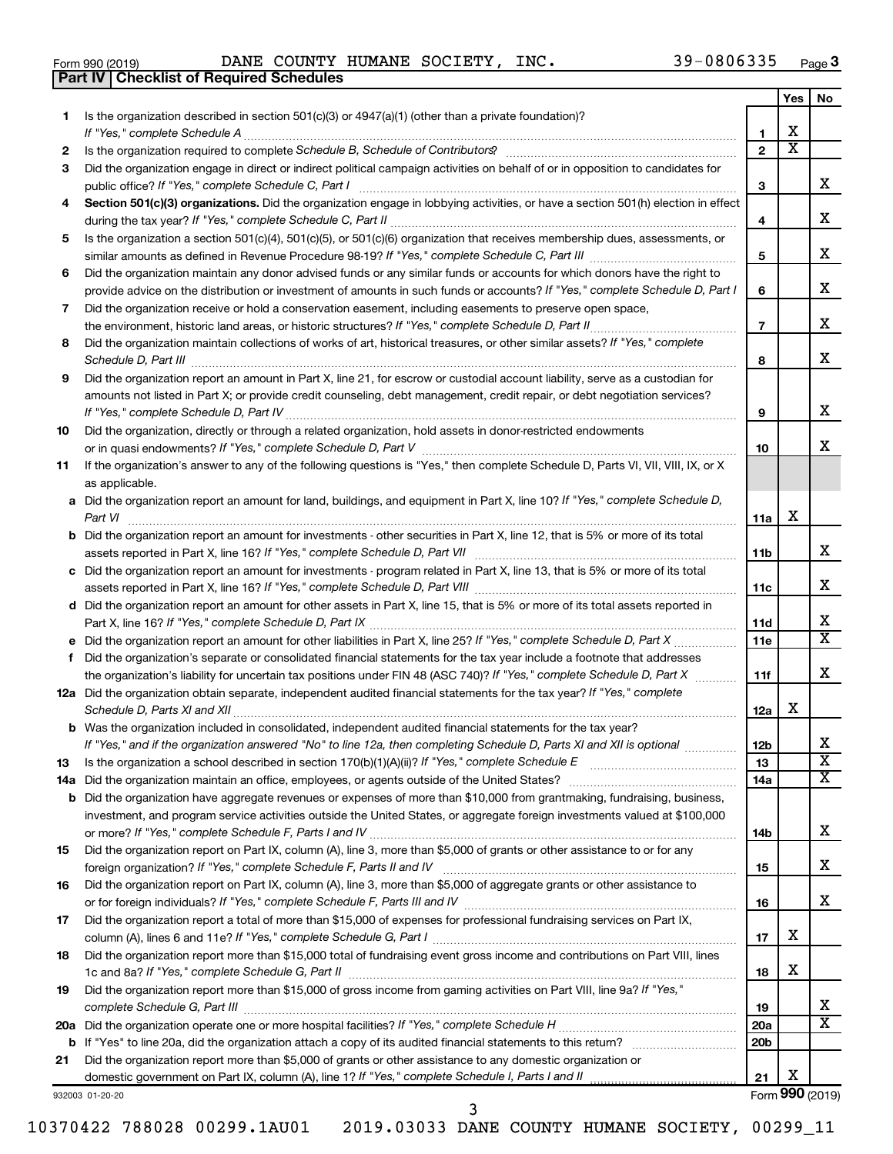|  | Form 990 (2019) |  |
|--|-----------------|--|
|  |                 |  |

**Part IV Checklist of Required Schedules**

Form 990 (2019) Page DANE COUNTY HUMANE SOCIETY, INC. 39-0806335

|     |                                                                                                                                       |                 | Yes                     | No                      |
|-----|---------------------------------------------------------------------------------------------------------------------------------------|-----------------|-------------------------|-------------------------|
| 1   | Is the organization described in section 501(c)(3) or $4947(a)(1)$ (other than a private foundation)?                                 |                 |                         |                         |
|     | If "Yes," complete Schedule A                                                                                                         | 1               | х                       |                         |
| 2   |                                                                                                                                       | $\overline{2}$  | $\overline{\textbf{X}}$ |                         |
| 3   | Did the organization engage in direct or indirect political campaign activities on behalf of or in opposition to candidates for       |                 |                         |                         |
|     |                                                                                                                                       | 3               |                         | x                       |
| 4   | Section 501(c)(3) organizations. Did the organization engage in lobbying activities, or have a section 501(h) election in effect      |                 |                         |                         |
|     |                                                                                                                                       | 4               |                         | x                       |
| 5   | Is the organization a section 501(c)(4), 501(c)(5), or 501(c)(6) organization that receives membership dues, assessments, or          |                 |                         |                         |
|     |                                                                                                                                       | 5               |                         | x                       |
| 6   | Did the organization maintain any donor advised funds or any similar funds or accounts for which donors have the right to             |                 |                         |                         |
|     |                                                                                                                                       | 6               |                         | x                       |
|     | provide advice on the distribution or investment of amounts in such funds or accounts? If "Yes," complete Schedule D, Part I          |                 |                         |                         |
| 7   | Did the organization receive or hold a conservation easement, including easements to preserve open space,                             |                 |                         | x                       |
|     | the environment, historic land areas, or historic structures? If "Yes," complete Schedule D, Part II<br>.                             | $\overline{7}$  |                         |                         |
| 8   | Did the organization maintain collections of works of art, historical treasures, or other similar assets? If "Yes," complete          |                 |                         |                         |
|     |                                                                                                                                       | 8               |                         | x                       |
| 9   | Did the organization report an amount in Part X, line 21, for escrow or custodial account liability, serve as a custodian for         |                 |                         |                         |
|     | amounts not listed in Part X; or provide credit counseling, debt management, credit repair, or debt negotiation services?             |                 |                         |                         |
|     |                                                                                                                                       | 9               |                         | x                       |
| 10  | Did the organization, directly or through a related organization, hold assets in donor-restricted endowments                          |                 |                         |                         |
|     |                                                                                                                                       | 10              |                         | x                       |
| 11  | If the organization's answer to any of the following questions is "Yes," then complete Schedule D, Parts VI, VII, VIII, IX, or X      |                 |                         |                         |
|     | as applicable.                                                                                                                        |                 |                         |                         |
|     | a Did the organization report an amount for land, buildings, and equipment in Part X, line 10? If "Yes," complete Schedule D,         |                 |                         |                         |
|     | Part VI                                                                                                                               | 11a             | X                       |                         |
|     | <b>b</b> Did the organization report an amount for investments - other securities in Part X, line 12, that is 5% or more of its total |                 |                         |                         |
|     |                                                                                                                                       | 11b             |                         | x                       |
|     | c Did the organization report an amount for investments - program related in Part X, line 13, that is 5% or more of its total         |                 |                         |                         |
|     |                                                                                                                                       | 11c             |                         | x                       |
|     | d Did the organization report an amount for other assets in Part X, line 15, that is 5% or more of its total assets reported in       |                 |                         |                         |
|     |                                                                                                                                       | 11d             |                         | х                       |
|     |                                                                                                                                       | 11e             |                         | X                       |
|     | f Did the organization's separate or consolidated financial statements for the tax year include a footnote that addresses             |                 |                         |                         |
|     | the organization's liability for uncertain tax positions under FIN 48 (ASC 740)? If "Yes," complete Schedule D, Part X                | 11f             |                         | x                       |
|     | 12a Did the organization obtain separate, independent audited financial statements for the tax year? If "Yes," complete               |                 |                         |                         |
|     | Schedule D, Parts XI and XII                                                                                                          | 12a             | х                       |                         |
|     | <b>b</b> Was the organization included in consolidated, independent audited financial statements for the tax year?                    |                 |                         |                         |
|     | If "Yes," and if the organization answered "No" to line 12a, then completing Schedule D, Parts XI and XII is optional                 | 12 <sub>b</sub> |                         | Y<br>▵                  |
| 13  |                                                                                                                                       | 13              |                         | $\overline{\texttt{x}}$ |
| 14a | Did the organization maintain an office, employees, or agents outside of the United States?                                           | 14a             |                         | х                       |
| b   | Did the organization have aggregate revenues or expenses of more than \$10,000 from grantmaking, fundraising, business,               |                 |                         |                         |
|     | investment, and program service activities outside the United States, or aggregate foreign investments valued at \$100,000            |                 |                         |                         |
|     |                                                                                                                                       | 14b             |                         | x                       |
| 15  | Did the organization report on Part IX, column (A), line 3, more than \$5,000 of grants or other assistance to or for any             |                 |                         |                         |
|     |                                                                                                                                       | 15              |                         | x                       |
| 16  | Did the organization report on Part IX, column (A), line 3, more than \$5,000 of aggregate grants or other assistance to              |                 |                         |                         |
|     |                                                                                                                                       | 16              |                         | x                       |
| 17  | Did the organization report a total of more than \$15,000 of expenses for professional fundraising services on Part IX,               |                 |                         |                         |
|     |                                                                                                                                       | 17              | х                       |                         |
| 18  | Did the organization report more than \$15,000 total of fundraising event gross income and contributions on Part VIII, lines          |                 |                         |                         |
|     |                                                                                                                                       | 18              | х                       |                         |
| 19  | Did the organization report more than \$15,000 of gross income from gaming activities on Part VIII, line 9a? If "Yes,"                |                 |                         |                         |
|     | complete Schedule G, Part III                                                                                                         | 19              |                         | х                       |
|     |                                                                                                                                       | 20a             |                         | X                       |
| b   |                                                                                                                                       | 20 <sub>b</sub> |                         |                         |
| 21  | Did the organization report more than \$5,000 of grants or other assistance to any domestic organization or                           |                 |                         |                         |
|     |                                                                                                                                       | 21              | Х                       |                         |
|     | 932003 01-20-20                                                                                                                       |                 |                         | Form 990 (2019)         |

3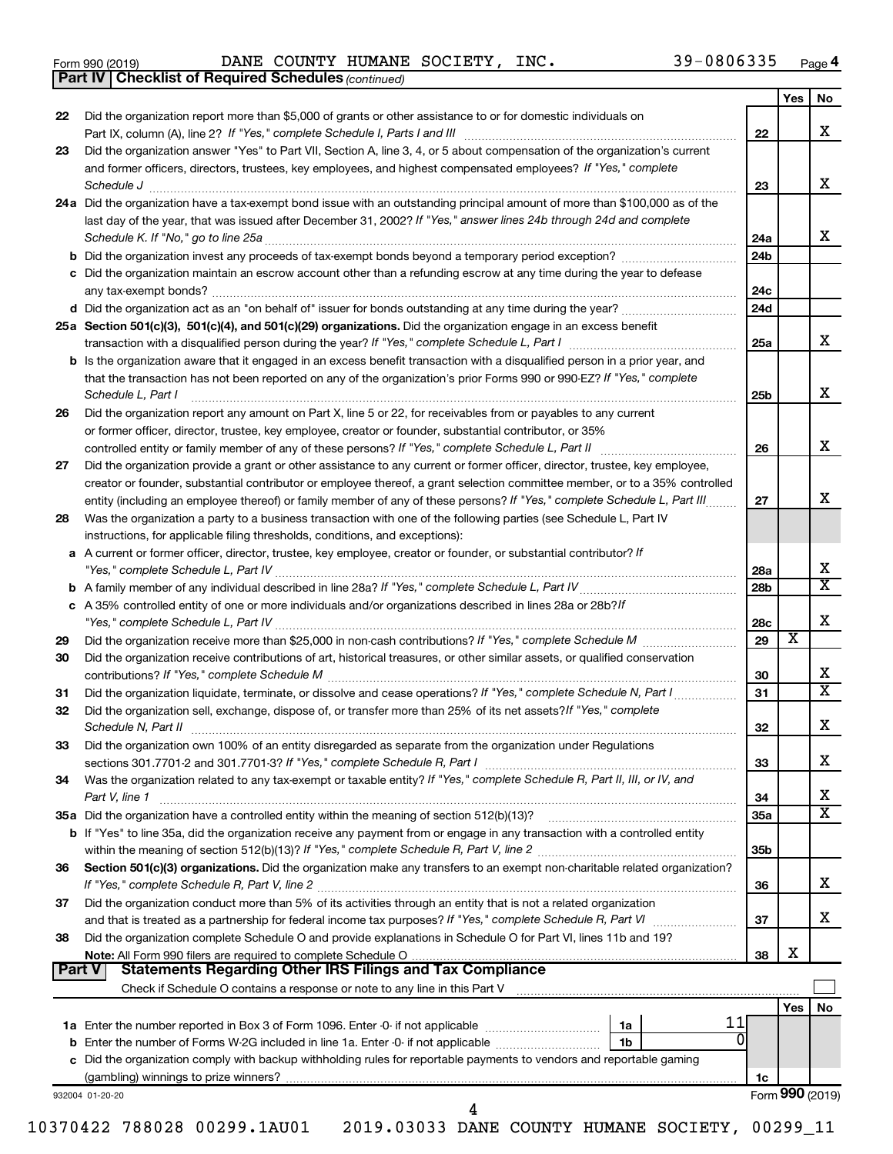|  | Form 990 (2019) |  |
|--|-----------------|--|
|  |                 |  |

*(continued)* **Part IV Checklist of Required Schedules**

Form 990 (2019) Page DANE COUNTY HUMANE SOCIETY, INC. 39-0806335

|               |                                                                                                                                                                                                                                                         |                 | Yes | <b>No</b>               |
|---------------|---------------------------------------------------------------------------------------------------------------------------------------------------------------------------------------------------------------------------------------------------------|-----------------|-----|-------------------------|
| 22            | Did the organization report more than \$5,000 of grants or other assistance to or for domestic individuals on                                                                                                                                           |                 |     |                         |
|               |                                                                                                                                                                                                                                                         | 22              |     | x                       |
| 23            | Did the organization answer "Yes" to Part VII, Section A, line 3, 4, or 5 about compensation of the organization's current                                                                                                                              |                 |     |                         |
|               | and former officers, directors, trustees, key employees, and highest compensated employees? If "Yes," complete                                                                                                                                          |                 |     |                         |
|               | Schedule J                                                                                                                                                                                                                                              | 23              |     | x                       |
|               | 24a Did the organization have a tax-exempt bond issue with an outstanding principal amount of more than \$100,000 as of the                                                                                                                             |                 |     |                         |
|               | last day of the year, that was issued after December 31, 2002? If "Yes," answer lines 24b through 24d and complete                                                                                                                                      |                 |     |                         |
|               | Schedule K. If "No," go to line 25a                                                                                                                                                                                                                     | 24a             |     | X.                      |
|               |                                                                                                                                                                                                                                                         | 24b             |     |                         |
|               | c Did the organization maintain an escrow account other than a refunding escrow at any time during the year to defease                                                                                                                                  |                 |     |                         |
|               |                                                                                                                                                                                                                                                         | 24c             |     |                         |
|               | d Did the organization act as an "on behalf of" issuer for bonds outstanding at any time during the year?                                                                                                                                               | 24d             |     |                         |
|               | 25a Section 501(c)(3), 501(c)(4), and 501(c)(29) organizations. Did the organization engage in an excess benefit                                                                                                                                        |                 |     |                         |
|               |                                                                                                                                                                                                                                                         | 25a             |     | x                       |
|               | b Is the organization aware that it engaged in an excess benefit transaction with a disqualified person in a prior year, and                                                                                                                            |                 |     |                         |
|               | that the transaction has not been reported on any of the organization's prior Forms 990 or 990-EZ? If "Yes," complete                                                                                                                                   |                 |     |                         |
|               | Schedule L, Part I                                                                                                                                                                                                                                      | 25 <sub>b</sub> |     | x                       |
| 26            | Did the organization report any amount on Part X, line 5 or 22, for receivables from or payables to any current                                                                                                                                         |                 |     |                         |
|               | or former officer, director, trustee, key employee, creator or founder, substantial contributor, or 35%                                                                                                                                                 |                 |     |                         |
|               | controlled entity or family member of any of these persons? If "Yes," complete Schedule L, Part II                                                                                                                                                      | 26              |     | x                       |
| 27            | Did the organization provide a grant or other assistance to any current or former officer, director, trustee, key employee,                                                                                                                             |                 |     |                         |
|               | creator or founder, substantial contributor or employee thereof, a grant selection committee member, or to a 35% controlled                                                                                                                             |                 |     |                         |
|               | entity (including an employee thereof) or family member of any of these persons? If "Yes," complete Schedule L, Part III.                                                                                                                               | 27              |     | x                       |
| 28            | Was the organization a party to a business transaction with one of the following parties (see Schedule L, Part IV                                                                                                                                       |                 |     |                         |
|               | instructions, for applicable filing thresholds, conditions, and exceptions):                                                                                                                                                                            |                 |     |                         |
|               | a A current or former officer, director, trustee, key employee, creator or founder, or substantial contributor? If                                                                                                                                      |                 |     |                         |
|               | "Yes," complete Schedule L, Part IV                                                                                                                                                                                                                     | 28a             |     | x                       |
|               |                                                                                                                                                                                                                                                         | 28b             |     | $\overline{\texttt{x}}$ |
|               | c A 35% controlled entity of one or more individuals and/or organizations described in lines 28a or 28b?If                                                                                                                                              |                 |     |                         |
|               |                                                                                                                                                                                                                                                         | 28c             |     | х                       |
| 29            | Did the organization receive more than \$25,000 in non-cash contributions? If "Yes," complete Schedule M                                                                                                                                                | 29              | х   |                         |
| 30            | Did the organization receive contributions of art, historical treasures, or other similar assets, or qualified conservation                                                                                                                             |                 |     |                         |
|               | contributions? If "Yes," complete Schedule M                                                                                                                                                                                                            | 30              |     | x.                      |
| 31            | Did the organization liquidate, terminate, or dissolve and cease operations? If "Yes," complete Schedule N, Part I                                                                                                                                      | 31              |     | X                       |
| 32            | Did the organization sell, exchange, dispose of, or transfer more than 25% of its net assets? If "Yes," complete                                                                                                                                        |                 |     |                         |
|               | Schedule N, Part II                                                                                                                                                                                                                                     | 32              |     | x                       |
| 33            | Did the organization own 100% of an entity disregarded as separate from the organization under Regulations                                                                                                                                              |                 |     |                         |
|               |                                                                                                                                                                                                                                                         | 33              |     | х                       |
| 34            | Was the organization related to any tax-exempt or taxable entity? If "Yes," complete Schedule R, Part II, III, or IV, and                                                                                                                               |                 |     |                         |
|               | Part V, line 1                                                                                                                                                                                                                                          | 34              |     | х                       |
|               |                                                                                                                                                                                                                                                         | <b>35a</b>      |     | X                       |
|               | <b>b</b> If "Yes" to line 35a, did the organization receive any payment from or engage in any transaction with a controlled entity                                                                                                                      |                 |     |                         |
|               |                                                                                                                                                                                                                                                         | 35 <sub>b</sub> |     |                         |
| 36            | Section 501(c)(3) organizations. Did the organization make any transfers to an exempt non-charitable related organization?                                                                                                                              |                 |     |                         |
|               |                                                                                                                                                                                                                                                         | 36              |     | х                       |
| 37            | Did the organization conduct more than 5% of its activities through an entity that is not a related organization                                                                                                                                        |                 |     |                         |
|               | and that is treated as a partnership for federal income tax purposes? If "Yes," complete Schedule R, Part VI                                                                                                                                            | 37              |     | x                       |
| 38            | Did the organization complete Schedule O and provide explanations in Schedule O for Part VI, lines 11b and 19?                                                                                                                                          |                 |     |                         |
|               |                                                                                                                                                                                                                                                         | 38              | х   |                         |
| <b>Part V</b> | <b>Statements Regarding Other IRS Filings and Tax Compliance</b>                                                                                                                                                                                        |                 |     |                         |
|               | Check if Schedule O contains a response or note to any line in this Part V [11] [12] contains according to contains a response or note to any line in this Part V [11] [12] [12] contains according to contain a response or n                          |                 |     |                         |
|               | 11                                                                                                                                                                                                                                                      |                 | Yes | No                      |
|               | 1a                                                                                                                                                                                                                                                      |                 |     |                         |
|               | <b>b</b> Enter the number of Forms W-2G included in line 1a. Enter -0- if not applicable <i>manumerane in</i> the setting<br>1b<br>c Did the organization comply with backup withholding rules for reportable payments to vendors and reportable gaming |                 |     |                         |
|               |                                                                                                                                                                                                                                                         |                 |     |                         |
|               |                                                                                                                                                                                                                                                         | 1c              |     | Form 990 (2019)         |
|               | 932004 01-20-20<br>4                                                                                                                                                                                                                                    |                 |     |                         |
|               |                                                                                                                                                                                                                                                         |                 |     |                         |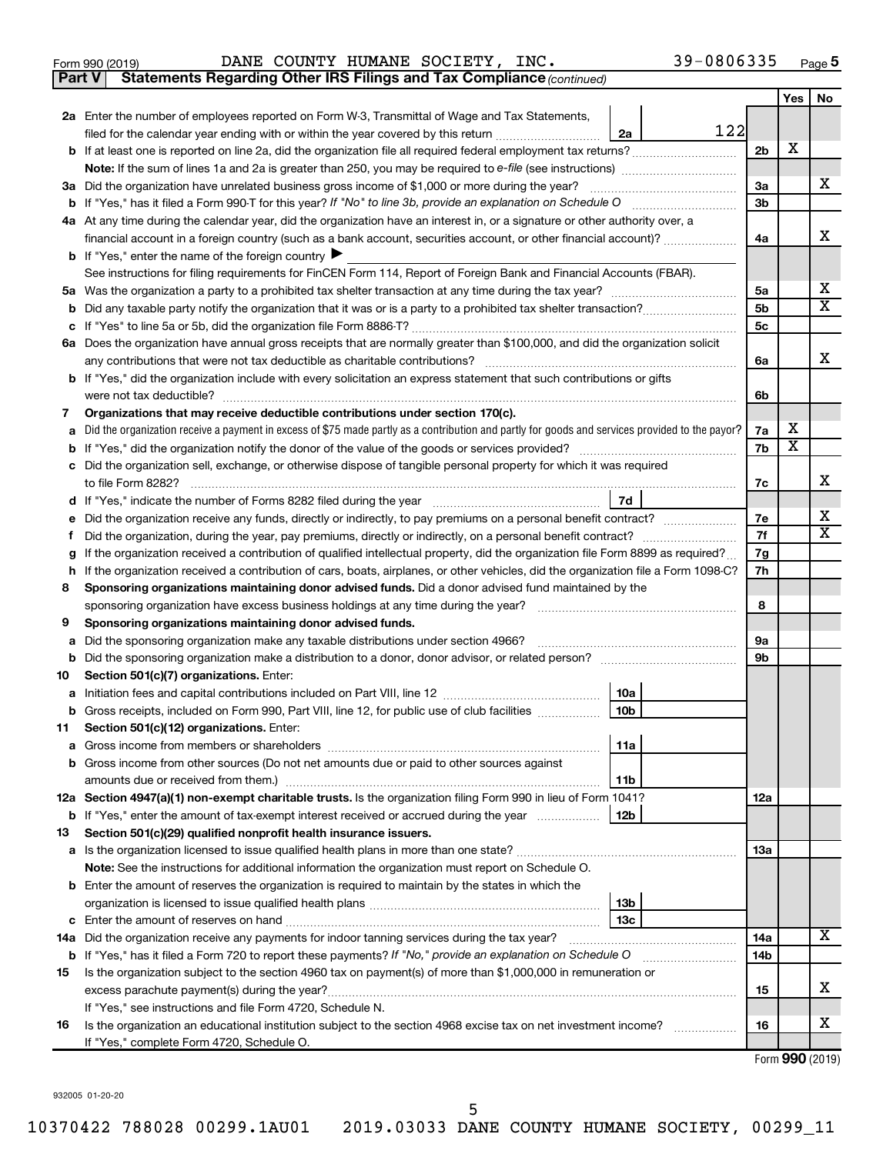Form 990 (2019) Page DANE COUNTY HUMANE SOCIETY, INC. 39-0806335

**Part V** Statements Regarding Other IRS Filings and Tax Compliance (continued)

|    |                                                                                                                                                 |                | Yes                     | No                      |  |
|----|-------------------------------------------------------------------------------------------------------------------------------------------------|----------------|-------------------------|-------------------------|--|
|    | 2a Enter the number of employees reported on Form W-3, Transmittal of Wage and Tax Statements,                                                  |                |                         |                         |  |
|    | 122<br>filed for the calendar year ending with or within the year covered by this return<br>2a                                                  |                |                         |                         |  |
|    |                                                                                                                                                 | 2 <sub>b</sub> | х                       |                         |  |
|    | <b>Note:</b> If the sum of lines 1a and 2a is greater than 250, you may be required to e-file (see instructions) <i></i>                        |                |                         |                         |  |
|    | 3a Did the organization have unrelated business gross income of \$1,000 or more during the year?                                                | За             |                         | x                       |  |
|    |                                                                                                                                                 | 3 <sub>b</sub> |                         |                         |  |
|    | 4a At any time during the calendar year, did the organization have an interest in, or a signature or other authority over, a                    |                |                         |                         |  |
|    | financial account in a foreign country (such as a bank account, securities account, or other financial account)?                                | 4a             |                         | x                       |  |
|    | <b>b</b> If "Yes," enter the name of the foreign country                                                                                        |                |                         |                         |  |
|    | See instructions for filing requirements for FinCEN Form 114, Report of Foreign Bank and Financial Accounts (FBAR).                             |                |                         |                         |  |
|    |                                                                                                                                                 | 5a             |                         | x                       |  |
|    |                                                                                                                                                 | 5 <sub>b</sub> |                         | $\overline{\textbf{x}}$ |  |
|    |                                                                                                                                                 | 5c             |                         |                         |  |
|    | 6a Does the organization have annual gross receipts that are normally greater than \$100,000, and did the organization solicit                  |                |                         |                         |  |
|    | any contributions that were not tax deductible as charitable contributions?                                                                     | 6a             |                         | x                       |  |
|    | b If "Yes," did the organization include with every solicitation an express statement that such contributions or gifts                          |                |                         |                         |  |
|    | were not tax deductible?                                                                                                                        | 6b             |                         |                         |  |
| 7  | Organizations that may receive deductible contributions under section 170(c).                                                                   | 7a             | х                       |                         |  |
|    | Did the organization receive a payment in excess of \$75 made partly as a contribution and partly for goods and services provided to the payor? | 7b             | $\overline{\textbf{x}}$ |                         |  |
|    | c Did the organization sell, exchange, or otherwise dispose of tangible personal property for which it was required                             |                |                         |                         |  |
|    | to file Form 8282?                                                                                                                              | 7c             |                         | x                       |  |
|    | 7d                                                                                                                                              |                |                         |                         |  |
|    | Did the organization receive any funds, directly or indirectly, to pay premiums on a personal benefit contract?                                 | 7е             |                         | х                       |  |
| Ť. |                                                                                                                                                 | 7f             |                         | X                       |  |
|    | If the organization received a contribution of qualified intellectual property, did the organization file Form 8899 as required?                | 7g             |                         |                         |  |
| h  | If the organization received a contribution of cars, boats, airplanes, or other vehicles, did the organization file a Form 1098-C?              |                |                         |                         |  |
| 8  | Sponsoring organizations maintaining donor advised funds. Did a donor advised fund maintained by the                                            |                |                         |                         |  |
|    | sponsoring organization have excess business holdings at any time during the year?                                                              |                |                         |                         |  |
| 9  | Sponsoring organizations maintaining donor advised funds.                                                                                       |                |                         |                         |  |
| а  | Did the sponsoring organization make any taxable distributions under section 4966?                                                              | 9а             |                         |                         |  |
| b  | Did the sponsoring organization make a distribution to a donor, donor advisor, or related person?                                               | 9b             |                         |                         |  |
| 10 | Section 501(c)(7) organizations. Enter:                                                                                                         |                |                         |                         |  |
| а  | 10a                                                                                                                                             |                |                         |                         |  |
|    | 10 <sub>b</sub><br><b>b</b> Gross receipts, included on Form 990, Part VIII, line 12, for public use of club facilities <i>manument</i> .       |                |                         |                         |  |
| 11 | Section 501(c)(12) organizations. Enter:                                                                                                        |                |                         |                         |  |
|    | 11a                                                                                                                                             |                |                         |                         |  |
|    | <b>b</b> Gross income from other sources (Do not net amounts due or paid to other sources against                                               |                |                         |                         |  |
|    | 11b<br>12a Section 4947(a)(1) non-exempt charitable trusts. Is the organization filing Form 990 in lieu of Form 1041?                           |                |                         |                         |  |
|    | <b>b</b> If "Yes," enter the amount of tax-exempt interest received or accrued during the year<br>12b                                           | 12a            |                         |                         |  |
| 13 | Section 501(c)(29) qualified nonprofit health insurance issuers.                                                                                |                |                         |                         |  |
|    |                                                                                                                                                 | 13a            |                         |                         |  |
|    | Note: See the instructions for additional information the organization must report on Schedule O.                                               |                |                         |                         |  |
|    | <b>b</b> Enter the amount of reserves the organization is required to maintain by the states in which the                                       |                |                         |                         |  |
|    | 13b                                                                                                                                             |                |                         |                         |  |
|    | 13c                                                                                                                                             |                |                         |                         |  |
|    | 14a Did the organization receive any payments for indoor tanning services during the tax year?                                                  | 14a            |                         | x                       |  |
|    | <b>b</b> If "Yes," has it filed a Form 720 to report these payments? If "No," provide an explanation on Schedule O                              | 14b            |                         |                         |  |
| 15 | Is the organization subject to the section 4960 tax on payment(s) of more than \$1,000,000 in remuneration or                                   |                |                         |                         |  |
|    |                                                                                                                                                 | 15             |                         | x                       |  |
|    | If "Yes," see instructions and file Form 4720, Schedule N.                                                                                      |                |                         |                         |  |
| 16 | Is the organization an educational institution subject to the section 4968 excise tax on net investment income?                                 | 16             |                         | x                       |  |
|    | If "Yes," complete Form 4720, Schedule O.                                                                                                       |                |                         |                         |  |

Form (2019) **990**

932005 01-20-20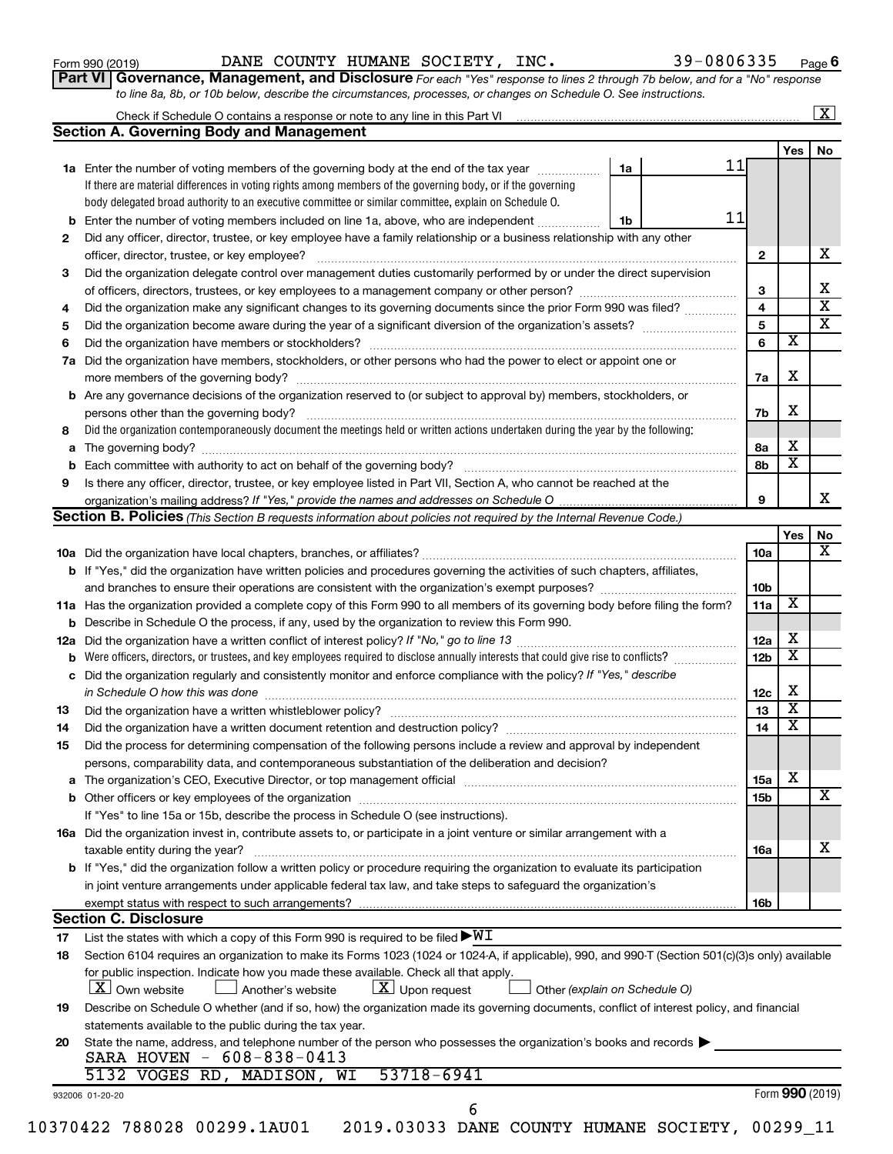| Form 990 (2019) |  |
|-----------------|--|
|-----------------|--|

Form 990 (2019) Page DANE COUNTY HUMANE SOCIETY, INC. 39-0806335

**Part VI** Governance, Management, and Disclosure For each "Yes" response to lines 2 through 7b below, and for a "No" response *to line 8a, 8b, or 10b below, describe the circumstances, processes, or changes on Schedule O. See instructions.*

|          |                                                                                                                                                                                                                                |    |    |                 |                         | $\mathbf{X}$            |
|----------|--------------------------------------------------------------------------------------------------------------------------------------------------------------------------------------------------------------------------------|----|----|-----------------|-------------------------|-------------------------|
|          | <b>Section A. Governing Body and Management</b>                                                                                                                                                                                |    |    |                 |                         |                         |
|          |                                                                                                                                                                                                                                |    |    |                 | Yes                     | No                      |
|          | 1a Enter the number of voting members of the governing body at the end of the tax year                                                                                                                                         | 1a | 11 |                 |                         |                         |
|          | If there are material differences in voting rights among members of the governing body, or if the governing                                                                                                                    |    |    |                 |                         |                         |
|          | body delegated broad authority to an executive committee or similar committee, explain on Schedule O.                                                                                                                          |    |    |                 |                         |                         |
| b        | Enter the number of voting members included on line 1a, above, who are independent                                                                                                                                             | 1b | 11 |                 |                         |                         |
| 2        | Did any officer, director, trustee, or key employee have a family relationship or a business relationship with any other                                                                                                       |    |    |                 |                         |                         |
|          | officer, director, trustee, or key employee?                                                                                                                                                                                   |    |    | $\mathbf{2}$    |                         | х                       |
| 3        | Did the organization delegate control over management duties customarily performed by or under the direct supervision                                                                                                          |    |    |                 |                         |                         |
|          |                                                                                                                                                                                                                                |    |    | 3               |                         | х                       |
| 4        | Did the organization make any significant changes to its governing documents since the prior Form 990 was filed?                                                                                                               |    |    | 4               |                         | $\overline{\mathbf{x}}$ |
| 5        |                                                                                                                                                                                                                                |    |    | 5               |                         | $\overline{\mathbf{x}}$ |
| 6        |                                                                                                                                                                                                                                |    |    | 6               | х                       |                         |
| 7a       | Did the organization have members, stockholders, or other persons who had the power to elect or appoint one or                                                                                                                 |    |    |                 |                         |                         |
|          |                                                                                                                                                                                                                                |    |    | 7a              | X                       |                         |
| b        | Are any governance decisions of the organization reserved to (or subject to approval by) members, stockholders, or                                                                                                             |    |    |                 |                         |                         |
|          |                                                                                                                                                                                                                                |    |    | 7b              | X                       |                         |
| 8        | Did the organization contemporaneously document the meetings held or written actions undertaken during the year by the following:                                                                                              |    |    |                 |                         |                         |
|          |                                                                                                                                                                                                                                |    |    | 8a              | х                       |                         |
| а        |                                                                                                                                                                                                                                |    |    |                 | $\overline{\textbf{x}}$ |                         |
|          |                                                                                                                                                                                                                                |    |    | 8b              |                         |                         |
| 9        | Is there any officer, director, trustee, or key employee listed in Part VII, Section A, who cannot be reached at the                                                                                                           |    |    |                 |                         |                         |
|          |                                                                                                                                                                                                                                |    |    | 9               |                         |                         |
|          | <b>Section B. Policies</b> (This Section B requests information about policies not required by the Internal Revenue Code.)                                                                                                     |    |    |                 |                         |                         |
|          |                                                                                                                                                                                                                                |    |    |                 | Yes                     | No                      |
|          |                                                                                                                                                                                                                                |    |    | 10a             |                         |                         |
|          | <b>b</b> If "Yes," did the organization have written policies and procedures governing the activities of such chapters, affiliates,                                                                                            |    |    |                 |                         |                         |
|          |                                                                                                                                                                                                                                |    |    | 10b             |                         |                         |
|          | 11a Has the organization provided a complete copy of this Form 990 to all members of its governing body before filing the form?                                                                                                |    |    | 11a             | X                       |                         |
|          | Describe in Schedule O the process, if any, used by the organization to review this Form 990.                                                                                                                                  |    |    |                 |                         |                         |
| 12a      |                                                                                                                                                                                                                                |    |    | 12a             | х                       |                         |
|          | Were officers, directors, or trustees, and key employees required to disclose annually interests that could give rise to conflicts?                                                                                            |    |    | 12 <sub>b</sub> | X                       |                         |
| с        | Did the organization regularly and consistently monitor and enforce compliance with the policy? If "Yes," describe                                                                                                             |    |    |                 |                         |                         |
|          | in Schedule O how this was done manufactured and continuum and contact the was done manufactured and contact t                                                                                                                 |    |    | 12c             | X                       |                         |
| 13       |                                                                                                                                                                                                                                |    |    | 13              | $\overline{\mathbf{x}}$ |                         |
| 14       |                                                                                                                                                                                                                                |    |    | 14              | X                       |                         |
| 15       | Did the process for determining compensation of the following persons include a review and approval by independent                                                                                                             |    |    |                 |                         |                         |
|          | persons, comparability data, and contemporaneous substantiation of the deliberation and decision?                                                                                                                              |    |    |                 |                         |                         |
| а        | The organization's CEO, Executive Director, or top management official manufactured content of the organization's CEO, Executive Director, or top management official manufactured content of the organization's CEO, Executiv |    |    | 15a             | х                       |                         |
|          |                                                                                                                                                                                                                                |    |    | 15b             |                         | х                       |
|          | If "Yes" to line 15a or 15b, describe the process in Schedule O (see instructions).                                                                                                                                            |    |    |                 |                         |                         |
|          | 16a Did the organization invest in, contribute assets to, or participate in a joint venture or similar arrangement with a                                                                                                      |    |    |                 |                         |                         |
|          | taxable entity during the year?                                                                                                                                                                                                |    |    | 16a             |                         |                         |
|          | b If "Yes," did the organization follow a written policy or procedure requiring the organization to evaluate its participation                                                                                                 |    |    |                 |                         | x                       |
|          |                                                                                                                                                                                                                                |    |    |                 |                         |                         |
|          | in joint venture arrangements under applicable federal tax law, and take steps to safeguard the organization's                                                                                                                 |    |    |                 |                         |                         |
|          | exempt status with respect to such arrangements?                                                                                                                                                                               |    |    | 16b             |                         |                         |
|          | <b>Section C. Disclosure</b>                                                                                                                                                                                                   |    |    |                 |                         |                         |
| 17       | List the states with which a copy of this Form 990 is required to be filed $\blacktriangleright\texttt{WI}$                                                                                                                    |    |    |                 |                         |                         |
|          | Section 6104 requires an organization to make its Forms 1023 (1024 or 1024-A, if applicable), 990, and 990-T (Section 501(c)(3)s only) available                                                                               |    |    |                 |                         |                         |
|          |                                                                                                                                                                                                                                |    |    |                 |                         |                         |
|          | for public inspection. Indicate how you made these available. Check all that apply.                                                                                                                                            |    |    |                 |                         |                         |
|          | $\lfloor x \rfloor$ Upon request<br>  X   Own website<br>Another's website<br>Other (explain on Schedule O)                                                                                                                    |    |    |                 |                         |                         |
|          | Describe on Schedule O whether (and if so, how) the organization made its governing documents, conflict of interest policy, and financial                                                                                      |    |    |                 |                         |                         |
| 18<br>19 | statements available to the public during the tax year.                                                                                                                                                                        |    |    |                 |                         |                         |
|          | State the name, address, and telephone number of the person who possesses the organization's books and records                                                                                                                 |    |    |                 |                         |                         |
|          | SARA HOVEN - 608-838-0413                                                                                                                                                                                                      |    |    |                 |                         |                         |
|          | 53718-6941<br>5132 VOGES RD, MADISON, WI                                                                                                                                                                                       |    |    |                 |                         |                         |
|          |                                                                                                                                                                                                                                |    |    |                 |                         |                         |
| 20       | 932006 01-20-20<br>6                                                                                                                                                                                                           |    |    |                 | Form 990 (2019)         |                         |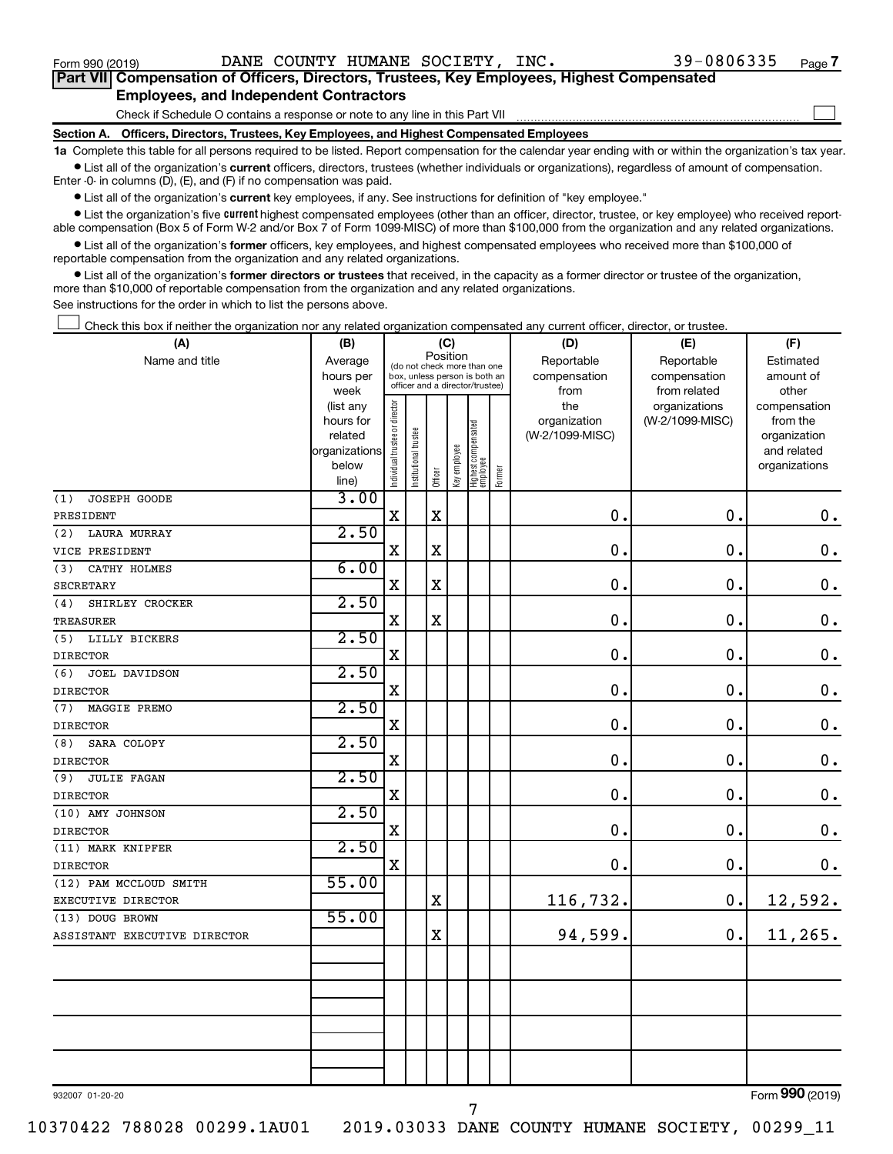$\Box$ 

| Part VII Compensation of Officers, Directors, Trustees, Key Employees, Highest Compensated |  |  |  |  |
|--------------------------------------------------------------------------------------------|--|--|--|--|
| <b>Employees, and Independent Contractors</b>                                              |  |  |  |  |

Check if Schedule O contains a response or note to any line in this Part VII

**Section A. Officers, Directors, Trustees, Key Employees, and Highest Compensated Employees**

**1a**  Complete this table for all persons required to be listed. Report compensation for the calendar year ending with or within the organization's tax year.  $\bullet$  List all of the organization's current officers, directors, trustees (whether individuals or organizations), regardless of amount of compensation.

Enter -0- in columns (D), (E), and (F) if no compensation was paid.

**•** List all of the organization's current key employees, if any. See instructions for definition of "key employee."

• List the organization's five *current* highest compensated employees (other than an officer, director, trustee, or key employee) who received reportable compensation (Box 5 of Form W-2 and/or Box 7 of Form 1099-MISC) of more than \$100,000 from the organization and any related organizations.

 $\bullet$  List all of the organization's former officers, key employees, and highest compensated employees who received more than \$100,000 of reportable compensation from the organization and any related organizations.

**•** List all of the organization's former directors or trustees that received, in the capacity as a former director or trustee of the organization, more than \$10,000 of reportable compensation from the organization and any related organizations.

See instructions for the order in which to list the persons above.

Check this box if neither the organization nor any related organization compensated any current officer, director, or trustee.  $\Box$ 

| (A)                          | (B)            |                                                                                                 |                       | (C)         |              |                                 |        | (D)             | (E)             | (F)                       |
|------------------------------|----------------|-------------------------------------------------------------------------------------------------|-----------------------|-------------|--------------|---------------------------------|--------|-----------------|-----------------|---------------------------|
| Name and title               | Average        |                                                                                                 |                       |             | Position     |                                 |        | Reportable      | Reportable      | Estimated                 |
|                              | hours per      | (do not check more than one<br>box, unless person is both an<br>officer and a director/trustee) |                       |             |              |                                 |        | compensation    | compensation    | amount of                 |
|                              | week           |                                                                                                 |                       |             |              |                                 |        | from            | from related    | other                     |
|                              | (list any      |                                                                                                 |                       |             |              |                                 |        | the             | organizations   | compensation              |
|                              | hours for      |                                                                                                 |                       |             |              |                                 |        | organization    | (W-2/1099-MISC) | from the                  |
|                              | related        |                                                                                                 |                       |             |              |                                 |        | (W-2/1099-MISC) |                 | organization              |
|                              | organizations  |                                                                                                 |                       |             |              |                                 |        |                 |                 | and related               |
|                              | below<br>line) | Individual trustee or director                                                                  | Institutional trustee | Officer     | Key employee | Highest compensated<br>employee | Former |                 |                 | organizations             |
| JOSEPH GOODE<br>(1)          | 3.00           |                                                                                                 |                       |             |              |                                 |        |                 |                 |                           |
| PRESIDENT                    |                | $\mathbf X$                                                                                     |                       | $\mathbf X$ |              |                                 |        | $\mathbf 0$ .   | 0.              | $\mathbf 0$ .             |
| <b>LAURA MURRAY</b><br>(2)   | 2.50           |                                                                                                 |                       |             |              |                                 |        |                 |                 |                           |
| VICE PRESIDENT               |                | $\mathbf X$                                                                                     |                       | $\mathbf X$ |              |                                 |        | $\mathbf 0$ .   | $\mathbf 0$ .   | $\mathbf 0$ .             |
| CATHY HOLMES<br>(3)          | 6.00           |                                                                                                 |                       |             |              |                                 |        |                 |                 |                           |
| <b>SECRETARY</b>             |                | $\mathbf X$                                                                                     |                       | $\mathbf X$ |              |                                 |        | $\mathbf 0$ .   | $\mathbf 0$ .   | $\mathbf 0$ .             |
| SHIRLEY CROCKER<br>(4)       | 2.50           |                                                                                                 |                       |             |              |                                 |        |                 |                 |                           |
| <b>TREASURER</b>             |                | $\mathbf X$                                                                                     |                       | $\mathbf x$ |              |                                 |        | 0.              | $\mathbf 0$ .   | $\mathbf 0$ .             |
| (5)<br>LILLY BICKERS         | 2.50           |                                                                                                 |                       |             |              |                                 |        |                 |                 |                           |
| <b>DIRECTOR</b>              |                | X                                                                                               |                       |             |              |                                 |        | $\mathbf 0$ .   | $\mathbf 0$ .   | $\mathbf 0$ .             |
| JOEL DAVIDSON<br>(6)         | 2.50           |                                                                                                 |                       |             |              |                                 |        |                 |                 |                           |
| <b>DIRECTOR</b>              |                | X                                                                                               |                       |             |              |                                 |        | 0.              | $\mathbf 0$ .   | $\mathbf 0$ .             |
| MAGGIE PREMO<br>(7)          | 2.50           |                                                                                                 |                       |             |              |                                 |        |                 |                 |                           |
| <b>DIRECTOR</b>              |                | X                                                                                               |                       |             |              |                                 |        | $\mathbf 0$ .   | 0.              | $\mathbf 0$ .             |
| (8)<br>SARA COLOPY           | 2.50           |                                                                                                 |                       |             |              |                                 |        |                 |                 |                           |
| <b>DIRECTOR</b>              |                | $\mathbf X$                                                                                     |                       |             |              |                                 |        | 0.              | 0.              | $\boldsymbol{0}$ .        |
| (9)<br><b>JULIE FAGAN</b>    | 2.50           |                                                                                                 |                       |             |              |                                 |        |                 |                 |                           |
| <b>DIRECTOR</b>              |                | $\mathbf X$                                                                                     |                       |             |              |                                 |        | $\mathbf 0$ .   | 0.              | $\mathbf 0$ .             |
| (10) AMY JOHNSON             | 2.50           |                                                                                                 |                       |             |              |                                 |        |                 |                 |                           |
| <b>DIRECTOR</b>              |                | $\mathbf X$                                                                                     |                       |             |              |                                 |        | 0.              | 0.              | $\mathbf 0$ .             |
| (11) MARK KNIPFER            | 2.50           |                                                                                                 |                       |             |              |                                 |        |                 |                 |                           |
| <b>DIRECTOR</b>              |                | $\mathbf X$                                                                                     |                       |             |              |                                 |        | 0.              | 0.              | $\mathbf 0$ .             |
| (12) PAM MCCLOUD SMITH       | 55.00          |                                                                                                 |                       |             |              |                                 |        |                 |                 |                           |
| EXECUTIVE DIRECTOR           |                |                                                                                                 |                       | $\mathbf X$ |              |                                 |        | 116,732.        | 0.              | 12,592.                   |
| (13) DOUG BROWN              | 55.00          |                                                                                                 |                       |             |              |                                 |        |                 |                 |                           |
| ASSISTANT EXECUTIVE DIRECTOR |                |                                                                                                 |                       | X           |              |                                 |        | 94,599.         | 0.              | 11,265.                   |
|                              |                |                                                                                                 |                       |             |              |                                 |        |                 |                 |                           |
|                              |                |                                                                                                 |                       |             |              |                                 |        |                 |                 |                           |
|                              |                |                                                                                                 |                       |             |              |                                 |        |                 |                 |                           |
|                              |                |                                                                                                 |                       |             |              |                                 |        |                 |                 |                           |
|                              |                |                                                                                                 |                       |             |              |                                 |        |                 |                 |                           |
|                              |                |                                                                                                 |                       |             |              |                                 |        |                 |                 |                           |
|                              |                |                                                                                                 |                       |             |              |                                 |        |                 |                 |                           |
|                              |                |                                                                                                 |                       |             |              |                                 |        |                 |                 | $000 \times 10$<br>$\sim$ |

932007 01-20-20

10370422 788028 00299.1AU01 2019.03033 DANE COUNTY HUMANE SOCIETY, 00299\_11

7

Form (2019) **990**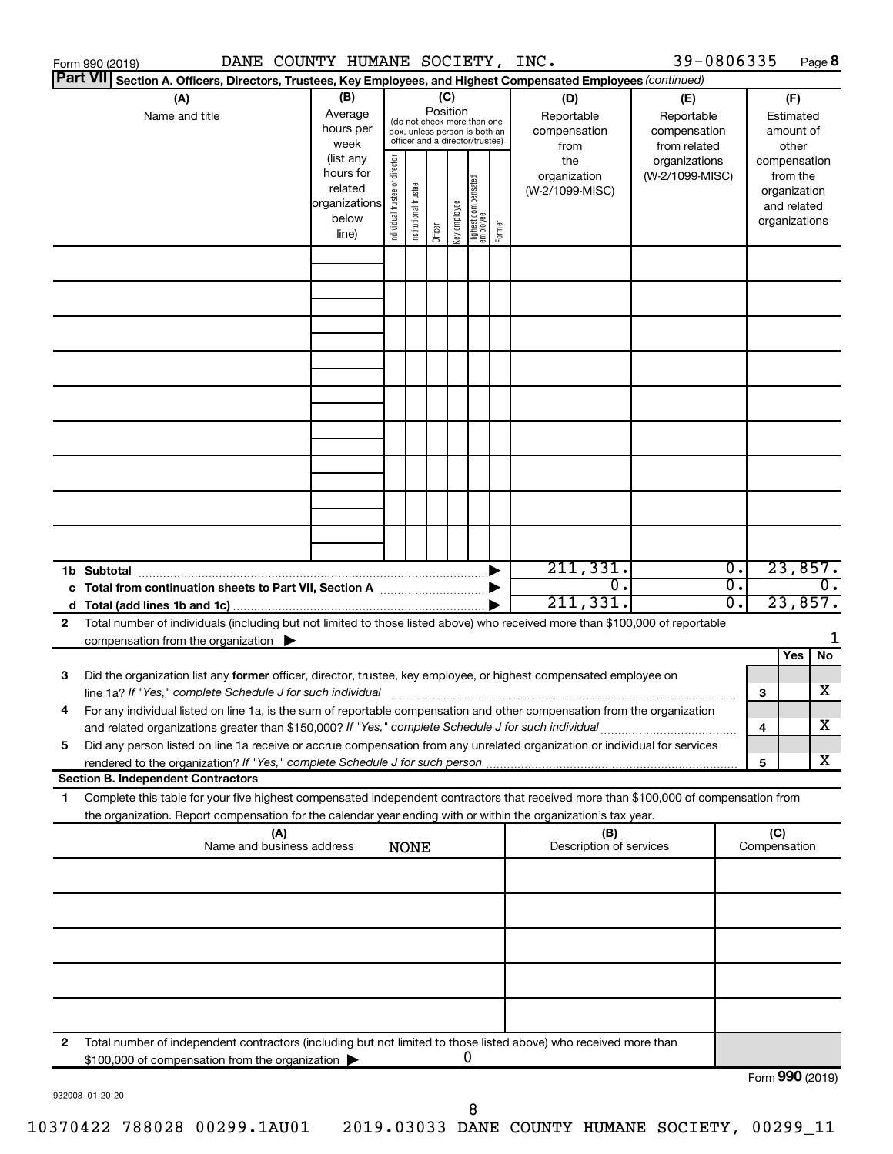|    | DANE COUNTY HUMANE SOCIETY, INC.<br>Form 990 (2019)                                                                                                                                      |                        |                                |                       |                 |              |                                                              |        |                                 | 39-0806335                 |                  |                     | Page 8                   |
|----|------------------------------------------------------------------------------------------------------------------------------------------------------------------------------------------|------------------------|--------------------------------|-----------------------|-----------------|--------------|--------------------------------------------------------------|--------|---------------------------------|----------------------------|------------------|---------------------|--------------------------|
|    | <b>Part VII</b><br>Section A. Officers, Directors, Trustees, Key Employees, and Highest Compensated Employees (continued)                                                                |                        |                                |                       |                 |              |                                                              |        |                                 |                            |                  |                     |                          |
|    | (A)                                                                                                                                                                                      | (B)<br>Average         |                                |                       | (C)<br>Position |              |                                                              |        | (D)                             | (E)                        |                  |                     | (F)                      |
|    | Name and title                                                                                                                                                                           | hours per              |                                |                       |                 |              | (do not check more than one<br>box, unless person is both an |        | Reportable<br>compensation      | Reportable<br>compensation |                  |                     | Estimated<br>amount of   |
|    |                                                                                                                                                                                          | week                   |                                |                       |                 |              | officer and a director/trustee)                              |        | from                            | from related               |                  |                     | other                    |
|    |                                                                                                                                                                                          | (list any<br>hours for |                                |                       |                 |              |                                                              |        | the                             | organizations              |                  |                     | compensation             |
|    |                                                                                                                                                                                          | related                |                                |                       |                 |              |                                                              |        | organization<br>(W-2/1099-MISC) | (W-2/1099-MISC)            |                  |                     | from the<br>organization |
|    |                                                                                                                                                                                          | organizations          |                                |                       |                 |              |                                                              |        |                                 |                            |                  |                     | and related              |
|    |                                                                                                                                                                                          | below                  | Individual trustee or director | Institutional trustee |                 | Key employee | Highest compensated<br>  employee                            | Former |                                 |                            |                  |                     | organizations            |
|    |                                                                                                                                                                                          | line)                  |                                |                       | Officer         |              |                                                              |        |                                 |                            |                  |                     |                          |
|    |                                                                                                                                                                                          |                        |                                |                       |                 |              |                                                              |        |                                 |                            |                  |                     |                          |
|    |                                                                                                                                                                                          |                        |                                |                       |                 |              |                                                              |        |                                 |                            |                  |                     |                          |
|    |                                                                                                                                                                                          |                        |                                |                       |                 |              |                                                              |        |                                 |                            |                  |                     |                          |
|    |                                                                                                                                                                                          |                        |                                |                       |                 |              |                                                              |        |                                 |                            |                  |                     |                          |
|    |                                                                                                                                                                                          |                        |                                |                       |                 |              |                                                              |        |                                 |                            |                  |                     |                          |
|    |                                                                                                                                                                                          |                        |                                |                       |                 |              |                                                              |        |                                 |                            |                  |                     |                          |
|    |                                                                                                                                                                                          |                        |                                |                       |                 |              |                                                              |        |                                 |                            |                  |                     |                          |
|    |                                                                                                                                                                                          |                        |                                |                       |                 |              |                                                              |        |                                 |                            |                  |                     |                          |
|    |                                                                                                                                                                                          |                        |                                |                       |                 |              |                                                              |        |                                 |                            |                  |                     |                          |
|    |                                                                                                                                                                                          |                        |                                |                       |                 |              |                                                              |        |                                 |                            |                  |                     |                          |
|    |                                                                                                                                                                                          |                        |                                |                       |                 |              |                                                              |        |                                 |                            |                  |                     |                          |
|    |                                                                                                                                                                                          |                        |                                |                       |                 |              |                                                              |        |                                 |                            |                  |                     |                          |
|    |                                                                                                                                                                                          |                        |                                |                       |                 |              |                                                              |        |                                 |                            |                  |                     |                          |
|    |                                                                                                                                                                                          |                        |                                |                       |                 |              |                                                              |        |                                 |                            |                  |                     |                          |
|    |                                                                                                                                                                                          |                        |                                |                       |                 |              |                                                              |        | 211,331.                        |                            | $\overline{0}$ . |                     | 23,857.                  |
|    |                                                                                                                                                                                          |                        |                                |                       |                 |              |                                                              |        | $\overline{0}$ .                |                            | σ.               |                     | $\overline{0}$ .         |
|    |                                                                                                                                                                                          |                        |                                |                       |                 |              |                                                              |        | 211,331.                        |                            | 0.               |                     | 23,857.                  |
| 2  | Total number of individuals (including but not limited to those listed above) who received more than \$100,000 of reportable<br>compensation from the organization $\blacktriangleright$ |                        |                                |                       |                 |              |                                                              |        |                                 |                            |                  |                     | 1                        |
|    |                                                                                                                                                                                          |                        |                                |                       |                 |              |                                                              |        |                                 |                            |                  |                     | Yes<br>No                |
| 3  | Did the organization list any former officer, director, trustee, key employee, or highest compensated employee on                                                                        |                        |                                |                       |                 |              |                                                              |        |                                 |                            |                  |                     |                          |
|    | line 1a? If "Yes," complete Schedule J for such individual manufacture content to the set of the set of the schedule J for such individual                                               |                        |                                |                       |                 |              |                                                              |        |                                 |                            |                  | 3                   | х                        |
|    | For any individual listed on line 1a, is the sum of reportable compensation and other compensation from the organization                                                                 |                        |                                |                       |                 |              |                                                              |        |                                 |                            |                  |                     |                          |
|    | and related organizations greater than \$150,000? If "Yes," complete Schedule J for such individual                                                                                      |                        |                                |                       |                 |              |                                                              |        |                                 |                            |                  | 4                   | х                        |
| 5  | Did any person listed on line 1a receive or accrue compensation from any unrelated organization or individual for services                                                               |                        |                                |                       |                 |              |                                                              |        |                                 |                            |                  | 5                   | х                        |
|    | <b>Section B. Independent Contractors</b>                                                                                                                                                |                        |                                |                       |                 |              |                                                              |        |                                 |                            |                  |                     |                          |
| 1. | Complete this table for your five highest compensated independent contractors that received more than \$100,000 of compensation from                                                     |                        |                                |                       |                 |              |                                                              |        |                                 |                            |                  |                     |                          |
|    | the organization. Report compensation for the calendar year ending with or within the organization's tax year.                                                                           |                        |                                |                       |                 |              |                                                              |        |                                 |                            |                  |                     |                          |
|    | (A)<br>Name and business address                                                                                                                                                         |                        |                                | <b>NONE</b>           |                 |              |                                                              |        | (B)<br>Description of services  |                            |                  | (C)<br>Compensation |                          |
|    |                                                                                                                                                                                          |                        |                                |                       |                 |              |                                                              |        |                                 |                            |                  |                     |                          |
|    |                                                                                                                                                                                          |                        |                                |                       |                 |              |                                                              |        |                                 |                            |                  |                     |                          |
|    |                                                                                                                                                                                          |                        |                                |                       |                 |              |                                                              |        |                                 |                            |                  |                     |                          |
|    |                                                                                                                                                                                          |                        |                                |                       |                 |              |                                                              |        |                                 |                            |                  |                     |                          |
|    |                                                                                                                                                                                          |                        |                                |                       |                 |              |                                                              |        |                                 |                            |                  |                     |                          |
|    |                                                                                                                                                                                          |                        |                                |                       |                 |              |                                                              |        |                                 |                            |                  |                     |                          |
|    |                                                                                                                                                                                          |                        |                                |                       |                 |              |                                                              |        |                                 |                            |                  |                     |                          |
|    |                                                                                                                                                                                          |                        |                                |                       |                 |              |                                                              |        |                                 |                            |                  |                     |                          |
| 2  | Total number of independent contractors (including but not limited to those listed above) who received more than                                                                         |                        |                                |                       |                 |              |                                                              |        |                                 |                            |                  |                     |                          |
|    | \$100,000 of compensation from the organization                                                                                                                                          |                        |                                |                       |                 |              | 0                                                            |        |                                 |                            |                  |                     |                          |
|    |                                                                                                                                                                                          |                        |                                |                       |                 |              |                                                              |        |                                 |                            |                  |                     | Form 990 (2019)          |

932008 01-20-20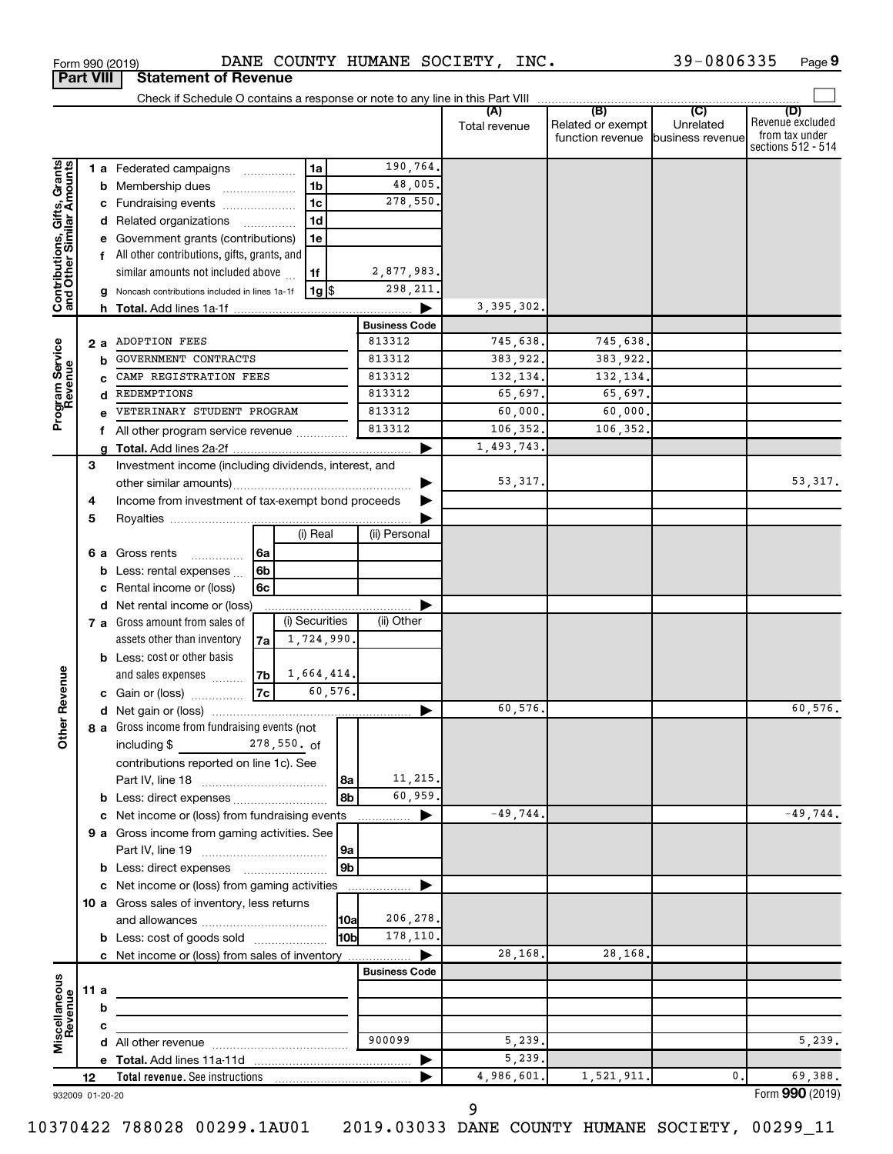| <b>Part VIII</b>                                          |      |                                                | <b>Statement of Revenue</b>                                                          |                          |                |                      |                      |                                                               |                  |                                                                 |
|-----------------------------------------------------------|------|------------------------------------------------|--------------------------------------------------------------------------------------|--------------------------|----------------|----------------------|----------------------|---------------------------------------------------------------|------------------|-----------------------------------------------------------------|
|                                                           |      |                                                | Check if Schedule O contains a response or note to any line in this Part VIII        |                          |                |                      |                      |                                                               |                  |                                                                 |
|                                                           |      |                                                |                                                                                      |                          |                |                      | (A)<br>Total revenue | (B)<br>Related or exempt<br>function revenue business revenue | (C)<br>Unrelated | (D)<br>Revenue excluded<br>from tax under<br>sections 512 - 514 |
|                                                           |      |                                                | 1 a Federated campaigns                                                              |                          | 1a             | 190,764.             |                      |                                                               |                  |                                                                 |
| Contributions, Gifts, Grants<br>and Other Similar Amounts |      |                                                | <b>b</b> Membership dues                                                             |                          | 1 <sub>b</sub> | 48,005.              |                      |                                                               |                  |                                                                 |
|                                                           |      |                                                | c Fundraising events                                                                 |                          | 1 <sub>c</sub> | 278,550.             |                      |                                                               |                  |                                                                 |
|                                                           |      |                                                | d Related organizations                                                              | $\overline{\phantom{a}}$ | 1 <sub>d</sub> |                      |                      |                                                               |                  |                                                                 |
|                                                           |      |                                                | Government grants (contributions)                                                    |                          | 1e             |                      |                      |                                                               |                  |                                                                 |
|                                                           |      |                                                | f All other contributions, gifts, grants, and                                        |                          |                |                      |                      |                                                               |                  |                                                                 |
|                                                           |      |                                                | similar amounts not included above                                                   |                          | 1f             | 2,877,983.           |                      |                                                               |                  |                                                                 |
|                                                           |      |                                                | g Noncash contributions included in lines 1a-1f                                      |                          | 1g  \$         | 298, 211.            |                      |                                                               |                  |                                                                 |
|                                                           |      |                                                |                                                                                      |                          |                |                      | 3, 395, 302.         |                                                               |                  |                                                                 |
|                                                           |      |                                                |                                                                                      |                          |                | <b>Business Code</b> |                      |                                                               |                  |                                                                 |
|                                                           |      | 2 a                                            | <b>ADOPTION FEES</b>                                                                 |                          |                | 813312               | 745,638.             | 745,638.                                                      |                  |                                                                 |
| Program Service<br>Revenue                                |      | b                                              | GOVERNMENT CONTRACTS                                                                 |                          |                | 813312               | 383,922.             | 383,922.                                                      |                  |                                                                 |
|                                                           |      |                                                | CAMP REGISTRATION FEES                                                               |                          |                | 813312               | 132,134.             | 132,134.                                                      |                  |                                                                 |
|                                                           |      | REDEMPTIONS<br>d<br>VETERINARY STUDENT PROGRAM |                                                                                      |                          | 813312         | 65,697.              | 65,697.              |                                                               |                  |                                                                 |
|                                                           |      |                                                |                                                                                      |                          | 813312         | 60,000.              | 60,000.              |                                                               |                  |                                                                 |
|                                                           |      | All other program service revenue<br>f         |                                                                                      |                          |                | 813312               | 106,352.             | 106,352.                                                      |                  |                                                                 |
|                                                           | a    |                                                |                                                                                      |                          |                |                      | 1,493,743.           |                                                               |                  |                                                                 |
|                                                           | 3    |                                                | Investment income (including dividends, interest, and                                |                          |                |                      |                      |                                                               |                  |                                                                 |
|                                                           |      |                                                |                                                                                      |                          |                |                      | 53,317.              |                                                               |                  | 53, 317.                                                        |
|                                                           | 4    |                                                | Income from investment of tax-exempt bond proceeds                                   |                          |                |                      |                      |                                                               |                  |                                                                 |
|                                                           | 5    |                                                |                                                                                      |                          |                |                      |                      |                                                               |                  |                                                                 |
|                                                           |      |                                                |                                                                                      |                          | (i) Real       | (ii) Personal        |                      |                                                               |                  |                                                                 |
|                                                           |      |                                                | 6 a Gross rents<br>.                                                                 | l 6a                     |                |                      |                      |                                                               |                  |                                                                 |
|                                                           |      | b                                              | Less: rental expenses                                                                | 6b                       |                |                      |                      |                                                               |                  |                                                                 |
|                                                           |      | c                                              | Rental income or (loss)                                                              | 6c                       |                |                      |                      |                                                               |                  |                                                                 |
|                                                           |      |                                                | d Net rental income or (loss)                                                        |                          |                |                      |                      |                                                               |                  |                                                                 |
|                                                           |      |                                                | <b>7 a</b> Gross amount from sales of                                                |                          | (i) Securities | (ii) Other           |                      |                                                               |                  |                                                                 |
|                                                           |      |                                                | assets other than inventory                                                          | 7a                       | 1,724,990.     |                      |                      |                                                               |                  |                                                                 |
|                                                           |      |                                                | <b>b</b> Less: cost or other basis                                                   |                          |                |                      |                      |                                                               |                  |                                                                 |
|                                                           |      |                                                | and sales expenses                                                                   | $7b \mid 1,664,414.$     |                |                      |                      |                                                               |                  |                                                                 |
| Revenue                                                   |      |                                                | c Gain or (loss)                                                                     | 7c                       | 60,576.        |                      |                      |                                                               |                  |                                                                 |
|                                                           |      |                                                |                                                                                      |                          |                |                      | 60,576.              |                                                               |                  | 60,576.                                                         |
|                                                           |      |                                                | <b>8</b> a Gross income from fundraising events (not $\begin{bmatrix} \end{bmatrix}$ |                          |                |                      |                      |                                                               |                  |                                                                 |
| <b>Othe</b>                                               |      |                                                | 278,550. of<br>including \$                                                          |                          |                |                      |                      |                                                               |                  |                                                                 |
|                                                           |      |                                                | contributions reported on line 1c). See                                              |                          |                |                      |                      |                                                               |                  |                                                                 |
|                                                           |      |                                                |                                                                                      |                          | 8a             | 11,215.              |                      |                                                               |                  |                                                                 |
|                                                           |      |                                                | <b>b</b> Less: direct expenses <b>constants b</b>                                    |                          | 8b             | 60,959.              |                      |                                                               |                  |                                                                 |
|                                                           |      |                                                | c Net income or (loss) from fundraising events                                       |                          |                | ▶                    | $-49,744.$           |                                                               |                  | $-49,744.$                                                      |
|                                                           |      |                                                | 9 a Gross income from gaming activities. See                                         |                          |                |                      |                      |                                                               |                  |                                                                 |
|                                                           |      |                                                |                                                                                      |                          | l9a            |                      |                      |                                                               |                  |                                                                 |
|                                                           |      |                                                |                                                                                      |                          | 9 <sub>b</sub> |                      |                      |                                                               |                  |                                                                 |
|                                                           |      |                                                | c Net income or (loss) from gaming activities                                        |                          |                |                      |                      |                                                               |                  |                                                                 |
|                                                           |      |                                                | 10 a Gross sales of inventory, less returns                                          |                          |                |                      |                      |                                                               |                  |                                                                 |
|                                                           |      |                                                |                                                                                      |                          | 10a            | 206,278.             |                      |                                                               |                  |                                                                 |
|                                                           |      |                                                | <b>b</b> Less: cost of goods sold                                                    |                          | l10bl          | 178,110.             |                      |                                                               |                  |                                                                 |
|                                                           |      |                                                | <b>c</b> Net income or (loss) from sales of inventory                                |                          |                |                      | 28,168.              | 28,168.                                                       |                  |                                                                 |
|                                                           |      |                                                |                                                                                      |                          |                | <b>Business Code</b> |                      |                                                               |                  |                                                                 |
|                                                           | 11 a |                                                |                                                                                      |                          |                |                      |                      |                                                               |                  |                                                                 |
|                                                           |      | b                                              |                                                                                      |                          |                |                      |                      |                                                               |                  |                                                                 |
|                                                           |      | c                                              |                                                                                      |                          |                |                      |                      |                                                               |                  |                                                                 |
| Miscellaneous<br>Revenue                                  |      |                                                |                                                                                      |                          |                | 900099               | 5,239.               |                                                               |                  | 5,239.                                                          |
|                                                           |      |                                                |                                                                                      |                          |                |                      | 5,239.               |                                                               |                  |                                                                 |
|                                                           | 12   |                                                |                                                                                      |                          |                |                      | 4,986,601.           | 1,521,911.                                                    | 0.               | 69,388.                                                         |
| 932009 01-20-20                                           |      |                                                |                                                                                      |                          |                |                      |                      |                                                               |                  | Form 990 (2019)                                                 |

Form 990 (2019) DANE COUNTY HUMANE SOCIETY, INC.  $39-0806335$  Page

39-0806335 Page 9

932009 01-20-20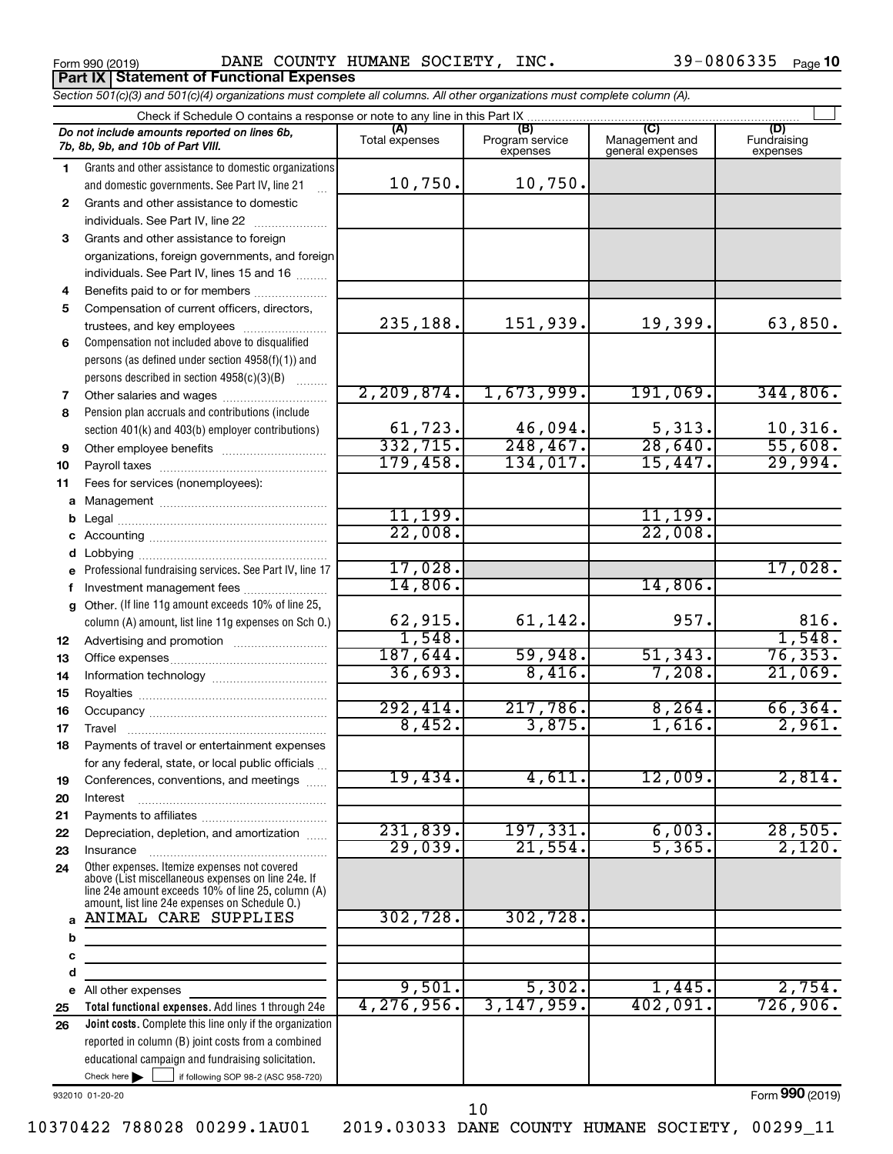Form 990 (2019) Page DANE COUNTY HUMANE SOCIETY, INC. 39-0806335 **Part IX Statement of Functional Expenses**

39-0806335 Page 10

*Section 501(c)(3) and 501(c)(4) organizations must complete all columns. All other organizations must complete column (A).*

|              | Check if Schedule O contains a response or note to any line in this Part IX                           |                       |                                    |                                    |                                |  |  |  |  |  |  |
|--------------|-------------------------------------------------------------------------------------------------------|-----------------------|------------------------------------|------------------------------------|--------------------------------|--|--|--|--|--|--|
|              | Do not include amounts reported on lines 6b,<br>7b, 8b, 9b, and 10b of Part VIII.                     | (A)<br>Total expenses | (B)<br>Program service<br>expenses | Management and<br>general expenses | (D)<br>Fundraising<br>expenses |  |  |  |  |  |  |
| 1.           | Grants and other assistance to domestic organizations                                                 |                       |                                    |                                    |                                |  |  |  |  |  |  |
|              | and domestic governments. See Part IV, line 21                                                        | 10,750.               | 10,750.                            |                                    |                                |  |  |  |  |  |  |
| $\mathbf{2}$ | Grants and other assistance to domestic                                                               |                       |                                    |                                    |                                |  |  |  |  |  |  |
|              | individuals. See Part IV, line 22                                                                     |                       |                                    |                                    |                                |  |  |  |  |  |  |
| 3            | Grants and other assistance to foreign                                                                |                       |                                    |                                    |                                |  |  |  |  |  |  |
|              | organizations, foreign governments, and foreign                                                       |                       |                                    |                                    |                                |  |  |  |  |  |  |
|              | individuals. See Part IV, lines 15 and 16                                                             |                       |                                    |                                    |                                |  |  |  |  |  |  |
| 4            | Benefits paid to or for members                                                                       |                       |                                    |                                    |                                |  |  |  |  |  |  |
| 5            | Compensation of current officers, directors,                                                          |                       |                                    |                                    |                                |  |  |  |  |  |  |
|              | trustees, and key employees                                                                           | 235,188.              | 151,939.                           | 19,399.                            | 63,850.                        |  |  |  |  |  |  |
| 6            | Compensation not included above to disqualified                                                       |                       |                                    |                                    |                                |  |  |  |  |  |  |
|              | persons (as defined under section 4958(f)(1)) and                                                     |                       |                                    |                                    |                                |  |  |  |  |  |  |
|              | persons described in section 4958(c)(3)(B)                                                            | 2, 209, 874.          | 1,673,999.                         | 191,069.                           | 344,806.                       |  |  |  |  |  |  |
| 7            |                                                                                                       |                       |                                    |                                    |                                |  |  |  |  |  |  |
| 8            | Pension plan accruals and contributions (include<br>section 401(k) and 403(b) employer contributions) | 61,723.               | 46,094.                            | 5,313.                             | 10,316.                        |  |  |  |  |  |  |
|              |                                                                                                       | 332,715.              | 248, 467.                          | 28,640.                            | 55,608.                        |  |  |  |  |  |  |
| 9<br>10      |                                                                                                       | 179,458.              | 134,017.                           | 15,447.                            | 29,994.                        |  |  |  |  |  |  |
| 11           | Fees for services (nonemployees):                                                                     |                       |                                    |                                    |                                |  |  |  |  |  |  |
| a            |                                                                                                       |                       |                                    |                                    |                                |  |  |  |  |  |  |
| b            |                                                                                                       | 11, 199.              |                                    | 11,199                             |                                |  |  |  |  |  |  |
|              |                                                                                                       | 22,008.               |                                    | 22,008                             |                                |  |  |  |  |  |  |
| d            | Lobbying                                                                                              |                       |                                    |                                    |                                |  |  |  |  |  |  |
|              | Professional fundraising services. See Part IV, line 17                                               | 17,028.               |                                    |                                    | 17,028.                        |  |  |  |  |  |  |
| f            | Investment management fees                                                                            | 14,806.               |                                    | 14,806.                            |                                |  |  |  |  |  |  |
|              | Other. (If line 11g amount exceeds 10% of line 25,                                                    |                       |                                    |                                    |                                |  |  |  |  |  |  |
|              | column (A) amount, list line 11g expenses on Sch O.)                                                  | 62,915.               | 61, 142.                           | 957.                               | 816.                           |  |  |  |  |  |  |
| 12           |                                                                                                       | 1,548.                |                                    |                                    | 1,548.                         |  |  |  |  |  |  |
| 13           |                                                                                                       | 187,644.              | 59,948.                            | 51, 343.                           | 76, 353.                       |  |  |  |  |  |  |
| 14           |                                                                                                       | 36,693.               | 8,416.                             | 7,208.                             | 21,069.                        |  |  |  |  |  |  |
| 15           |                                                                                                       |                       |                                    |                                    |                                |  |  |  |  |  |  |
| 16           |                                                                                                       | 292,414.              | 217,786.                           | 8, 264.                            | 66, 364.                       |  |  |  |  |  |  |
| 17           | Travel                                                                                                | 8,452.                | 3,875.                             | 1,616.                             | 2,961.                         |  |  |  |  |  |  |
| 18           | Payments of travel or entertainment expenses                                                          |                       |                                    |                                    |                                |  |  |  |  |  |  |
|              | for any federal, state, or local public officials                                                     | 19,434.               | 4,611.                             | 12,009.                            | 2,814.                         |  |  |  |  |  |  |
| 19           | Conferences, conventions, and meetings                                                                |                       |                                    |                                    |                                |  |  |  |  |  |  |
| 20<br>21     | Interest                                                                                              |                       |                                    |                                    |                                |  |  |  |  |  |  |
| 22           | Depreciation, depletion, and amortization                                                             | 231,839.              | 197,331.                           | 6,003.                             | 28,505.                        |  |  |  |  |  |  |
| 23           | Insurance                                                                                             | 29,039.               | 21,554.                            | 5,365.                             | 2,120.                         |  |  |  |  |  |  |
| 24           | Other expenses. Itemize expenses not covered                                                          |                       |                                    |                                    |                                |  |  |  |  |  |  |
|              | above (List miscellaneous expenses on line 24e. If                                                    |                       |                                    |                                    |                                |  |  |  |  |  |  |
|              | line 24e amount exceeds 10% of line 25, column (A)<br>amount, list line 24e expenses on Schedule O.)  |                       |                                    |                                    |                                |  |  |  |  |  |  |
| $\mathbf{a}$ | ANIMAL CARE SUPPLIES                                                                                  | 302,728.              | 302,728.                           |                                    |                                |  |  |  |  |  |  |
| b            |                                                                                                       |                       |                                    |                                    |                                |  |  |  |  |  |  |
| c            |                                                                                                       |                       |                                    |                                    |                                |  |  |  |  |  |  |
| d            |                                                                                                       |                       |                                    |                                    |                                |  |  |  |  |  |  |
| е            | All other expenses                                                                                    | 9,501.                | 5,302.                             | 1,445.                             | 2,754.                         |  |  |  |  |  |  |
| 25           | Total functional expenses. Add lines 1 through 24e                                                    | 4, 276, 956.          | 3, 147, 959.                       | 402,091.                           | 726,906.                       |  |  |  |  |  |  |
| 26           | Joint costs. Complete this line only if the organization                                              |                       |                                    |                                    |                                |  |  |  |  |  |  |
|              | reported in column (B) joint costs from a combined                                                    |                       |                                    |                                    |                                |  |  |  |  |  |  |
|              | educational campaign and fundraising solicitation.                                                    |                       |                                    |                                    |                                |  |  |  |  |  |  |
|              | Check here $\blacktriangleright$<br>if following SOP 98-2 (ASC 958-720)                               |                       |                                    |                                    | $000 \omega$                   |  |  |  |  |  |  |

932010 01-20-20

Form (2019) **990**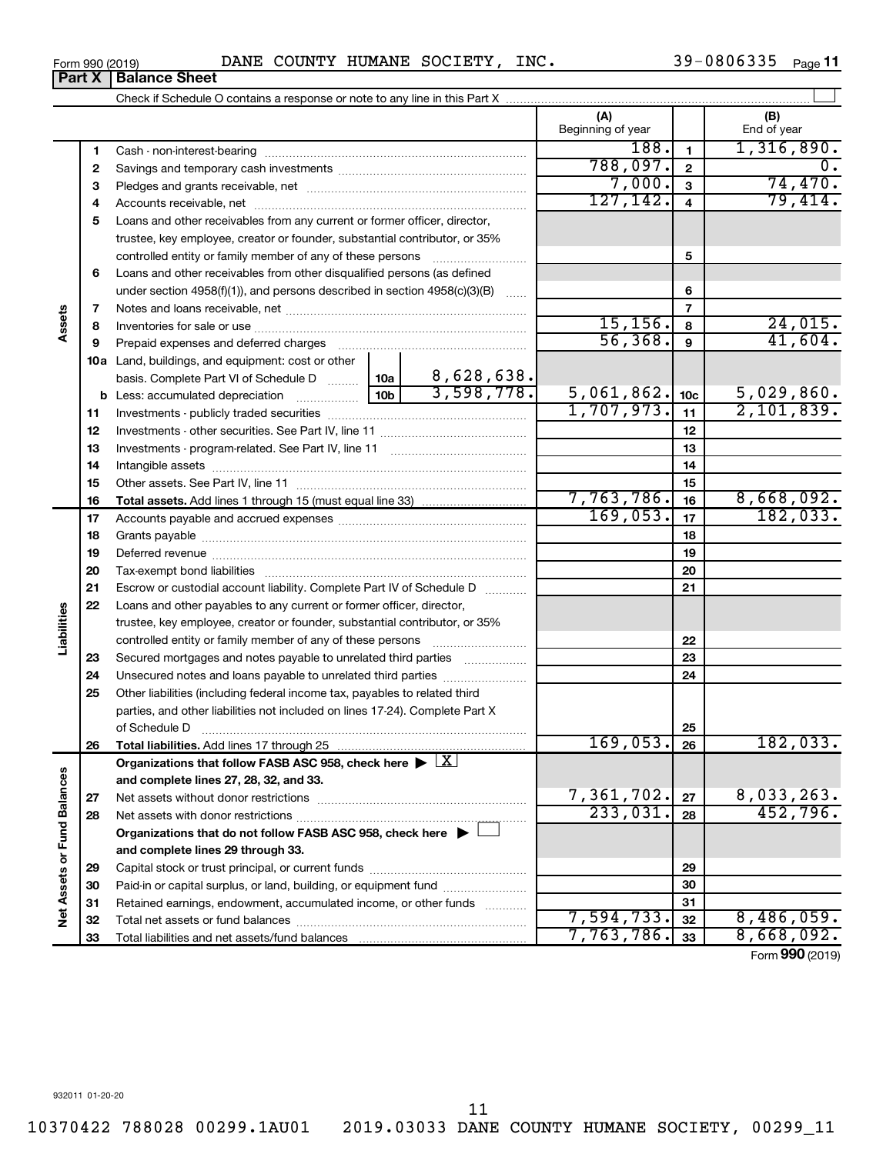39-0806335 Page 11

|                             |          |                                                                                                                                                            |                 |                 | (A)<br>Beginning of year |                | (B)<br>End of year          |
|-----------------------------|----------|------------------------------------------------------------------------------------------------------------------------------------------------------------|-----------------|-----------------|--------------------------|----------------|-----------------------------|
|                             | 1        |                                                                                                                                                            |                 |                 | 188.                     | $\blacksquare$ | 1,316,890.                  |
|                             | 2        |                                                                                                                                                            |                 |                 | 788,097.                 | $\mathbf{2}$   | 0.                          |
|                             | З        |                                                                                                                                                            |                 |                 | 7,000.                   | $\mathbf{3}$   | 74,470.                     |
|                             | 4        |                                                                                                                                                            |                 |                 | 127, 142.                | $\overline{4}$ | 79,414.                     |
|                             | 5        | Loans and other receivables from any current or former officer, director,                                                                                  |                 |                 |                          |                |                             |
|                             |          | trustee, key employee, creator or founder, substantial contributor, or 35%                                                                                 |                 |                 |                          |                |                             |
|                             |          | controlled entity or family member of any of these persons                                                                                                 |                 | 5               |                          |                |                             |
|                             | 6        | Loans and other receivables from other disqualified persons (as defined                                                                                    |                 |                 |                          |                |                             |
|                             |          | under section 4958(f)(1)), and persons described in section 4958(c)(3)(B)                                                                                  |                 | $\ldots$        |                          | 6              |                             |
|                             | 7        |                                                                                                                                                            |                 |                 |                          | $\overline{7}$ |                             |
| Assets                      | 8        |                                                                                                                                                            |                 |                 | 15, 156.                 | 8              | 24,015.                     |
|                             | 9        | Prepaid expenses and deferred charges                                                                                                                      |                 |                 | 56, 368.                 | 9              | 41,604.                     |
|                             |          | <b>10a</b> Land, buildings, and equipment: cost or other                                                                                                   |                 |                 |                          |                |                             |
|                             |          | basis. Complete Part VI of Schedule D    10a   8,628,638.                                                                                                  | 10 <sub>b</sub> | 3,598,778.      |                          |                |                             |
|                             |          | <b>b</b> Less: accumulated depreciation                                                                                                                    | 5,061,862.      | 10 <sub>c</sub> | 5,029,860.               |                |                             |
|                             | 11       |                                                                                                                                                            | 1,707,973.      | 11              | 2,101,839.               |                |                             |
|                             | 12       |                                                                                                                                                            |                 | 12              |                          |                |                             |
|                             | 13       |                                                                                                                                                            |                 | 13              |                          |                |                             |
|                             | 14       |                                                                                                                                                            |                 | 14              |                          |                |                             |
|                             | 15       |                                                                                                                                                            |                 | 15              |                          |                |                             |
|                             | 16       |                                                                                                                                                            |                 |                 | 7,763,786.<br>169,053.   | 16             | 8,668,092.                  |
|                             | 17       |                                                                                                                                                            |                 |                 |                          | 17             | 182,033.                    |
|                             | 18       |                                                                                                                                                            |                 |                 | 18                       |                |                             |
|                             | 19       |                                                                                                                                                            |                 | 19              |                          |                |                             |
|                             | 20       |                                                                                                                                                            |                 | 20              |                          |                |                             |
|                             | 21       | Escrow or custodial account liability. Complete Part IV of Schedule D                                                                                      |                 |                 | 21                       |                |                             |
| Liabilities                 | 22       | Loans and other payables to any current or former officer, director,                                                                                       |                 |                 |                          |                |                             |
|                             |          | trustee, key employee, creator or founder, substantial contributor, or 35%                                                                                 |                 |                 |                          |                |                             |
|                             |          | controlled entity or family member of any of these persons [                                                                                               |                 |                 |                          | 22<br>23       |                             |
|                             | 23       | Secured mortgages and notes payable to unrelated third parties                                                                                             |                 |                 |                          | 24             |                             |
|                             | 24<br>25 | Unsecured notes and loans payable to unrelated third parties                                                                                               |                 |                 |                          |                |                             |
|                             |          | Other liabilities (including federal income tax, payables to related third<br>parties, and other liabilities not included on lines 17-24). Complete Part X |                 |                 |                          |                |                             |
|                             |          | of Schedule D                                                                                                                                              |                 |                 |                          | 25             |                             |
|                             | 26       |                                                                                                                                                            |                 |                 | $169,053.$ 26            |                | 182,033.                    |
|                             |          | Organizations that follow FASB ASC 958, check here $\blacktriangleright \lfloor \underline{X} \rfloor$                                                     |                 |                 |                          |                |                             |
|                             |          | and complete lines 27, 28, 32, and 33.                                                                                                                     |                 |                 |                          |                |                             |
|                             | 27       |                                                                                                                                                            |                 |                 | 7,361,702.               | 27             | 8,033,263.                  |
|                             | 28       |                                                                                                                                                            |                 |                 | 233,031.                 | 28             | 452,796.                    |
|                             |          | Organizations that do not follow FASB ASC 958, check here $\blacktriangleright$                                                                            |                 |                 |                          |                |                             |
|                             |          | and complete lines 29 through 33.                                                                                                                          |                 |                 |                          |                |                             |
|                             | 29       |                                                                                                                                                            |                 |                 |                          | 29             |                             |
|                             | 30       | Paid-in or capital surplus, or land, building, or equipment fund                                                                                           |                 |                 |                          | 30             |                             |
|                             | 31       | Retained earnings, endowment, accumulated income, or other funds                                                                                           |                 |                 |                          | 31             |                             |
| Net Assets or Fund Balances | 32       |                                                                                                                                                            |                 |                 | 7,594,733.               | 32             | 8,486,059.                  |
|                             | 33       |                                                                                                                                                            |                 |                 | 7,763,786.               | 33             | 8,668,092.                  |
|                             |          |                                                                                                                                                            |                 |                 |                          |                | $T_{\text{arm}}$ 000 (2010) |

Form (2019) **990**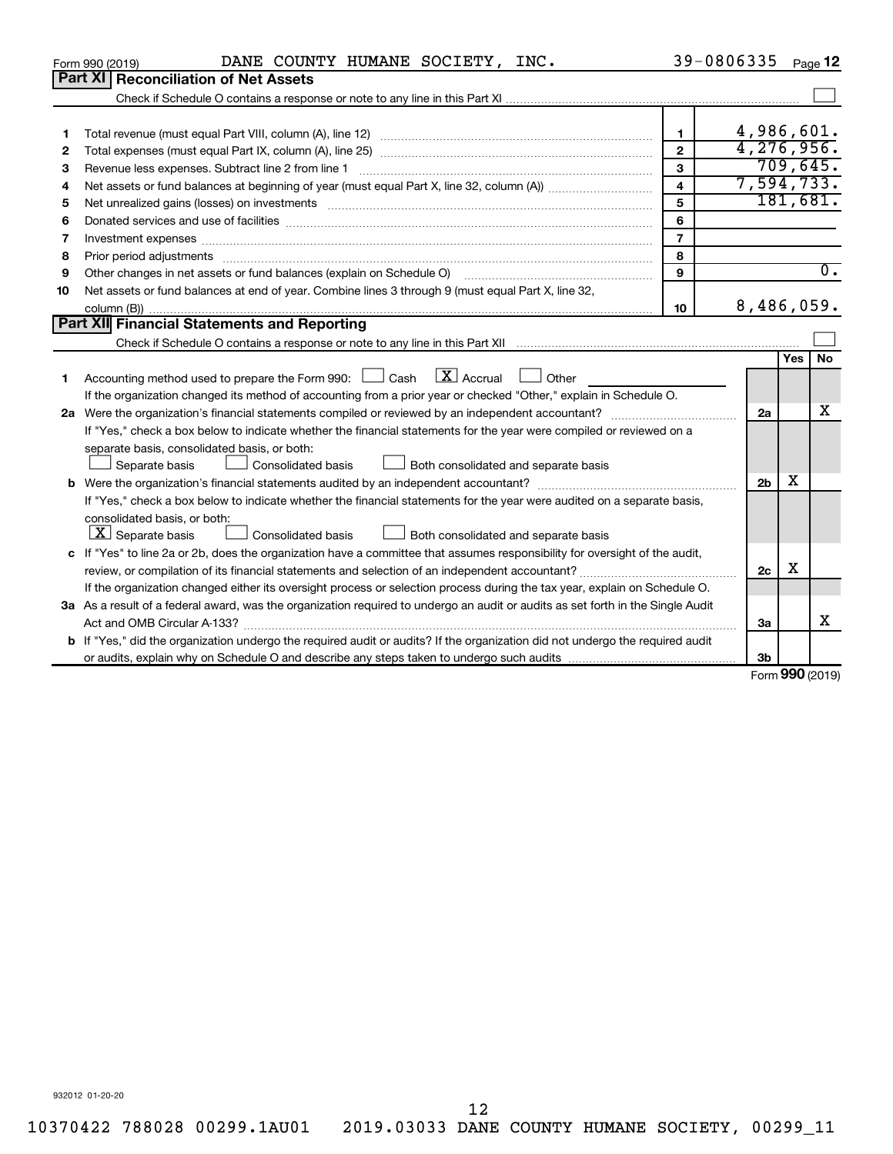|    | DANE COUNTY HUMANE SOCIETY, INC.<br>Form 990 (2019)                                                                                                                                                                            |                         | 39-0806335     |                     | Page 12          |
|----|--------------------------------------------------------------------------------------------------------------------------------------------------------------------------------------------------------------------------------|-------------------------|----------------|---------------------|------------------|
|    | <b>Part XI Reconciliation of Net Assets</b>                                                                                                                                                                                    |                         |                |                     |                  |
|    |                                                                                                                                                                                                                                |                         |                |                     |                  |
|    |                                                                                                                                                                                                                                |                         |                |                     |                  |
| 1  |                                                                                                                                                                                                                                | $\mathbf{1}$            | 4,986,601.     |                     |                  |
| 2  |                                                                                                                                                                                                                                | $\overline{2}$          | 4, 276, 956.   |                     |                  |
| 3  |                                                                                                                                                                                                                                | 3                       |                |                     | 709,645.         |
| 4  |                                                                                                                                                                                                                                | $\overline{\mathbf{4}}$ | 7,594,733.     |                     |                  |
| 5  | Net unrealized gains (losses) on investments [111] matter in the contract of the contract of the contract of the contract of the contract of the contract of the contract of the contract of the contract of the contract of t | 5                       |                |                     | 181,681.         |
| 6  |                                                                                                                                                                                                                                | 6                       |                |                     |                  |
| 7  | Investment expenses www.communication.com/www.communication.com/www.communication.com/www.com                                                                                                                                  | $\overline{7}$          |                |                     |                  |
| 8  |                                                                                                                                                                                                                                | 8                       |                |                     |                  |
| 9  | Other changes in net assets or fund balances (explain on Schedule O)                                                                                                                                                           | 9                       |                |                     | $\overline{0}$ . |
| 10 | Net assets or fund balances at end of year. Combine lines 3 through 9 (must equal Part X, line 32,                                                                                                                             |                         |                |                     |                  |
|    |                                                                                                                                                                                                                                | 10                      | 8,486,059.     |                     |                  |
|    | <b>Part XII</b> Financial Statements and Reporting                                                                                                                                                                             |                         |                |                     |                  |
|    |                                                                                                                                                                                                                                |                         |                |                     |                  |
| 1  | Accounting method used to prepare the Form 990: $\Box$ Cash $\Box X$ Accrual<br>Other<br>$\sim$                                                                                                                                |                         |                | Yes                 | No               |
|    | If the organization changed its method of accounting from a prior year or checked "Other," explain in Schedule O.                                                                                                              |                         |                |                     |                  |
|    |                                                                                                                                                                                                                                |                         | 2a             |                     | x                |
|    | If "Yes," check a box below to indicate whether the financial statements for the year were compiled or reviewed on a                                                                                                           |                         |                |                     |                  |
|    | separate basis, consolidated basis, or both:                                                                                                                                                                                   |                         |                |                     |                  |
|    | Both consolidated and separate basis<br>Separate basis<br><b>Consolidated basis</b>                                                                                                                                            |                         |                |                     |                  |
|    |                                                                                                                                                                                                                                |                         | 2 <sub>b</sub> | x                   |                  |
|    | If "Yes," check a box below to indicate whether the financial statements for the year were audited on a separate basis,                                                                                                        |                         |                |                     |                  |
|    | consolidated basis, or both:                                                                                                                                                                                                   |                         |                |                     |                  |
|    | $X$ Separate basis<br>Consolidated basis<br>Both consolidated and separate basis                                                                                                                                               |                         |                |                     |                  |
|    | c If "Yes" to line 2a or 2b, does the organization have a committee that assumes responsibility for oversight of the audit,                                                                                                    |                         |                |                     |                  |
|    |                                                                                                                                                                                                                                |                         | 2c             | х                   |                  |
|    | If the organization changed either its oversight process or selection process during the tax year, explain on Schedule O.                                                                                                      |                         |                |                     |                  |
|    | 3a As a result of a federal award, was the organization required to undergo an audit or audits as set forth in the Single Audit                                                                                                |                         |                |                     |                  |
|    | Act and OMB Circular A-133?                                                                                                                                                                                                    |                         | 3a             |                     | x                |
|    | <b>b</b> If "Yes," did the organization undergo the required audit or audits? If the organization did not undergo the required audit                                                                                           |                         |                |                     |                  |
|    |                                                                                                                                                                                                                                |                         | 3b             |                     |                  |
|    |                                                                                                                                                                                                                                |                         |                | $000 \text{ hours}$ |                  |

Form (2019) **990**

932012 01-20-20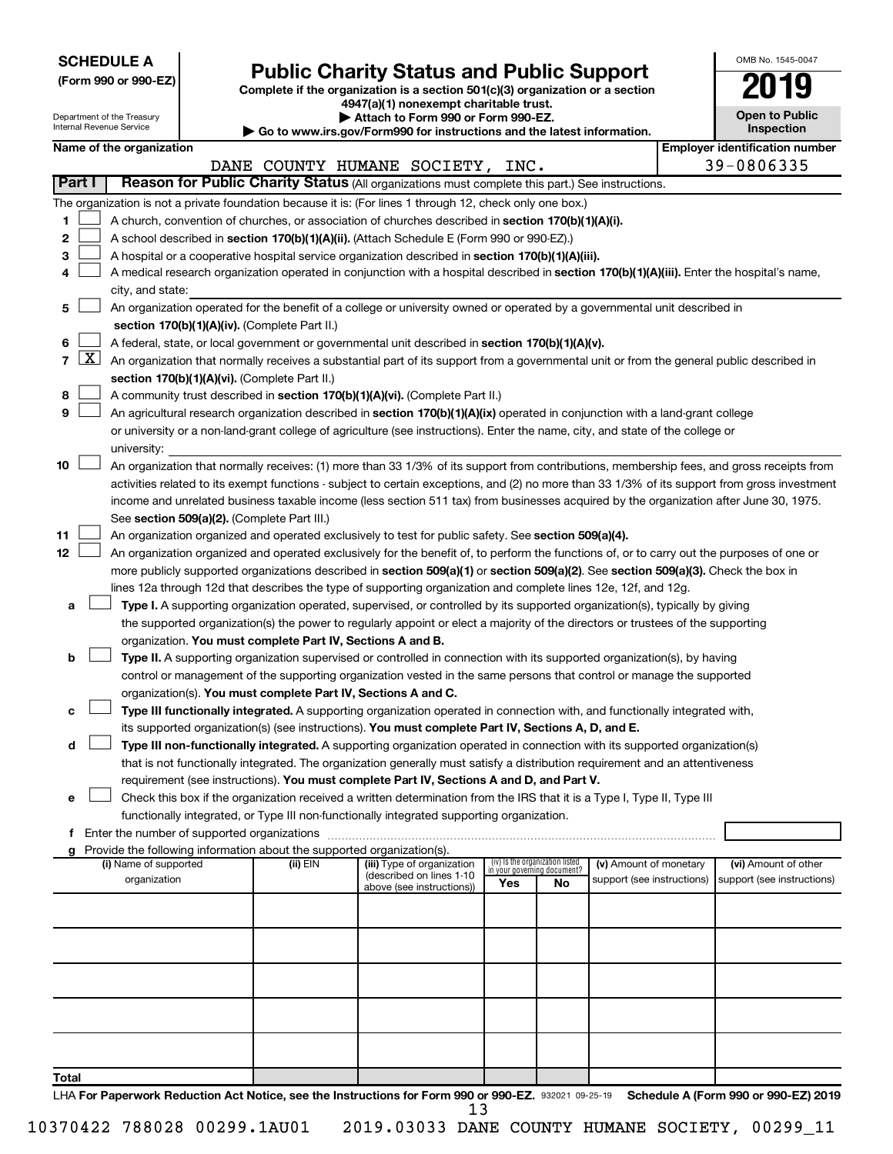| <b>SCHEDULE A</b> |  |
|-------------------|--|
|-------------------|--|

| (Form 990 or 990-EZ) |  |  |
|----------------------|--|--|
|                      |  |  |

# Form 990 or 990-EZ)<br>
Complete if the organization is a section 501(c)(3) organization or a section<br> **Public Charity Status and Public Support**

**4947(a)(1) nonexempt charitable trust. | Attach to Form 990 or Form 990-EZ.** 

| OMB No 1545-0047                    |
|-------------------------------------|
| 019                                 |
| <b>Open to Public</b><br>Inspection |

| Department of the Treasury<br>Attach to Form 990 or Form 990-EZ.<br>Internal Revenue Service<br>Go to www.irs.gov/Form990 for instructions and the latest information. |                     |                                                                                                                                                   |  |                                                                          |                                                                                                                                                                                                                     |     | <b>Open to Public</b><br>Inspection                            |                            |  |                                       |  |  |
|------------------------------------------------------------------------------------------------------------------------------------------------------------------------|---------------------|---------------------------------------------------------------------------------------------------------------------------------------------------|--|--------------------------------------------------------------------------|---------------------------------------------------------------------------------------------------------------------------------------------------------------------------------------------------------------------|-----|----------------------------------------------------------------|----------------------------|--|---------------------------------------|--|--|
|                                                                                                                                                                        |                     | Name of the organization                                                                                                                          |  |                                                                          |                                                                                                                                                                                                                     |     |                                                                |                            |  | <b>Employer identification number</b> |  |  |
|                                                                                                                                                                        |                     |                                                                                                                                                   |  |                                                                          | DANE COUNTY HUMANE SOCIETY, INC.                                                                                                                                                                                    |     |                                                                |                            |  | 39-0806335                            |  |  |
|                                                                                                                                                                        | Part I              |                                                                                                                                                   |  |                                                                          | Reason for Public Charity Status (All organizations must complete this part.) See instructions.                                                                                                                     |     |                                                                |                            |  |                                       |  |  |
|                                                                                                                                                                        |                     |                                                                                                                                                   |  |                                                                          | The organization is not a private foundation because it is: (For lines 1 through 12, check only one box.)                                                                                                           |     |                                                                |                            |  |                                       |  |  |
| 1                                                                                                                                                                      |                     |                                                                                                                                                   |  |                                                                          | A church, convention of churches, or association of churches described in section 170(b)(1)(A)(i).                                                                                                                  |     |                                                                |                            |  |                                       |  |  |
| 2                                                                                                                                                                      |                     |                                                                                                                                                   |  |                                                                          | A school described in section 170(b)(1)(A)(ii). (Attach Schedule E (Form 990 or 990-EZ).)                                                                                                                           |     |                                                                |                            |  |                                       |  |  |
| 3                                                                                                                                                                      |                     |                                                                                                                                                   |  |                                                                          | A hospital or a cooperative hospital service organization described in section 170(b)(1)(A)(iii).                                                                                                                   |     |                                                                |                            |  |                                       |  |  |
| 4                                                                                                                                                                      |                     |                                                                                                                                                   |  |                                                                          | A medical research organization operated in conjunction with a hospital described in section 170(b)(1)(A)(iii). Enter the hospital's name,                                                                          |     |                                                                |                            |  |                                       |  |  |
|                                                                                                                                                                        |                     | city, and state:                                                                                                                                  |  |                                                                          |                                                                                                                                                                                                                     |     |                                                                |                            |  |                                       |  |  |
| 5                                                                                                                                                                      |                     |                                                                                                                                                   |  |                                                                          | An organization operated for the benefit of a college or university owned or operated by a governmental unit described in                                                                                           |     |                                                                |                            |  |                                       |  |  |
|                                                                                                                                                                        |                     | section 170(b)(1)(A)(iv). (Complete Part II.)<br>A federal, state, or local government or governmental unit described in section 170(b)(1)(A)(v). |  |                                                                          |                                                                                                                                                                                                                     |     |                                                                |                            |  |                                       |  |  |
| 6                                                                                                                                                                      |                     |                                                                                                                                                   |  |                                                                          |                                                                                                                                                                                                                     |     |                                                                |                            |  |                                       |  |  |
| $\overline{7}$                                                                                                                                                         | $\lfloor x \rfloor$ |                                                                                                                                                   |  |                                                                          | An organization that normally receives a substantial part of its support from a governmental unit or from the general public described in                                                                           |     |                                                                |                            |  |                                       |  |  |
|                                                                                                                                                                        |                     |                                                                                                                                                   |  | section 170(b)(1)(A)(vi). (Complete Part II.)                            |                                                                                                                                                                                                                     |     |                                                                |                            |  |                                       |  |  |
| 8                                                                                                                                                                      |                     |                                                                                                                                                   |  |                                                                          | A community trust described in section 170(b)(1)(A)(vi). (Complete Part II.)                                                                                                                                        |     |                                                                |                            |  |                                       |  |  |
| 9                                                                                                                                                                      |                     |                                                                                                                                                   |  |                                                                          | An agricultural research organization described in section 170(b)(1)(A)(ix) operated in conjunction with a land-grant college                                                                                       |     |                                                                |                            |  |                                       |  |  |
|                                                                                                                                                                        |                     |                                                                                                                                                   |  |                                                                          | or university or a non-land-grant college of agriculture (see instructions). Enter the name, city, and state of the college or                                                                                      |     |                                                                |                            |  |                                       |  |  |
| 10                                                                                                                                                                     |                     | university:                                                                                                                                       |  |                                                                          | An organization that normally receives: (1) more than 33 1/3% of its support from contributions, membership fees, and gross receipts from                                                                           |     |                                                                |                            |  |                                       |  |  |
|                                                                                                                                                                        |                     |                                                                                                                                                   |  |                                                                          | activities related to its exempt functions - subject to certain exceptions, and (2) no more than 33 1/3% of its support from gross investment                                                                       |     |                                                                |                            |  |                                       |  |  |
|                                                                                                                                                                        |                     |                                                                                                                                                   |  |                                                                          | income and unrelated business taxable income (less section 511 tax) from businesses acquired by the organization after June 30, 1975.                                                                               |     |                                                                |                            |  |                                       |  |  |
|                                                                                                                                                                        |                     |                                                                                                                                                   |  | See section 509(a)(2). (Complete Part III.)                              |                                                                                                                                                                                                                     |     |                                                                |                            |  |                                       |  |  |
| 11                                                                                                                                                                     |                     |                                                                                                                                                   |  |                                                                          | An organization organized and operated exclusively to test for public safety. See section 509(a)(4).                                                                                                                |     |                                                                |                            |  |                                       |  |  |
| 12 <sub>2</sub>                                                                                                                                                        |                     |                                                                                                                                                   |  |                                                                          | An organization organized and operated exclusively for the benefit of, to perform the functions of, or to carry out the purposes of one or                                                                          |     |                                                                |                            |  |                                       |  |  |
|                                                                                                                                                                        |                     |                                                                                                                                                   |  |                                                                          | more publicly supported organizations described in section 509(a)(1) or section 509(a)(2). See section 509(a)(3). Check the box in                                                                                  |     |                                                                |                            |  |                                       |  |  |
|                                                                                                                                                                        |                     |                                                                                                                                                   |  |                                                                          | lines 12a through 12d that describes the type of supporting organization and complete lines 12e, 12f, and 12g.                                                                                                      |     |                                                                |                            |  |                                       |  |  |
| а                                                                                                                                                                      |                     |                                                                                                                                                   |  |                                                                          | Type I. A supporting organization operated, supervised, or controlled by its supported organization(s), typically by giving                                                                                         |     |                                                                |                            |  |                                       |  |  |
|                                                                                                                                                                        |                     |                                                                                                                                                   |  |                                                                          | the supported organization(s) the power to regularly appoint or elect a majority of the directors or trustees of the supporting                                                                                     |     |                                                                |                            |  |                                       |  |  |
|                                                                                                                                                                        |                     |                                                                                                                                                   |  | organization. You must complete Part IV, Sections A and B.               |                                                                                                                                                                                                                     |     |                                                                |                            |  |                                       |  |  |
| b                                                                                                                                                                      |                     |                                                                                                                                                   |  |                                                                          | Type II. A supporting organization supervised or controlled in connection with its supported organization(s), by having                                                                                             |     |                                                                |                            |  |                                       |  |  |
|                                                                                                                                                                        |                     |                                                                                                                                                   |  |                                                                          | control or management of the supporting organization vested in the same persons that control or manage the supported                                                                                                |     |                                                                |                            |  |                                       |  |  |
|                                                                                                                                                                        |                     |                                                                                                                                                   |  |                                                                          | organization(s). You must complete Part IV, Sections A and C.                                                                                                                                                       |     |                                                                |                            |  |                                       |  |  |
|                                                                                                                                                                        |                     |                                                                                                                                                   |  |                                                                          | Type III functionally integrated. A supporting organization operated in connection with, and functionally integrated with,                                                                                          |     |                                                                |                            |  |                                       |  |  |
|                                                                                                                                                                        |                     |                                                                                                                                                   |  |                                                                          | its supported organization(s) (see instructions). You must complete Part IV, Sections A, D, and E.                                                                                                                  |     |                                                                |                            |  |                                       |  |  |
| d                                                                                                                                                                      |                     |                                                                                                                                                   |  |                                                                          | Type III non-functionally integrated. A supporting organization operated in connection with its supported organization(s)                                                                                           |     |                                                                |                            |  |                                       |  |  |
|                                                                                                                                                                        |                     |                                                                                                                                                   |  |                                                                          | that is not functionally integrated. The organization generally must satisfy a distribution requirement and an attentiveness                                                                                        |     |                                                                |                            |  |                                       |  |  |
| е                                                                                                                                                                      |                     |                                                                                                                                                   |  |                                                                          | requirement (see instructions). You must complete Part IV, Sections A and D, and Part V.<br>Check this box if the organization received a written determination from the IRS that it is a Type I, Type II, Type III |     |                                                                |                            |  |                                       |  |  |
|                                                                                                                                                                        |                     |                                                                                                                                                   |  |                                                                          | functionally integrated, or Type III non-functionally integrated supporting organization.                                                                                                                           |     |                                                                |                            |  |                                       |  |  |
|                                                                                                                                                                        |                     |                                                                                                                                                   |  | f Enter the number of supported organizations                            |                                                                                                                                                                                                                     |     |                                                                |                            |  |                                       |  |  |
|                                                                                                                                                                        |                     |                                                                                                                                                   |  | g Provide the following information about the supported organization(s). |                                                                                                                                                                                                                     |     |                                                                |                            |  |                                       |  |  |
|                                                                                                                                                                        |                     | (i) Name of supported                                                                                                                             |  | (ii) EIN                                                                 | (iii) Type of organization                                                                                                                                                                                          |     | (iv) Is the organization listed<br>in your governing document? | (v) Amount of monetary     |  | (vi) Amount of other                  |  |  |
|                                                                                                                                                                        |                     | organization                                                                                                                                      |  |                                                                          | (described on lines 1-10<br>above (see instructions))                                                                                                                                                               | Yes | No                                                             | support (see instructions) |  | support (see instructions)            |  |  |
|                                                                                                                                                                        |                     |                                                                                                                                                   |  |                                                                          |                                                                                                                                                                                                                     |     |                                                                |                            |  |                                       |  |  |
|                                                                                                                                                                        |                     |                                                                                                                                                   |  |                                                                          |                                                                                                                                                                                                                     |     |                                                                |                            |  |                                       |  |  |
|                                                                                                                                                                        |                     |                                                                                                                                                   |  |                                                                          |                                                                                                                                                                                                                     |     |                                                                |                            |  |                                       |  |  |
|                                                                                                                                                                        |                     |                                                                                                                                                   |  |                                                                          |                                                                                                                                                                                                                     |     |                                                                |                            |  |                                       |  |  |
|                                                                                                                                                                        |                     |                                                                                                                                                   |  |                                                                          |                                                                                                                                                                                                                     |     |                                                                |                            |  |                                       |  |  |
|                                                                                                                                                                        |                     |                                                                                                                                                   |  |                                                                          |                                                                                                                                                                                                                     |     |                                                                |                            |  |                                       |  |  |
|                                                                                                                                                                        |                     |                                                                                                                                                   |  |                                                                          |                                                                                                                                                                                                                     |     |                                                                |                            |  |                                       |  |  |
|                                                                                                                                                                        |                     |                                                                                                                                                   |  |                                                                          |                                                                                                                                                                                                                     |     |                                                                |                            |  |                                       |  |  |
|                                                                                                                                                                        |                     |                                                                                                                                                   |  |                                                                          |                                                                                                                                                                                                                     |     |                                                                |                            |  |                                       |  |  |
|                                                                                                                                                                        |                     |                                                                                                                                                   |  |                                                                          |                                                                                                                                                                                                                     |     |                                                                |                            |  |                                       |  |  |
| Total                                                                                                                                                                  |                     |                                                                                                                                                   |  |                                                                          | LHA For Paperwork Reduction Act Notice, see the Instructions for Form 990 or 990-EZ. 932021 09-25-19 Schedule A (Form 990 or 990-EZ) 2019                                                                           |     |                                                                |                            |  |                                       |  |  |
|                                                                                                                                                                        |                     |                                                                                                                                                   |  |                                                                          |                                                                                                                                                                                                                     |     |                                                                |                            |  |                                       |  |  |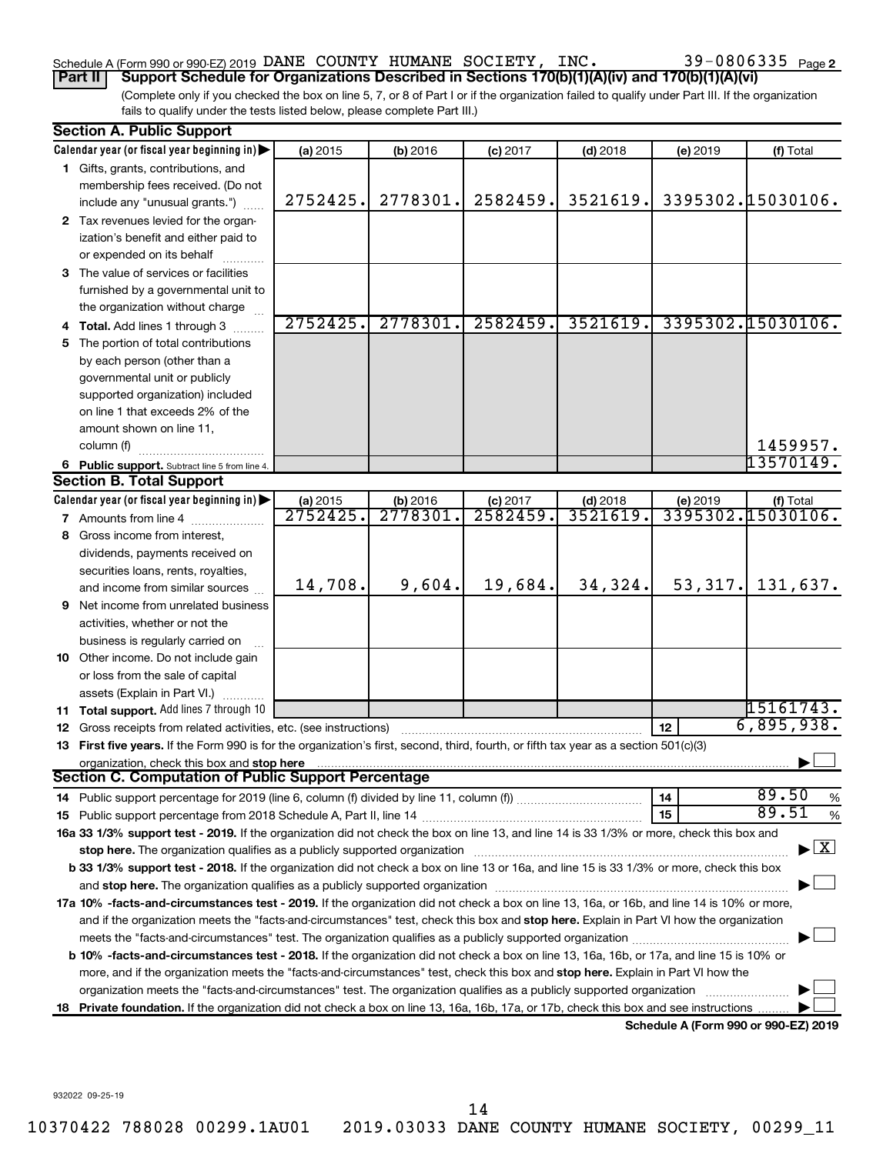## Schedule A (Form 990 or 990-EZ) 2019 DANE COUNTY HUMANE SOCIETY, INC.  $39-0806335$   $_{\rm Page}$

(Complete only if you checked the box on line 5, 7, or 8 of Part I or if the organization failed to qualify under Part III. If the organization **Part II Support Schedule for Organizations Described in Sections 170(b)(1)(A)(iv) and 170(b)(1)(A)(vi)**

fails to qualify under the tests listed below, please complete Part III.)

|    | <b>Section A. Public Support</b>                                                                                                                                                                                               |                      |                     |                        |                        |          |                                          |  |  |  |
|----|--------------------------------------------------------------------------------------------------------------------------------------------------------------------------------------------------------------------------------|----------------------|---------------------|------------------------|------------------------|----------|------------------------------------------|--|--|--|
|    | Calendar year (or fiscal year beginning in)                                                                                                                                                                                    | (a) 2015             | (b) 2016            | $(c)$ 2017             | $(d)$ 2018             | (e) 2019 | (f) Total                                |  |  |  |
|    | 1 Gifts, grants, contributions, and                                                                                                                                                                                            |                      |                     |                        |                        |          |                                          |  |  |  |
|    | membership fees received. (Do not                                                                                                                                                                                              |                      |                     |                        |                        |          |                                          |  |  |  |
|    | include any "unusual grants.")                                                                                                                                                                                                 | 2752425.             | 2778301.            | 2582459.               | 3521619.               |          | 3395302.15030106.                        |  |  |  |
|    | 2 Tax revenues levied for the organ-                                                                                                                                                                                           |                      |                     |                        |                        |          |                                          |  |  |  |
|    | ization's benefit and either paid to                                                                                                                                                                                           |                      |                     |                        |                        |          |                                          |  |  |  |
|    | or expended on its behalf                                                                                                                                                                                                      |                      |                     |                        |                        |          |                                          |  |  |  |
|    | 3 The value of services or facilities                                                                                                                                                                                          |                      |                     |                        |                        |          |                                          |  |  |  |
|    | furnished by a governmental unit to                                                                                                                                                                                            |                      |                     |                        |                        |          |                                          |  |  |  |
|    | the organization without charge                                                                                                                                                                                                |                      |                     |                        |                        |          |                                          |  |  |  |
|    | <b>Total.</b> Add lines 1 through 3                                                                                                                                                                                            | 2752425.             | 2778301.            | 2582459.               | 3521619.               |          | 3395302.15030106.                        |  |  |  |
| 5  | The portion of total contributions                                                                                                                                                                                             |                      |                     |                        |                        |          |                                          |  |  |  |
|    | by each person (other than a                                                                                                                                                                                                   |                      |                     |                        |                        |          |                                          |  |  |  |
|    | governmental unit or publicly                                                                                                                                                                                                  |                      |                     |                        |                        |          |                                          |  |  |  |
|    | supported organization) included                                                                                                                                                                                               |                      |                     |                        |                        |          |                                          |  |  |  |
|    | on line 1 that exceeds 2% of the                                                                                                                                                                                               |                      |                     |                        |                        |          |                                          |  |  |  |
|    | amount shown on line 11,                                                                                                                                                                                                       |                      |                     |                        |                        |          |                                          |  |  |  |
|    | column (f)                                                                                                                                                                                                                     |                      |                     |                        |                        |          | 1459957.<br>13570149.                    |  |  |  |
|    | 6 Public support. Subtract line 5 from line 4.                                                                                                                                                                                 |                      |                     |                        |                        |          |                                          |  |  |  |
|    | <b>Section B. Total Support</b>                                                                                                                                                                                                |                      |                     |                        |                        |          |                                          |  |  |  |
|    | Calendar year (or fiscal year beginning in)                                                                                                                                                                                    | (a) 2015<br>2752425. | (b) 2016<br>2778301 | $(c)$ 2017<br>2582459. | $(d)$ 2018<br>3521619. | (e) 2019 | (f) Total<br>3395302.15030106.           |  |  |  |
|    | <b>7</b> Amounts from line 4                                                                                                                                                                                                   |                      |                     |                        |                        |          |                                          |  |  |  |
| 8  | Gross income from interest,                                                                                                                                                                                                    |                      |                     |                        |                        |          |                                          |  |  |  |
|    | dividends, payments received on                                                                                                                                                                                                |                      |                     |                        |                        |          |                                          |  |  |  |
|    | securities loans, rents, royalties,<br>and income from similar sources                                                                                                                                                         | 14,708.              | 9,604.              | 19,684.                | 34,324.                | 53,317.  | 131,637.                                 |  |  |  |
| 9. | Net income from unrelated business                                                                                                                                                                                             |                      |                     |                        |                        |          |                                          |  |  |  |
|    | activities, whether or not the                                                                                                                                                                                                 |                      |                     |                        |                        |          |                                          |  |  |  |
|    | business is regularly carried on                                                                                                                                                                                               |                      |                     |                        |                        |          |                                          |  |  |  |
|    | 10 Other income. Do not include gain                                                                                                                                                                                           |                      |                     |                        |                        |          |                                          |  |  |  |
|    | or loss from the sale of capital                                                                                                                                                                                               |                      |                     |                        |                        |          |                                          |  |  |  |
|    | assets (Explain in Part VI.)                                                                                                                                                                                                   |                      |                     |                        |                        |          |                                          |  |  |  |
|    | 11 Total support, Add lines 7 through 10                                                                                                                                                                                       |                      |                     |                        |                        |          | 15161743.                                |  |  |  |
| 12 | Gross receipts from related activities, etc. (see instructions)                                                                                                                                                                |                      |                     |                        |                        | 12       | 6,895,938.                               |  |  |  |
|    | 13 First five years. If the Form 990 is for the organization's first, second, third, fourth, or fifth tax year as a section 501(c)(3)                                                                                          |                      |                     |                        |                        |          |                                          |  |  |  |
|    | organization, check this box and stop here                                                                                                                                                                                     |                      |                     |                        |                        |          |                                          |  |  |  |
|    | Section C. Computation of Public Support Percentage                                                                                                                                                                            |                      |                     |                        |                        |          |                                          |  |  |  |
|    |                                                                                                                                                                                                                                |                      |                     |                        |                        | 14       | 89.50<br>%                               |  |  |  |
|    |                                                                                                                                                                                                                                |                      |                     |                        |                        | 15       | 89.51<br>%                               |  |  |  |
|    | 16a 33 1/3% support test - 2019. If the organization did not check the box on line 13, and line 14 is 33 1/3% or more, check this box and                                                                                      |                      |                     |                        |                        |          |                                          |  |  |  |
|    | stop here. The organization qualifies as a publicly supported organization manufaction manufacture content and the support of the state of the state of the state of the state of the state of the state of the state of the s |                      |                     |                        |                        |          | $\blacktriangleright$ $\boxed{\text{X}}$ |  |  |  |
|    | b 33 1/3% support test - 2018. If the organization did not check a box on line 13 or 16a, and line 15 is 33 1/3% or more, check this box                                                                                       |                      |                     |                        |                        |          |                                          |  |  |  |
|    |                                                                                                                                                                                                                                |                      |                     |                        |                        |          |                                          |  |  |  |
|    | 17a 10% -facts-and-circumstances test - 2019. If the organization did not check a box on line 13, 16a, or 16b, and line 14 is 10% or more,                                                                                     |                      |                     |                        |                        |          |                                          |  |  |  |
|    | and if the organization meets the "facts-and-circumstances" test, check this box and stop here. Explain in Part VI how the organization                                                                                        |                      |                     |                        |                        |          |                                          |  |  |  |
|    |                                                                                                                                                                                                                                |                      |                     |                        |                        |          |                                          |  |  |  |
|    | b 10% -facts-and-circumstances test - 2018. If the organization did not check a box on line 13, 16a, 16b, or 17a, and line 15 is 10% or                                                                                        |                      |                     |                        |                        |          |                                          |  |  |  |
|    | more, and if the organization meets the "facts-and-circumstances" test, check this box and stop here. Explain in Part VI how the                                                                                               |                      |                     |                        |                        |          |                                          |  |  |  |
|    | organization meets the "facts-and-circumstances" test. The organization qualifies as a publicly supported organization                                                                                                         |                      |                     |                        |                        |          |                                          |  |  |  |
|    | 18 Private foundation. If the organization did not check a box on line 13, 16a, 16b, 17a, or 17b, check this box and see instructions.                                                                                         |                      |                     |                        |                        |          |                                          |  |  |  |
|    |                                                                                                                                                                                                                                |                      |                     |                        |                        |          | Schedule A (Form 990 or 990-EZ) 2019     |  |  |  |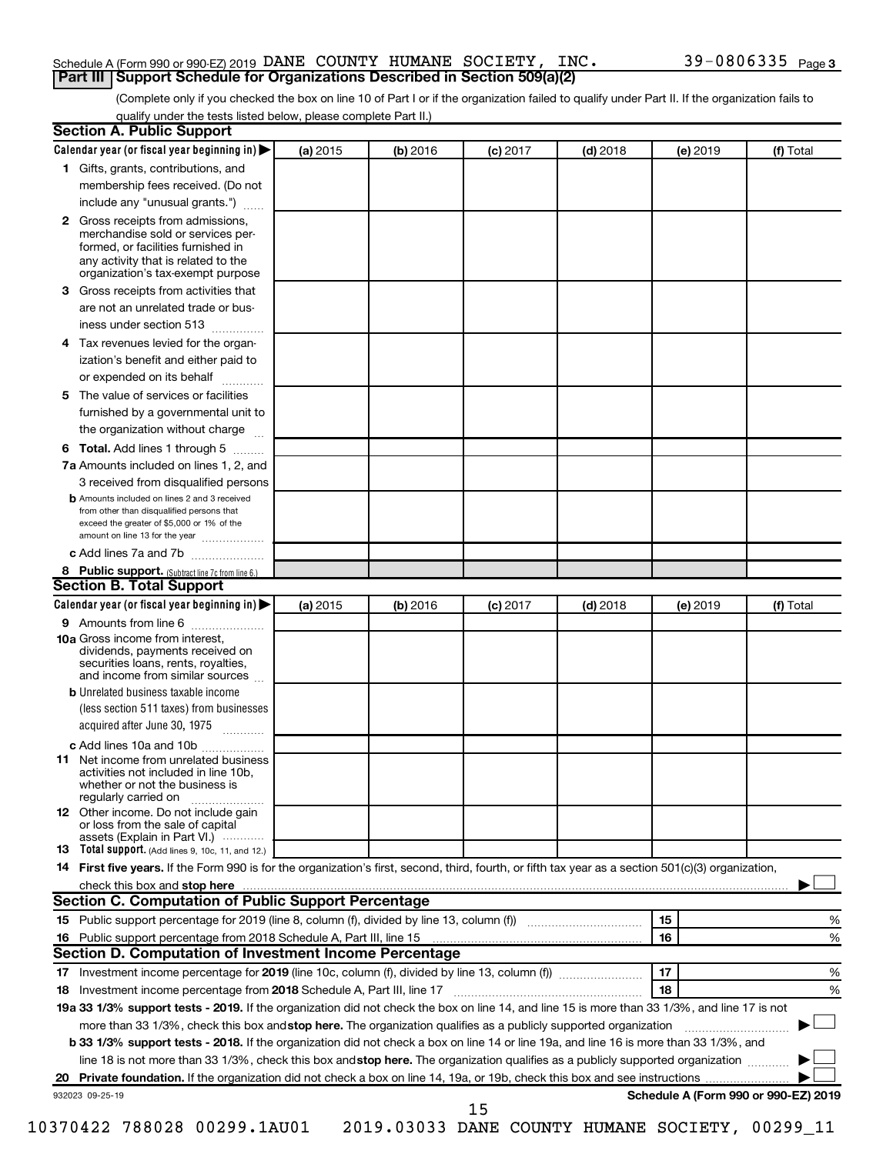#### Schedule A (Form 990 or 990-EZ) 2019 DANE COUNTY HUMANE SOCIETY, INC.  $39-0806335$   $_{\rm Page}$ **Part III Support Schedule for Organizations Described in Section 509(a)(2)**

(Complete only if you checked the box on line 10 of Part I or if the organization failed to qualify under Part II. If the organization fails to qualify under the tests listed below, please complete Part II.)

| <b>Section A. Public Support</b>                                                                                                                                                                                                        |          |          |            |            |          |                                      |
|-----------------------------------------------------------------------------------------------------------------------------------------------------------------------------------------------------------------------------------------|----------|----------|------------|------------|----------|--------------------------------------|
| Calendar year (or fiscal year beginning in)                                                                                                                                                                                             | (a) 2015 | (b) 2016 | $(c)$ 2017 | $(d)$ 2018 | (e) 2019 | (f) Total                            |
| 1 Gifts, grants, contributions, and                                                                                                                                                                                                     |          |          |            |            |          |                                      |
| membership fees received. (Do not                                                                                                                                                                                                       |          |          |            |            |          |                                      |
| include any "unusual grants.")                                                                                                                                                                                                          |          |          |            |            |          |                                      |
| <b>2</b> Gross receipts from admissions,<br>merchandise sold or services per-<br>formed, or facilities furnished in<br>any activity that is related to the<br>organization's tax-exempt purpose                                         |          |          |            |            |          |                                      |
| 3 Gross receipts from activities that                                                                                                                                                                                                   |          |          |            |            |          |                                      |
| are not an unrelated trade or bus-<br>iness under section 513                                                                                                                                                                           |          |          |            |            |          |                                      |
| 4 Tax revenues levied for the organ-                                                                                                                                                                                                    |          |          |            |            |          |                                      |
| ization's benefit and either paid to                                                                                                                                                                                                    |          |          |            |            |          |                                      |
| or expended on its behalf                                                                                                                                                                                                               |          |          |            |            |          |                                      |
| 5 The value of services or facilities                                                                                                                                                                                                   |          |          |            |            |          |                                      |
| furnished by a governmental unit to                                                                                                                                                                                                     |          |          |            |            |          |                                      |
| the organization without charge                                                                                                                                                                                                         |          |          |            |            |          |                                      |
| 6 Total. Add lines 1 through 5                                                                                                                                                                                                          |          |          |            |            |          |                                      |
| 7a Amounts included on lines 1, 2, and                                                                                                                                                                                                  |          |          |            |            |          |                                      |
| 3 received from disqualified persons                                                                                                                                                                                                    |          |          |            |            |          |                                      |
| <b>b</b> Amounts included on lines 2 and 3 received<br>from other than disqualified persons that<br>exceed the greater of \$5,000 or 1% of the<br>amount on line 13 for the year                                                        |          |          |            |            |          |                                      |
| c Add lines 7a and 7b                                                                                                                                                                                                                   |          |          |            |            |          |                                      |
| 8 Public support. (Subtract line 7c from line 6.)                                                                                                                                                                                       |          |          |            |            |          |                                      |
| <b>Section B. Total Support</b>                                                                                                                                                                                                         |          |          |            |            |          |                                      |
| Calendar year (or fiscal year beginning in)                                                                                                                                                                                             | (a) 2015 | (b) 2016 | $(c)$ 2017 | $(d)$ 2018 | (e) 2019 | (f) Total                            |
| 9 Amounts from line 6                                                                                                                                                                                                                   |          |          |            |            |          |                                      |
| <b>10a</b> Gross income from interest,<br>dividends, payments received on<br>securities loans, rents, royalties,<br>and income from similar sources                                                                                     |          |          |            |            |          |                                      |
| <b>b</b> Unrelated business taxable income<br>(less section 511 taxes) from businesses                                                                                                                                                  |          |          |            |            |          |                                      |
| acquired after June 30, 1975                                                                                                                                                                                                            |          |          |            |            |          |                                      |
| c Add lines 10a and 10b                                                                                                                                                                                                                 |          |          |            |            |          |                                      |
| <b>11</b> Net income from unrelated business<br>activities not included in line 10b.<br>whether or not the business is<br>regularly carried on                                                                                          |          |          |            |            |          |                                      |
| 12 Other income. Do not include gain<br>or loss from the sale of capital<br>assets (Explain in Part VI.)                                                                                                                                |          |          |            |            |          |                                      |
| <b>13</b> Total support. (Add lines 9, 10c, 11, and 12.)                                                                                                                                                                                |          |          |            |            |          |                                      |
| 14 First five years. If the Form 990 is for the organization's first, second, third, fourth, or fifth tax year as a section 501(c)(3) organization,                                                                                     |          |          |            |            |          |                                      |
| check this box and stop here <b>contained and the contained and stop here</b> check this box and stop here <b>contained and the contained and stop here</b> contained and stop here contained and and stop here contained and stop here |          |          |            |            |          |                                      |
| Section C. Computation of Public Support Percentage                                                                                                                                                                                     |          |          |            |            |          |                                      |
| 15 Public support percentage for 2019 (line 8, column (f), divided by line 13, column (f) <i></i>                                                                                                                                       |          |          |            |            | 15       | ℅                                    |
|                                                                                                                                                                                                                                         |          |          |            |            | 16       | %                                    |
| Section D. Computation of Investment Income Percentage                                                                                                                                                                                  |          |          |            |            |          |                                      |
|                                                                                                                                                                                                                                         |          |          |            |            | 17       | %                                    |
| 18 Investment income percentage from 2018 Schedule A, Part III, line 17                                                                                                                                                                 |          |          |            |            | 18       | %                                    |
| 19a 33 1/3% support tests - 2019. If the organization did not check the box on line 14, and line 15 is more than 33 1/3%, and line 17 is not                                                                                            |          |          |            |            |          |                                      |
| more than 33 1/3%, check this box and stop here. The organization qualifies as a publicly supported organization                                                                                                                        |          |          |            |            |          |                                      |
| b 33 1/3% support tests - 2018. If the organization did not check a box on line 14 or line 19a, and line 16 is more than 33 1/3%, and                                                                                                   |          |          |            |            |          |                                      |
| line 18 is not more than 33 1/3%, check this box and stop here. The organization qualifies as a publicly supported organization                                                                                                         |          |          |            |            |          |                                      |
|                                                                                                                                                                                                                                         |          |          |            |            |          |                                      |
| 932023 09-25-19                                                                                                                                                                                                                         |          |          | 15         |            |          | Schedule A (Form 990 or 990-EZ) 2019 |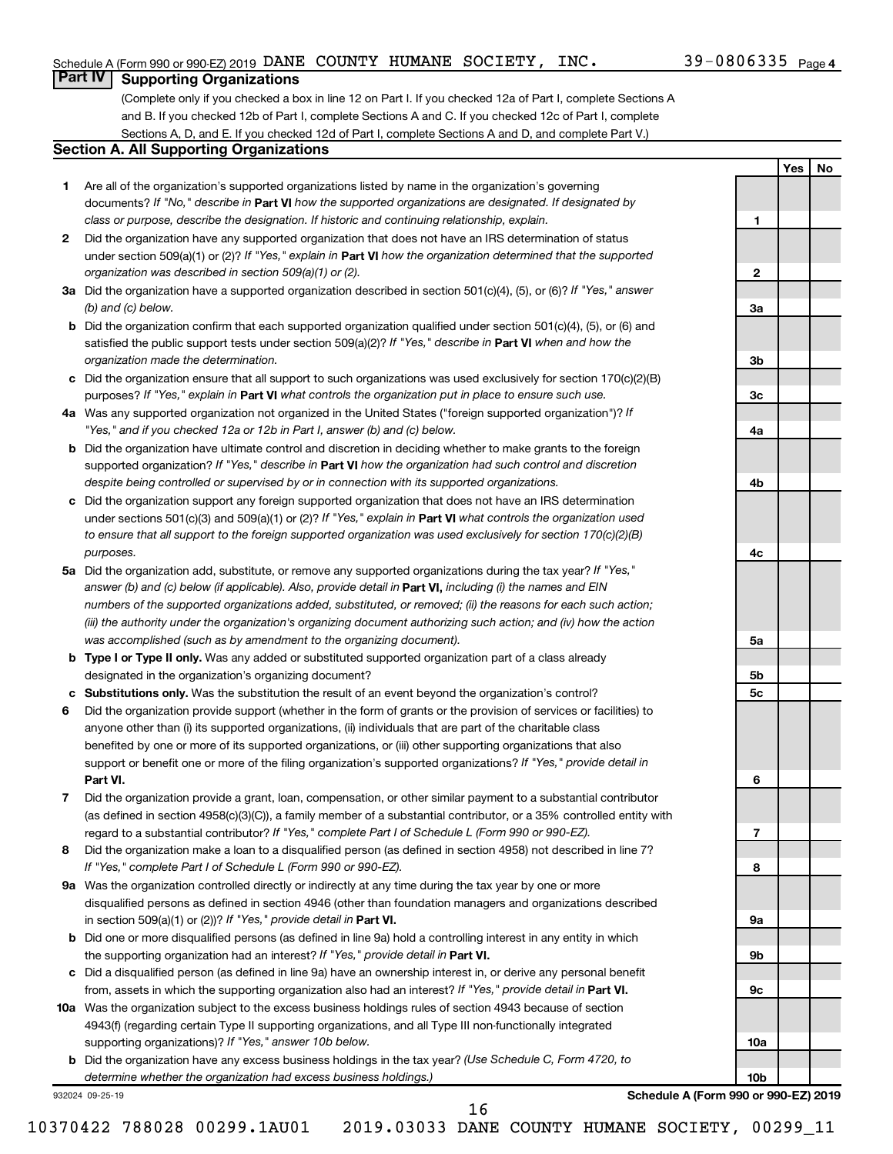**1**

**2**

**3a**

**3b**

**3c**

**4a**

**4b**

**4c**

**5a**

**5b 5c**

**6**

**7**

**8**

**9a**

**9b**

**9c**

**10a**

**10b**

**Yes No**

## **Part IV Supporting Organizations**

(Complete only if you checked a box in line 12 on Part I. If you checked 12a of Part I, complete Sections A and B. If you checked 12b of Part I, complete Sections A and C. If you checked 12c of Part I, complete Sections A, D, and E. If you checked 12d of Part I, complete Sections A and D, and complete Part V.)

#### **Section A. All Supporting Organizations**

- **1** Are all of the organization's supported organizations listed by name in the organization's governing documents? If "No," describe in Part VI how the supported organizations are designated. If designated by *class or purpose, describe the designation. If historic and continuing relationship, explain.*
- **2** Did the organization have any supported organization that does not have an IRS determination of status under section 509(a)(1) or (2)? If "Yes," explain in Part **VI** how the organization determined that the supported *organization was described in section 509(a)(1) or (2).*
- **3a** Did the organization have a supported organization described in section 501(c)(4), (5), or (6)? If "Yes," answer *(b) and (c) below.*
- **b** Did the organization confirm that each supported organization qualified under section 501(c)(4), (5), or (6) and satisfied the public support tests under section 509(a)(2)? If "Yes," describe in Part VI when and how the *organization made the determination.*
- **c** Did the organization ensure that all support to such organizations was used exclusively for section 170(c)(2)(B) purposes? If "Yes," explain in Part VI what controls the organization put in place to ensure such use.
- **4 a** *If* Was any supported organization not organized in the United States ("foreign supported organization")? *"Yes," and if you checked 12a or 12b in Part I, answer (b) and (c) below.*
- **b** Did the organization have ultimate control and discretion in deciding whether to make grants to the foreign supported organization? If "Yes," describe in Part VI how the organization had such control and discretion *despite being controlled or supervised by or in connection with its supported organizations.*
- **c** Did the organization support any foreign supported organization that does not have an IRS determination under sections 501(c)(3) and 509(a)(1) or (2)? If "Yes," explain in Part VI what controls the organization used *to ensure that all support to the foreign supported organization was used exclusively for section 170(c)(2)(B) purposes.*
- **5a** Did the organization add, substitute, or remove any supported organizations during the tax year? If "Yes," answer (b) and (c) below (if applicable). Also, provide detail in **Part VI,** including (i) the names and EIN *numbers of the supported organizations added, substituted, or removed; (ii) the reasons for each such action; (iii) the authority under the organization's organizing document authorizing such action; and (iv) how the action was accomplished (such as by amendment to the organizing document).*
- **b Type I or Type II only.** Was any added or substituted supported organization part of a class already designated in the organization's organizing document?
- **c Substitutions only.**  Was the substitution the result of an event beyond the organization's control?
- **6** Did the organization provide support (whether in the form of grants or the provision of services or facilities) to **Part VI.** support or benefit one or more of the filing organization's supported organizations? If "Yes," provide detail in anyone other than (i) its supported organizations, (ii) individuals that are part of the charitable class benefited by one or more of its supported organizations, or (iii) other supporting organizations that also
- **7** Did the organization provide a grant, loan, compensation, or other similar payment to a substantial contributor regard to a substantial contributor? If "Yes," complete Part I of Schedule L (Form 990 or 990-EZ). (as defined in section 4958(c)(3)(C)), a family member of a substantial contributor, or a 35% controlled entity with
- **8** Did the organization make a loan to a disqualified person (as defined in section 4958) not described in line 7? *If "Yes," complete Part I of Schedule L (Form 990 or 990-EZ).*
- **9 a** Was the organization controlled directly or indirectly at any time during the tax year by one or more in section 509(a)(1) or (2))? If "Yes," provide detail in **Part VI.** disqualified persons as defined in section 4946 (other than foundation managers and organizations described
- **b** Did one or more disqualified persons (as defined in line 9a) hold a controlling interest in any entity in which the supporting organization had an interest? If "Yes," provide detail in Part VI.
- **c** Did a disqualified person (as defined in line 9a) have an ownership interest in, or derive any personal benefit from, assets in which the supporting organization also had an interest? If "Yes," provide detail in Part VI.
- **10 a** Was the organization subject to the excess business holdings rules of section 4943 because of section supporting organizations)? If "Yes," answer 10b below. 4943(f) (regarding certain Type II supporting organizations, and all Type III non-functionally integrated
	- **b** Did the organization have any excess business holdings in the tax year? (Use Schedule C, Form 4720, to *determine whether the organization had excess business holdings.)*

932024 09-25-19

**Schedule A (Form 990 or 990-EZ) 2019**

10370422 788028 00299.1AU01 2019.03033 DANE COUNTY HUMANE SOCIETY, 00299\_11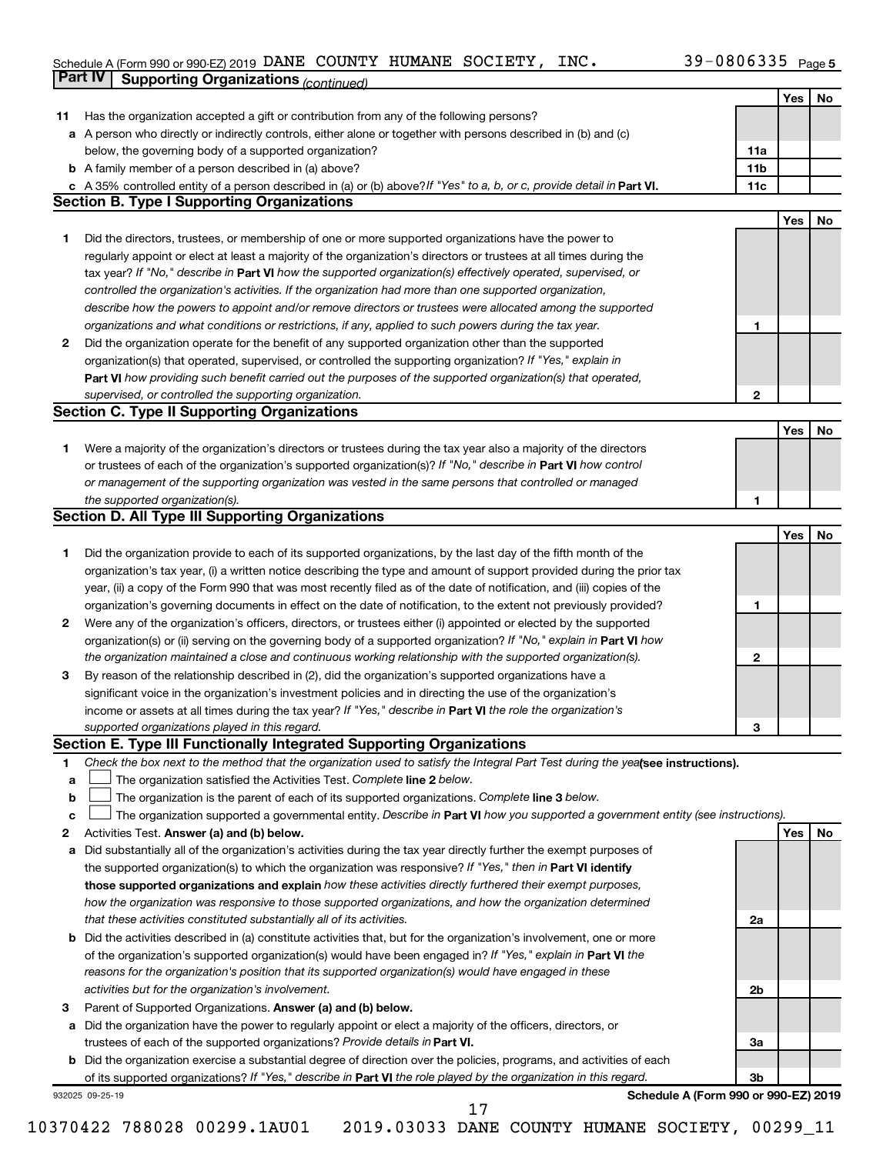#### Schedule A (Form 990 or 990-EZ) 2019 DANE COUNTY HUMANE SOCIETY, INC.  $39-0800335$  Page DANE COUNTY HUMANE SOCIETY, INC. 39-0806335

|             | Part IV<br><b>Supporting Organizations (continued)</b>                                                                          |                 |     |    |
|-------------|---------------------------------------------------------------------------------------------------------------------------------|-----------------|-----|----|
|             |                                                                                                                                 |                 | Yes | No |
| 11          | Has the organization accepted a gift or contribution from any of the following persons?                                         |                 |     |    |
|             | a A person who directly or indirectly controls, either alone or together with persons described in (b) and (c)                  |                 |     |    |
|             | below, the governing body of a supported organization?                                                                          | 11a             |     |    |
|             | <b>b</b> A family member of a person described in (a) above?                                                                    | 11 <sub>b</sub> |     |    |
|             | c A 35% controlled entity of a person described in (a) or (b) above? If "Yes" to a, b, or c, provide detail in Part VI.         | 11c             |     |    |
|             | <b>Section B. Type I Supporting Organizations</b>                                                                               |                 |     |    |
|             |                                                                                                                                 |                 | Yes | No |
|             |                                                                                                                                 |                 |     |    |
| 1           | Did the directors, trustees, or membership of one or more supported organizations have the power to                             |                 |     |    |
|             | regularly appoint or elect at least a majority of the organization's directors or trustees at all times during the              |                 |     |    |
|             | tax year? If "No," describe in Part VI how the supported organization(s) effectively operated, supervised, or                   |                 |     |    |
|             | controlled the organization's activities. If the organization had more than one supported organization,                         |                 |     |    |
|             | describe how the powers to appoint and/or remove directors or trustees were allocated among the supported                       |                 |     |    |
|             | organizations and what conditions or restrictions, if any, applied to such powers during the tax year.                          | 1               |     |    |
| 2           | Did the organization operate for the benefit of any supported organization other than the supported                             |                 |     |    |
|             | organization(s) that operated, supervised, or controlled the supporting organization? If "Yes," explain in                      |                 |     |    |
|             | Part VI how providing such benefit carried out the purposes of the supported organization(s) that operated,                     |                 |     |    |
|             | supervised, or controlled the supporting organization.                                                                          | $\mathbf{2}$    |     |    |
|             | <b>Section C. Type II Supporting Organizations</b>                                                                              |                 |     |    |
|             |                                                                                                                                 |                 | Yes | No |
| 1           | Were a majority of the organization's directors or trustees during the tax year also a majority of the directors                |                 |     |    |
|             | or trustees of each of the organization's supported organization(s)? If "No," describe in Part VI how control                   |                 |     |    |
|             | or management of the supporting organization was vested in the same persons that controlled or managed                          |                 |     |    |
|             | the supported organization(s).                                                                                                  | 1               |     |    |
|             | <b>Section D. All Type III Supporting Organizations</b>                                                                         |                 |     |    |
|             |                                                                                                                                 |                 | Yes | No |
| 1           | Did the organization provide to each of its supported organizations, by the last day of the fifth month of the                  |                 |     |    |
|             | organization's tax year, (i) a written notice describing the type and amount of support provided during the prior tax           |                 |     |    |
|             | year, (ii) a copy of the Form 990 that was most recently filed as of the date of notification, and (iii) copies of the          |                 |     |    |
|             |                                                                                                                                 | 1               |     |    |
|             | organization's governing documents in effect on the date of notification, to the extent not previously provided?                |                 |     |    |
| 2           | Were any of the organization's officers, directors, or trustees either (i) appointed or elected by the supported                |                 |     |    |
|             | organization(s) or (ii) serving on the governing body of a supported organization? If "No," explain in Part VI how              |                 |     |    |
|             | the organization maintained a close and continuous working relationship with the supported organization(s).                     | 2               |     |    |
| 3           | By reason of the relationship described in (2), did the organization's supported organizations have a                           |                 |     |    |
|             | significant voice in the organization's investment policies and in directing the use of the organization's                      |                 |     |    |
|             | income or assets at all times during the tax year? If "Yes," describe in Part VI the role the organization's                    |                 |     |    |
|             | supported organizations played in this regard.                                                                                  | з               |     |    |
|             | Section E. Type III Functionally Integrated Supporting Organizations                                                            |                 |     |    |
| 1           | Check the box next to the method that the organization used to satisfy the Integral Part Test during the yealsee instructions). |                 |     |    |
| a           | The organization satisfied the Activities Test. Complete line 2 below.                                                          |                 |     |    |
| $\mathbf b$ | The organization is the parent of each of its supported organizations. Complete line 3 below.                                   |                 |     |    |
| c           | The organization supported a governmental entity. Describe in Part VI how you supported a government entity (see instructions). |                 |     |    |
| 2           | Activities Test. Answer (a) and (b) below.                                                                                      |                 | Yes | No |
| а           | Did substantially all of the organization's activities during the tax year directly further the exempt purposes of              |                 |     |    |
|             | the supported organization(s) to which the organization was responsive? If "Yes," then in Part VI identify                      |                 |     |    |
|             | those supported organizations and explain how these activities directly furthered their exempt purposes,                        |                 |     |    |
|             | how the organization was responsive to those supported organizations, and how the organization determined                       |                 |     |    |
|             | that these activities constituted substantially all of its activities.                                                          | 2a              |     |    |
|             | <b>b</b> Did the activities described in (a) constitute activities that, but for the organization's involvement, one or more    |                 |     |    |
|             | of the organization's supported organization(s) would have been engaged in? If "Yes," explain in Part VI the                    |                 |     |    |
|             | reasons for the organization's position that its supported organization(s) would have engaged in these                          |                 |     |    |
|             | activities but for the organization's involvement.                                                                              | 2b              |     |    |
| з           | Parent of Supported Organizations. Answer (a) and (b) below.                                                                    |                 |     |    |
| а           | Did the organization have the power to regularly appoint or elect a majority of the officers, directors, or                     |                 |     |    |
|             |                                                                                                                                 | За              |     |    |
|             | trustees of each of the supported organizations? Provide details in Part VI.                                                    |                 |     |    |
|             | <b>b</b> Did the organization exercise a substantial degree of direction over the policies, programs, and activities of each    |                 |     |    |
|             | of its supported organizations? If "Yes," describe in Part VI the role played by the organization in this regard.               | 3b              |     |    |
|             | Schedule A (Form 990 or 990-EZ) 2019<br>932025 09-25-19<br>17                                                                   |                 |     |    |
|             |                                                                                                                                 |                 |     |    |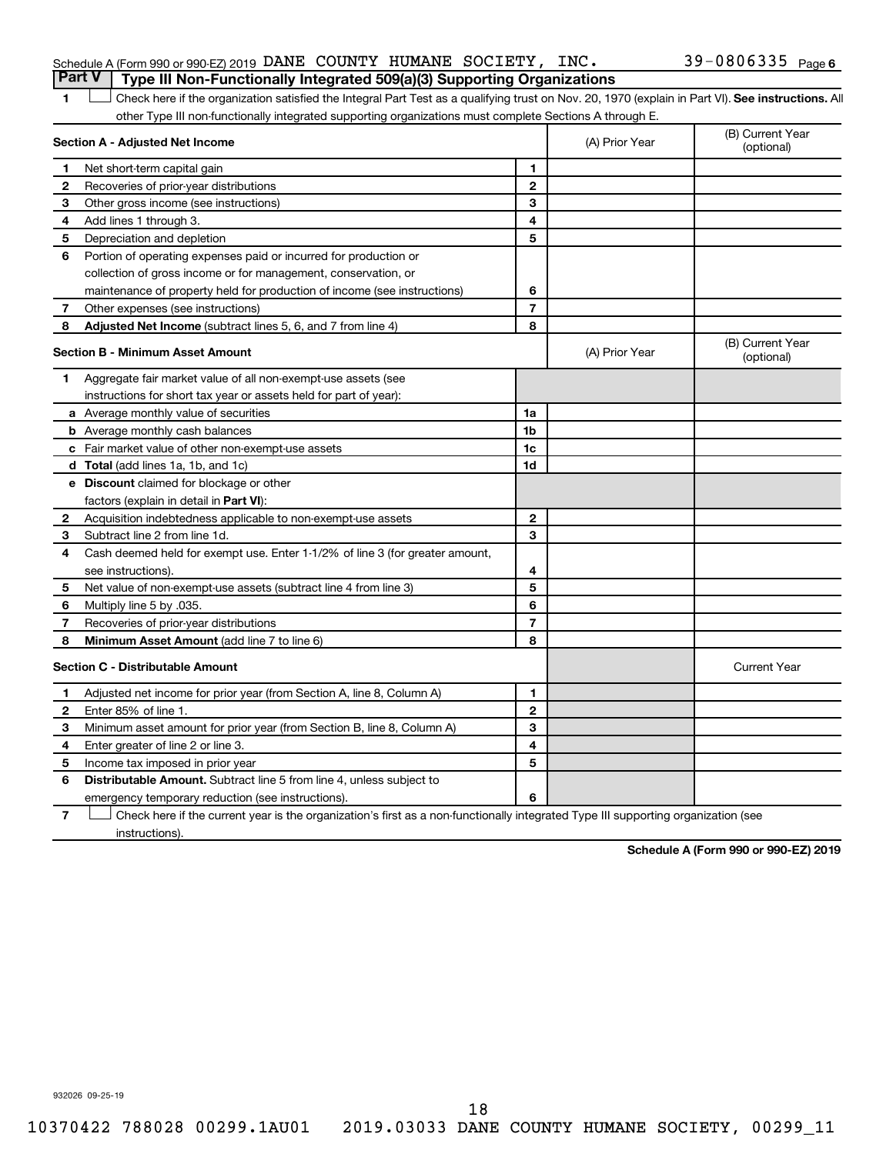#### Schedule A (Form 990 or 990-EZ) 2019 DANE COUNTY HUMANE SOCIETY, INC.  $39-0806335$   $_{\rm Page}$ **Part V Type III Non-Functionally Integrated 509(a)(3) Supporting Organizations**

1 **Letter See instructions.** All Check here if the organization satisfied the Integral Part Test as a qualifying trust on Nov. 20, 1970 (explain in Part VI). See instructions. All other Type III non-functionally integrated supporting organizations must complete Sections A through E.

|                | Section A - Adjusted Net Income                                              | (A) Prior Year | (B) Current Year<br>(optional) |                                |
|----------------|------------------------------------------------------------------------------|----------------|--------------------------------|--------------------------------|
| 1              | Net short-term capital gain                                                  | 1              |                                |                                |
| 2              | Recoveries of prior-year distributions                                       | $\mathbf{2}$   |                                |                                |
| 3              | Other gross income (see instructions)                                        | 3              |                                |                                |
| 4              | Add lines 1 through 3.                                                       | 4              |                                |                                |
| 5              | Depreciation and depletion                                                   | 5              |                                |                                |
| 6              | Portion of operating expenses paid or incurred for production or             |                |                                |                                |
|                | collection of gross income or for management, conservation, or               |                |                                |                                |
|                | maintenance of property held for production of income (see instructions)     | 6              |                                |                                |
| 7              | Other expenses (see instructions)                                            | $\overline{7}$ |                                |                                |
| 8              | Adjusted Net Income (subtract lines 5, 6, and 7 from line 4)                 | 8              |                                |                                |
|                | <b>Section B - Minimum Asset Amount</b>                                      |                | (A) Prior Year                 | (B) Current Year<br>(optional) |
| 1.             | Aggregate fair market value of all non-exempt-use assets (see                |                |                                |                                |
|                | instructions for short tax year or assets held for part of year):            |                |                                |                                |
|                | a Average monthly value of securities                                        | 1a             |                                |                                |
|                | <b>b</b> Average monthly cash balances                                       | 1 <sub>b</sub> |                                |                                |
|                | c Fair market value of other non-exempt-use assets                           | 1c             |                                |                                |
|                | d Total (add lines 1a, 1b, and 1c)                                           | 1 <sub>d</sub> |                                |                                |
|                | e Discount claimed for blockage or other                                     |                |                                |                                |
|                | factors (explain in detail in <b>Part VI</b> ):                              |                |                                |                                |
| 2              | Acquisition indebtedness applicable to non-exempt-use assets                 | $\mathbf{2}$   |                                |                                |
| 3              | Subtract line 2 from line 1d.                                                | 3              |                                |                                |
| 4              | Cash deemed held for exempt use. Enter 1-1/2% of line 3 (for greater amount, |                |                                |                                |
|                | see instructions).                                                           | 4              |                                |                                |
| 5              | Net value of non-exempt-use assets (subtract line 4 from line 3)             | 5              |                                |                                |
| 6              | Multiply line 5 by .035.                                                     | 6              |                                |                                |
| $\overline{7}$ | Recoveries of prior-year distributions                                       | 7              |                                |                                |
| 8              | Minimum Asset Amount (add line 7 to line 6)                                  | 8              |                                |                                |
|                | <b>Section C - Distributable Amount</b>                                      |                |                                | <b>Current Year</b>            |
| 1              | Adjusted net income for prior year (from Section A, line 8, Column A)        | 1              |                                |                                |
| $\mathbf{2}$   | Enter 85% of line 1.                                                         | $\overline{2}$ |                                |                                |
| 3              | Minimum asset amount for prior year (from Section B, line 8, Column A)       | 3              |                                |                                |
| 4              | Enter greater of line 2 or line 3.                                           | 4              |                                |                                |
| 5              | Income tax imposed in prior year                                             | 5              |                                |                                |
| 6              | Distributable Amount. Subtract line 5 from line 4, unless subject to         |                |                                |                                |
|                | emergency temporary reduction (see instructions).                            | 6              |                                |                                |
|                |                                                                              |                |                                |                                |

**7** Check here if the current year is the organization's first as a non-functionally integrated Type III supporting organization (see † instructions).

**Schedule A (Form 990 or 990-EZ) 2019**

932026 09-25-19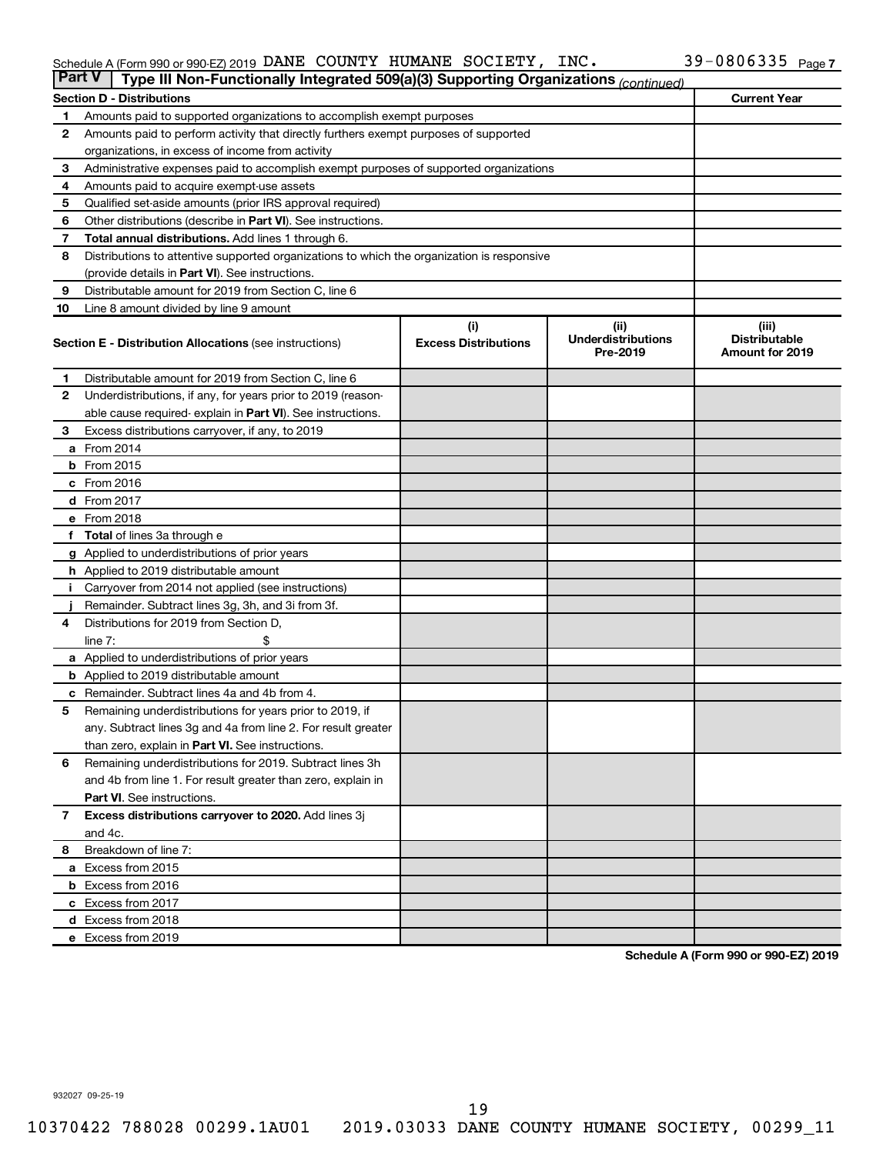#### Schedule A (Form 990 or 990-EZ) 2019 DANE COUNTY HUMANE SOCIETY, INC.  $39-0800335$  Page DANE COUNTY HUMANE SOCIETY, INC. 39-0806335

| <b>Part V</b><br>Type III Non-Functionally Integrated 509(a)(3) Supporting Organizations (continued) |                                                                                            |                                    |                                               |                                                         |  |  |  |  |
|------------------------------------------------------------------------------------------------------|--------------------------------------------------------------------------------------------|------------------------------------|-----------------------------------------------|---------------------------------------------------------|--|--|--|--|
| <b>Current Year</b><br><b>Section D - Distributions</b>                                              |                                                                                            |                                    |                                               |                                                         |  |  |  |  |
| 1                                                                                                    | Amounts paid to supported organizations to accomplish exempt purposes                      |                                    |                                               |                                                         |  |  |  |  |
| $\mathbf{2}$                                                                                         | Amounts paid to perform activity that directly furthers exempt purposes of supported       |                                    |                                               |                                                         |  |  |  |  |
|                                                                                                      | organizations, in excess of income from activity                                           |                                    |                                               |                                                         |  |  |  |  |
| 3                                                                                                    | Administrative expenses paid to accomplish exempt purposes of supported organizations      |                                    |                                               |                                                         |  |  |  |  |
| 4                                                                                                    | Amounts paid to acquire exempt-use assets                                                  |                                    |                                               |                                                         |  |  |  |  |
| 5                                                                                                    | Qualified set-aside amounts (prior IRS approval required)                                  |                                    |                                               |                                                         |  |  |  |  |
| 6                                                                                                    | Other distributions (describe in <b>Part VI</b> ). See instructions.                       |                                    |                                               |                                                         |  |  |  |  |
| 7                                                                                                    | Total annual distributions. Add lines 1 through 6.                                         |                                    |                                               |                                                         |  |  |  |  |
| 8                                                                                                    | Distributions to attentive supported organizations to which the organization is responsive |                                    |                                               |                                                         |  |  |  |  |
|                                                                                                      | (provide details in Part VI). See instructions.                                            |                                    |                                               |                                                         |  |  |  |  |
| 9                                                                                                    | Distributable amount for 2019 from Section C, line 6                                       |                                    |                                               |                                                         |  |  |  |  |
| 10                                                                                                   | Line 8 amount divided by line 9 amount                                                     |                                    |                                               |                                                         |  |  |  |  |
|                                                                                                      | <b>Section E - Distribution Allocations (see instructions)</b>                             | (i)<br><b>Excess Distributions</b> | (ii)<br><b>Underdistributions</b><br>Pre-2019 | (iii)<br><b>Distributable</b><br><b>Amount for 2019</b> |  |  |  |  |
|                                                                                                      |                                                                                            |                                    |                                               |                                                         |  |  |  |  |
| 1                                                                                                    | Distributable amount for 2019 from Section C, line 6                                       |                                    |                                               |                                                         |  |  |  |  |
| 2                                                                                                    | Underdistributions, if any, for years prior to 2019 (reason-                               |                                    |                                               |                                                         |  |  |  |  |
|                                                                                                      | able cause required-explain in Part VI). See instructions.                                 |                                    |                                               |                                                         |  |  |  |  |
| 3                                                                                                    | Excess distributions carryover, if any, to 2019                                            |                                    |                                               |                                                         |  |  |  |  |
|                                                                                                      | a From 2014                                                                                |                                    |                                               |                                                         |  |  |  |  |
|                                                                                                      | <b>b</b> From 2015                                                                         |                                    |                                               |                                                         |  |  |  |  |
|                                                                                                      | c From 2016                                                                                |                                    |                                               |                                                         |  |  |  |  |
|                                                                                                      | d From 2017                                                                                |                                    |                                               |                                                         |  |  |  |  |
|                                                                                                      | e From 2018                                                                                |                                    |                                               |                                                         |  |  |  |  |
|                                                                                                      | f Total of lines 3a through e                                                              |                                    |                                               |                                                         |  |  |  |  |
|                                                                                                      | <b>g</b> Applied to underdistributions of prior years                                      |                                    |                                               |                                                         |  |  |  |  |
|                                                                                                      | <b>h</b> Applied to 2019 distributable amount                                              |                                    |                                               |                                                         |  |  |  |  |
| Ť.                                                                                                   | Carryover from 2014 not applied (see instructions)                                         |                                    |                                               |                                                         |  |  |  |  |
|                                                                                                      | Remainder. Subtract lines 3g, 3h, and 3i from 3f.                                          |                                    |                                               |                                                         |  |  |  |  |
| 4                                                                                                    | Distributions for 2019 from Section D,                                                     |                                    |                                               |                                                         |  |  |  |  |
|                                                                                                      | line $7:$                                                                                  |                                    |                                               |                                                         |  |  |  |  |
|                                                                                                      | a Applied to underdistributions of prior years                                             |                                    |                                               |                                                         |  |  |  |  |
|                                                                                                      | <b>b</b> Applied to 2019 distributable amount                                              |                                    |                                               |                                                         |  |  |  |  |
| c                                                                                                    | Remainder. Subtract lines 4a and 4b from 4.                                                |                                    |                                               |                                                         |  |  |  |  |
| 5                                                                                                    | Remaining underdistributions for years prior to 2019, if                                   |                                    |                                               |                                                         |  |  |  |  |
|                                                                                                      | any. Subtract lines 3g and 4a from line 2. For result greater                              |                                    |                                               |                                                         |  |  |  |  |
|                                                                                                      | than zero, explain in Part VI. See instructions.                                           |                                    |                                               |                                                         |  |  |  |  |
| 6                                                                                                    | Remaining underdistributions for 2019. Subtract lines 3h                                   |                                    |                                               |                                                         |  |  |  |  |
|                                                                                                      | and 4b from line 1. For result greater than zero, explain in                               |                                    |                                               |                                                         |  |  |  |  |
|                                                                                                      | <b>Part VI.</b> See instructions.                                                          |                                    |                                               |                                                         |  |  |  |  |
| $\overline{7}$                                                                                       | Excess distributions carryover to 2020. Add lines 3j                                       |                                    |                                               |                                                         |  |  |  |  |
|                                                                                                      | and 4c.                                                                                    |                                    |                                               |                                                         |  |  |  |  |
| 8                                                                                                    | Breakdown of line 7:                                                                       |                                    |                                               |                                                         |  |  |  |  |
|                                                                                                      | a Excess from 2015                                                                         |                                    |                                               |                                                         |  |  |  |  |
|                                                                                                      | <b>b</b> Excess from 2016                                                                  |                                    |                                               |                                                         |  |  |  |  |
|                                                                                                      | c Excess from 2017                                                                         |                                    |                                               |                                                         |  |  |  |  |
|                                                                                                      | d Excess from 2018                                                                         |                                    |                                               |                                                         |  |  |  |  |
|                                                                                                      | e Excess from 2019                                                                         |                                    |                                               |                                                         |  |  |  |  |

**Schedule A (Form 990 or 990-EZ) 2019**

932027 09-25-19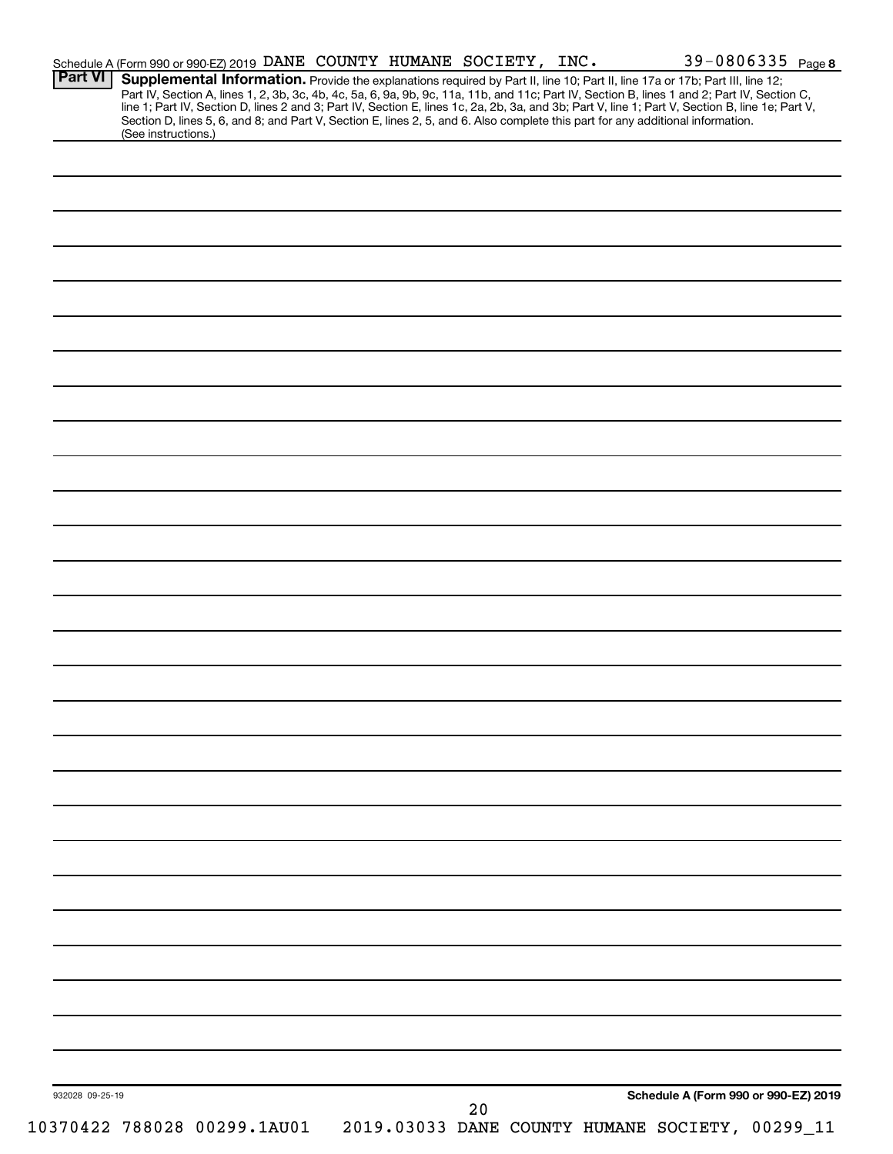| Supplemental Information. Provide the explanations required by Part II, line 10; Part II, line 17a or 17b; Part III, line 12;<br>Part IV, Section A, lines 1, 2, 3b, 3c, 4b, 4c, 5a, 6, 9a, 9b, 9c, 11a, 11b, and 11c; Part IV, Section B, lines 1 and 2; Part IV, Section C,<br>line 1; Part IV, Section D, lines 2 and 3; Part IV, Section E, lines 1c, 2a, 2b,<br>Section D, lines 5, 6, and 8; and Part V, Section E, lines 2, 5, and 6. Also complete this part for any additional information.<br>(See instructions.)<br>Schedule A (Form 990 or 990-EZ) 2019<br>932028 09-25-19<br>20<br>10370422 788028 00299.1AU01<br>2019.03033 DANE COUNTY HUMANE SOCIETY, 00299_11 | <b>Part VI</b> | Schedule A (Form 990 or 990-EZ) 2019 DANE COUNTY HUMANE SOCIETY, INC. |  |  |  | 39-0806335 Page 8 |
|--------------------------------------------------------------------------------------------------------------------------------------------------------------------------------------------------------------------------------------------------------------------------------------------------------------------------------------------------------------------------------------------------------------------------------------------------------------------------------------------------------------------------------------------------------------------------------------------------------------------------------------------------------------------------------|----------------|-----------------------------------------------------------------------|--|--|--|-------------------|
|                                                                                                                                                                                                                                                                                                                                                                                                                                                                                                                                                                                                                                                                                |                |                                                                       |  |  |  |                   |
|                                                                                                                                                                                                                                                                                                                                                                                                                                                                                                                                                                                                                                                                                |                |                                                                       |  |  |  |                   |
|                                                                                                                                                                                                                                                                                                                                                                                                                                                                                                                                                                                                                                                                                |                |                                                                       |  |  |  |                   |
|                                                                                                                                                                                                                                                                                                                                                                                                                                                                                                                                                                                                                                                                                |                |                                                                       |  |  |  |                   |
|                                                                                                                                                                                                                                                                                                                                                                                                                                                                                                                                                                                                                                                                                |                |                                                                       |  |  |  |                   |
|                                                                                                                                                                                                                                                                                                                                                                                                                                                                                                                                                                                                                                                                                |                |                                                                       |  |  |  |                   |
|                                                                                                                                                                                                                                                                                                                                                                                                                                                                                                                                                                                                                                                                                |                |                                                                       |  |  |  |                   |
|                                                                                                                                                                                                                                                                                                                                                                                                                                                                                                                                                                                                                                                                                |                |                                                                       |  |  |  |                   |
|                                                                                                                                                                                                                                                                                                                                                                                                                                                                                                                                                                                                                                                                                |                |                                                                       |  |  |  |                   |
|                                                                                                                                                                                                                                                                                                                                                                                                                                                                                                                                                                                                                                                                                |                |                                                                       |  |  |  |                   |
|                                                                                                                                                                                                                                                                                                                                                                                                                                                                                                                                                                                                                                                                                |                |                                                                       |  |  |  |                   |
|                                                                                                                                                                                                                                                                                                                                                                                                                                                                                                                                                                                                                                                                                |                |                                                                       |  |  |  |                   |
|                                                                                                                                                                                                                                                                                                                                                                                                                                                                                                                                                                                                                                                                                |                |                                                                       |  |  |  |                   |
|                                                                                                                                                                                                                                                                                                                                                                                                                                                                                                                                                                                                                                                                                |                |                                                                       |  |  |  |                   |
|                                                                                                                                                                                                                                                                                                                                                                                                                                                                                                                                                                                                                                                                                |                |                                                                       |  |  |  |                   |
|                                                                                                                                                                                                                                                                                                                                                                                                                                                                                                                                                                                                                                                                                |                |                                                                       |  |  |  |                   |
|                                                                                                                                                                                                                                                                                                                                                                                                                                                                                                                                                                                                                                                                                |                |                                                                       |  |  |  |                   |
|                                                                                                                                                                                                                                                                                                                                                                                                                                                                                                                                                                                                                                                                                |                |                                                                       |  |  |  |                   |
|                                                                                                                                                                                                                                                                                                                                                                                                                                                                                                                                                                                                                                                                                |                |                                                                       |  |  |  |                   |
|                                                                                                                                                                                                                                                                                                                                                                                                                                                                                                                                                                                                                                                                                |                |                                                                       |  |  |  |                   |
|                                                                                                                                                                                                                                                                                                                                                                                                                                                                                                                                                                                                                                                                                |                |                                                                       |  |  |  |                   |
|                                                                                                                                                                                                                                                                                                                                                                                                                                                                                                                                                                                                                                                                                |                |                                                                       |  |  |  |                   |
|                                                                                                                                                                                                                                                                                                                                                                                                                                                                                                                                                                                                                                                                                |                |                                                                       |  |  |  |                   |
|                                                                                                                                                                                                                                                                                                                                                                                                                                                                                                                                                                                                                                                                                |                |                                                                       |  |  |  |                   |
|                                                                                                                                                                                                                                                                                                                                                                                                                                                                                                                                                                                                                                                                                |                |                                                                       |  |  |  |                   |
|                                                                                                                                                                                                                                                                                                                                                                                                                                                                                                                                                                                                                                                                                |                |                                                                       |  |  |  |                   |
|                                                                                                                                                                                                                                                                                                                                                                                                                                                                                                                                                                                                                                                                                |                |                                                                       |  |  |  |                   |
|                                                                                                                                                                                                                                                                                                                                                                                                                                                                                                                                                                                                                                                                                |                |                                                                       |  |  |  |                   |
|                                                                                                                                                                                                                                                                                                                                                                                                                                                                                                                                                                                                                                                                                |                |                                                                       |  |  |  |                   |
|                                                                                                                                                                                                                                                                                                                                                                                                                                                                                                                                                                                                                                                                                |                |                                                                       |  |  |  |                   |
|                                                                                                                                                                                                                                                                                                                                                                                                                                                                                                                                                                                                                                                                                |                |                                                                       |  |  |  |                   |
|                                                                                                                                                                                                                                                                                                                                                                                                                                                                                                                                                                                                                                                                                |                |                                                                       |  |  |  |                   |
|                                                                                                                                                                                                                                                                                                                                                                                                                                                                                                                                                                                                                                                                                |                |                                                                       |  |  |  |                   |
|                                                                                                                                                                                                                                                                                                                                                                                                                                                                                                                                                                                                                                                                                |                |                                                                       |  |  |  |                   |
|                                                                                                                                                                                                                                                                                                                                                                                                                                                                                                                                                                                                                                                                                |                |                                                                       |  |  |  |                   |
|                                                                                                                                                                                                                                                                                                                                                                                                                                                                                                                                                                                                                                                                                |                |                                                                       |  |  |  |                   |
|                                                                                                                                                                                                                                                                                                                                                                                                                                                                                                                                                                                                                                                                                |                |                                                                       |  |  |  |                   |
|                                                                                                                                                                                                                                                                                                                                                                                                                                                                                                                                                                                                                                                                                |                |                                                                       |  |  |  |                   |
|                                                                                                                                                                                                                                                                                                                                                                                                                                                                                                                                                                                                                                                                                |                |                                                                       |  |  |  |                   |
|                                                                                                                                                                                                                                                                                                                                                                                                                                                                                                                                                                                                                                                                                |                |                                                                       |  |  |  |                   |
|                                                                                                                                                                                                                                                                                                                                                                                                                                                                                                                                                                                                                                                                                |                |                                                                       |  |  |  |                   |
|                                                                                                                                                                                                                                                                                                                                                                                                                                                                                                                                                                                                                                                                                |                |                                                                       |  |  |  |                   |
|                                                                                                                                                                                                                                                                                                                                                                                                                                                                                                                                                                                                                                                                                |                |                                                                       |  |  |  |                   |
|                                                                                                                                                                                                                                                                                                                                                                                                                                                                                                                                                                                                                                                                                |                |                                                                       |  |  |  |                   |
|                                                                                                                                                                                                                                                                                                                                                                                                                                                                                                                                                                                                                                                                                |                |                                                                       |  |  |  |                   |
|                                                                                                                                                                                                                                                                                                                                                                                                                                                                                                                                                                                                                                                                                |                |                                                                       |  |  |  |                   |
|                                                                                                                                                                                                                                                                                                                                                                                                                                                                                                                                                                                                                                                                                |                |                                                                       |  |  |  |                   |
|                                                                                                                                                                                                                                                                                                                                                                                                                                                                                                                                                                                                                                                                                |                |                                                                       |  |  |  |                   |
|                                                                                                                                                                                                                                                                                                                                                                                                                                                                                                                                                                                                                                                                                |                |                                                                       |  |  |  |                   |
|                                                                                                                                                                                                                                                                                                                                                                                                                                                                                                                                                                                                                                                                                |                |                                                                       |  |  |  |                   |
|                                                                                                                                                                                                                                                                                                                                                                                                                                                                                                                                                                                                                                                                                |                |                                                                       |  |  |  |                   |
|                                                                                                                                                                                                                                                                                                                                                                                                                                                                                                                                                                                                                                                                                |                |                                                                       |  |  |  |                   |
|                                                                                                                                                                                                                                                                                                                                                                                                                                                                                                                                                                                                                                                                                |                |                                                                       |  |  |  |                   |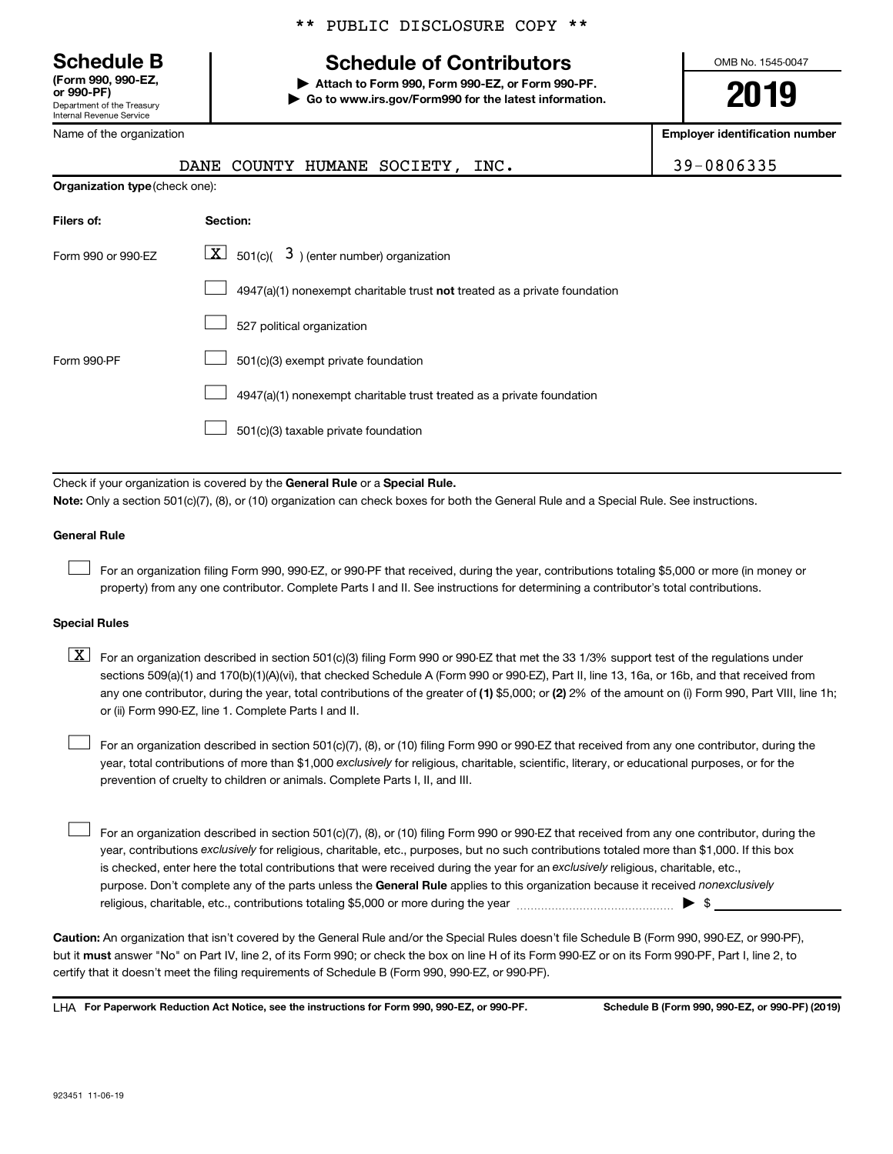**(Form 990, 990-EZ,**

Department of the Treasury Internal Revenue Service

Name of the organization

# **Schedule B Schedule of Contributors**

**or 990-PF) | Attach to Form 990, Form 990-EZ, or Form 990-PF. | Go to www.irs.gov/Form990 for the latest information.** OMB No. 1545-0047

**2019**

**Employer identification number**

|                                | COUNTY HUMANE SOCIETY,<br>DANE<br>INC.                                                                                                                                                                                                                                                                                                                                                                                                                                                                    | 39-0806335 |
|--------------------------------|-----------------------------------------------------------------------------------------------------------------------------------------------------------------------------------------------------------------------------------------------------------------------------------------------------------------------------------------------------------------------------------------------------------------------------------------------------------------------------------------------------------|------------|
| Organization type (check one): |                                                                                                                                                                                                                                                                                                                                                                                                                                                                                                           |            |
| Filers of:                     | Section:                                                                                                                                                                                                                                                                                                                                                                                                                                                                                                  |            |
| Form 990 or 990-EZ             | $\boxed{\textbf{X}}$ 501(c)( 3) (enter number) organization                                                                                                                                                                                                                                                                                                                                                                                                                                               |            |
|                                | 4947(a)(1) nonexempt charitable trust not treated as a private foundation                                                                                                                                                                                                                                                                                                                                                                                                                                 |            |
|                                | 527 political organization                                                                                                                                                                                                                                                                                                                                                                                                                                                                                |            |
| Form 990-PF                    | 501(c)(3) exempt private foundation                                                                                                                                                                                                                                                                                                                                                                                                                                                                       |            |
|                                | 4947(a)(1) nonexempt charitable trust treated as a private foundation                                                                                                                                                                                                                                                                                                                                                                                                                                     |            |
|                                | 501(c)(3) taxable private foundation                                                                                                                                                                                                                                                                                                                                                                                                                                                                      |            |
|                                | Check if your organization is covered by the General Rule or a Special Rule.                                                                                                                                                                                                                                                                                                                                                                                                                              |            |
|                                | Note: Only a section 501(c)(7), (8), or (10) organization can check boxes for both the General Rule and a Special Rule. See instructions.                                                                                                                                                                                                                                                                                                                                                                 |            |
| <b>General Rule</b>            |                                                                                                                                                                                                                                                                                                                                                                                                                                                                                                           |            |
|                                | For an organization filing Form 990, 990-EZ, or 990-PF that received, during the year, contributions totaling \$5,000 or more (in money or<br>property) from any one contributor. Complete Parts I and II. See instructions for determining a contributor's total contributions.                                                                                                                                                                                                                          |            |
| <b>Special Rules</b>           |                                                                                                                                                                                                                                                                                                                                                                                                                                                                                                           |            |
| $\lfloor x \rfloor$            | For an organization described in section 501(c)(3) filing Form 990 or 990-EZ that met the 33 1/3% support test of the regulations under<br>sections 509(a)(1) and 170(b)(1)(A)(vi), that checked Schedule A (Form 990 or 990-EZ), Part II, line 13, 16a, or 16b, and that received from<br>any one contributor, during the year, total contributions of the greater of (1) \$5,000; or (2) 2% of the amount on (i) Form 990, Part VIII, line 1h;<br>or (ii) Form 990-EZ, line 1. Complete Parts I and II. |            |
|                                | For an organization described in section 501(c)(7), (8), or (10) filing Form 990 or 990-EZ that received from any one contributor, during the<br>year, total contributions of more than \$1,000 exclusively for religious, charitable, scientific, literary, or educational purposes, or for the                                                                                                                                                                                                          |            |

purpose. Don't complete any of the parts unless the General Rule applies to this organization because it received nonexclusively year, contributions exclusively for religious, charitable, etc., purposes, but no such contributions totaled more than \$1,000. If this box is checked, enter here the total contributions that were received during the year for an exclusively religious, charitable, etc., For an organization described in section 501(c)(7), (8), or (10) filing Form 990 or 990-EZ that received from any one contributor, during the religious, charitable, etc., contributions totaling \$5,000 or more during the year  $\ldots$  $\ldots$  $\ldots$  $\ldots$  $\ldots$  $\ldots$  $\Box$ 

**Caution:**  An organization that isn't covered by the General Rule and/or the Special Rules doesn't file Schedule B (Form 990, 990-EZ, or 990-PF),  **must** but it answer "No" on Part IV, line 2, of its Form 990; or check the box on line H of its Form 990-EZ or on its Form 990-PF, Part I, line 2, to certify that it doesn't meet the filing requirements of Schedule B (Form 990, 990-EZ, or 990-PF).

**For Paperwork Reduction Act Notice, see the instructions for Form 990, 990-EZ, or 990-PF. Schedule B (Form 990, 990-EZ, or 990-PF) (2019)** LHA

prevention of cruelty to children or animals. Complete Parts I, II, and III.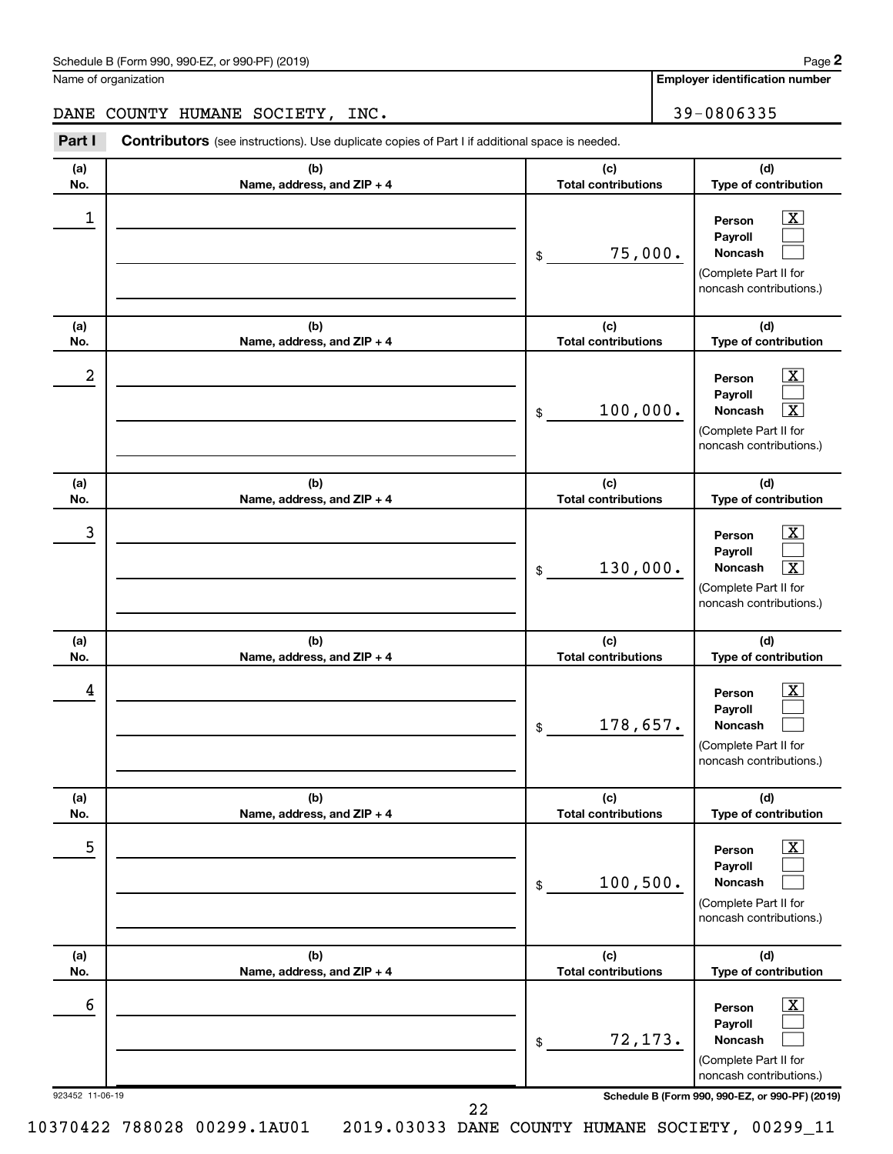| Schedule B (Form 990, 990-EZ, or 990-PF) (2019)<br>. , , , , , , , , , | Page |
|------------------------------------------------------------------------|------|
|------------------------------------------------------------------------|------|

Name of organization

**Employer identification number**

# DANE COUNTY HUMANE SOCIETY, INC. 39-0806335

**Part I** Contributors (see instructions). Use duplicate copies of Part I if additional space is needed.

| (a)<br>No.           | (b)<br>Name, address, and ZIP + 4 | (c)<br><b>Total contributions</b> | (d)<br>Type of contribution                                                                                                                                  |
|----------------------|-----------------------------------|-----------------------------------|--------------------------------------------------------------------------------------------------------------------------------------------------------------|
| 1<br>(a)             | (b)                               | 75,000.<br>\$<br>(c)              | x<br>Person<br>Payroll<br>Noncash<br>(Complete Part II for<br>noncash contributions.)<br>(d)                                                                 |
| No.                  | Name, address, and ZIP + 4        | <b>Total contributions</b>        | Type of contribution                                                                                                                                         |
| 2                    |                                   | 100,000.<br>\$                    | x<br>Person<br>Payroll<br>$\overline{\textbf{X}}$<br>Noncash<br>(Complete Part II for<br>noncash contributions.)                                             |
| (a)<br>No.           | (b)<br>Name, address, and ZIP + 4 | (c)<br><b>Total contributions</b> | (d)<br>Type of contribution                                                                                                                                  |
| 3                    |                                   | 130,000.<br>\$                    | x<br>Person<br>Payroll<br>$\overline{\mathbf{X}}$<br>Noncash<br>(Complete Part II for<br>noncash contributions.)                                             |
| (a)<br>No.           | (b)<br>Name, address, and ZIP + 4 | (c)<br><b>Total contributions</b> | (d)<br>Type of contribution                                                                                                                                  |
| 4                    |                                   | 178,657.<br>\$                    | x<br>Person<br>Payroll<br><b>Noncash</b><br>(Complete Part II for<br>noncash contributions.)                                                                 |
| (a)<br>No.           | (b)<br>Name, address, and ZIP + 4 | (c)<br><b>Total contributions</b> | (d)<br>Type of contribution                                                                                                                                  |
| 5                    |                                   | 100, 500.<br>$\,$                 | $\overline{\text{X}}$<br>Person<br>Payroll<br>Noncash<br>(Complete Part II for<br>noncash contributions.)                                                    |
| (a)<br>No.           | (b)<br>Name, address, and ZIP + 4 | (c)<br><b>Total contributions</b> | (d)<br>Type of contribution                                                                                                                                  |
| 6<br>923452 11-06-19 |                                   | 72,173.<br>\$                     | $\overline{\text{X}}$<br>Person<br>Payroll<br>Noncash<br>(Complete Part II for<br>noncash contributions.)<br>Schedule B (Form 990, 990-EZ, or 990-PF) (2019) |
|                      | 22                                |                                   |                                                                                                                                                              |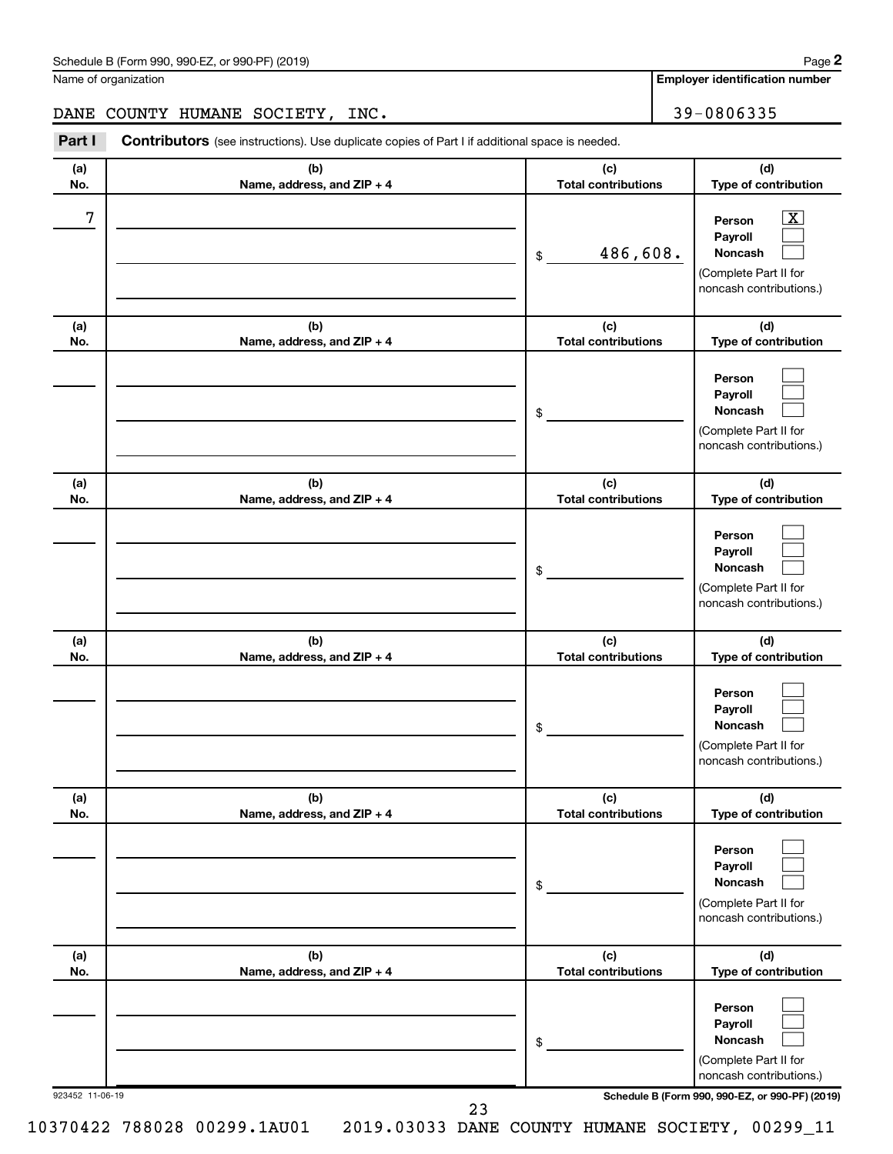| Schedule B (Form 990, 990-EZ, or 990-PF) (2019)<br>$\sqrt{2}$ and $\sqrt{2}$ and $\sqrt{2}$ and $\sqrt{2}$ and $\sqrt{2}$ and $\sqrt{2}$ and $\sqrt{2}$ and $\sqrt{2}$ and $\sqrt{2}$ and $\sqrt{2}$ and $\sqrt{2}$ and $\sqrt{2}$ and $\sqrt{2}$ and $\sqrt{2}$ and $\sqrt{2}$ and $\sqrt{2}$ and $\sqrt{2}$ and $\sqrt{2}$ and $\sqrt{2$ | Page |
|--------------------------------------------------------------------------------------------------------------------------------------------------------------------------------------------------------------------------------------------------------------------------------------------------------------------------------------------|------|
|--------------------------------------------------------------------------------------------------------------------------------------------------------------------------------------------------------------------------------------------------------------------------------------------------------------------------------------------|------|

Name of organization

**Employer identification number**

DANE COUNTY HUMANE SOCIETY, INC. 39-0806335

**Part I** Contributors (see instructions). Use duplicate copies of Part I if additional space is needed.

| (a)             | (b)                                 | (c)                               | (d)                                                                                                                                 |
|-----------------|-------------------------------------|-----------------------------------|-------------------------------------------------------------------------------------------------------------------------------------|
| No.             | Name, address, and ZIP + 4          | <b>Total contributions</b>        | Type of contribution                                                                                                                |
| 7               |                                     | 486,608.<br>\$                    | $\overline{\textbf{X}}$<br>Person<br>Payroll<br>Noncash<br>(Complete Part II for<br>noncash contributions.)                         |
| (a)<br>No.      | (b)<br>Name, address, and ZIP + 4   | (c)<br><b>Total contributions</b> | (d)<br>Type of contribution                                                                                                         |
|                 |                                     | \$                                | Person<br>Payroll<br><b>Noncash</b><br>(Complete Part II for<br>noncash contributions.)                                             |
| (a)<br>No.      | (b)<br>Name, address, and ZIP + 4   | (c)<br><b>Total contributions</b> | (d)<br>Type of contribution                                                                                                         |
|                 |                                     | \$                                | Person<br>Payroll<br><b>Noncash</b><br>(Complete Part II for<br>noncash contributions.)                                             |
| (a)<br>No.      | (b)<br>Name, address, and ZIP + 4   | (c)<br><b>Total contributions</b> | (d)<br>Type of contribution                                                                                                         |
|                 |                                     | \$                                | Person<br>Payroll<br><b>Noncash</b><br>(Complete Part II for<br>noncash contributions.)                                             |
| (a)<br>No.      | (b)<br>Name, address, and $ZIP + 4$ | (c)<br>Total contributions        | (d)<br>Type of contribution                                                                                                         |
|                 |                                     | \$                                | Person<br>Payroll<br>Noncash<br>(Complete Part II for<br>noncash contributions.)                                                    |
| (a)<br>No.      | (b)<br>Name, address, and ZIP + 4   | (c)<br><b>Total contributions</b> | (d)<br>Type of contribution                                                                                                         |
| 923452 11-06-19 |                                     | \$                                | Person<br>Payroll<br>Noncash<br>(Complete Part II for<br>noncash contributions.)<br>Schedule B (Form 990, 990-EZ, or 990-PF) (2019) |
|                 | 23                                  |                                   |                                                                                                                                     |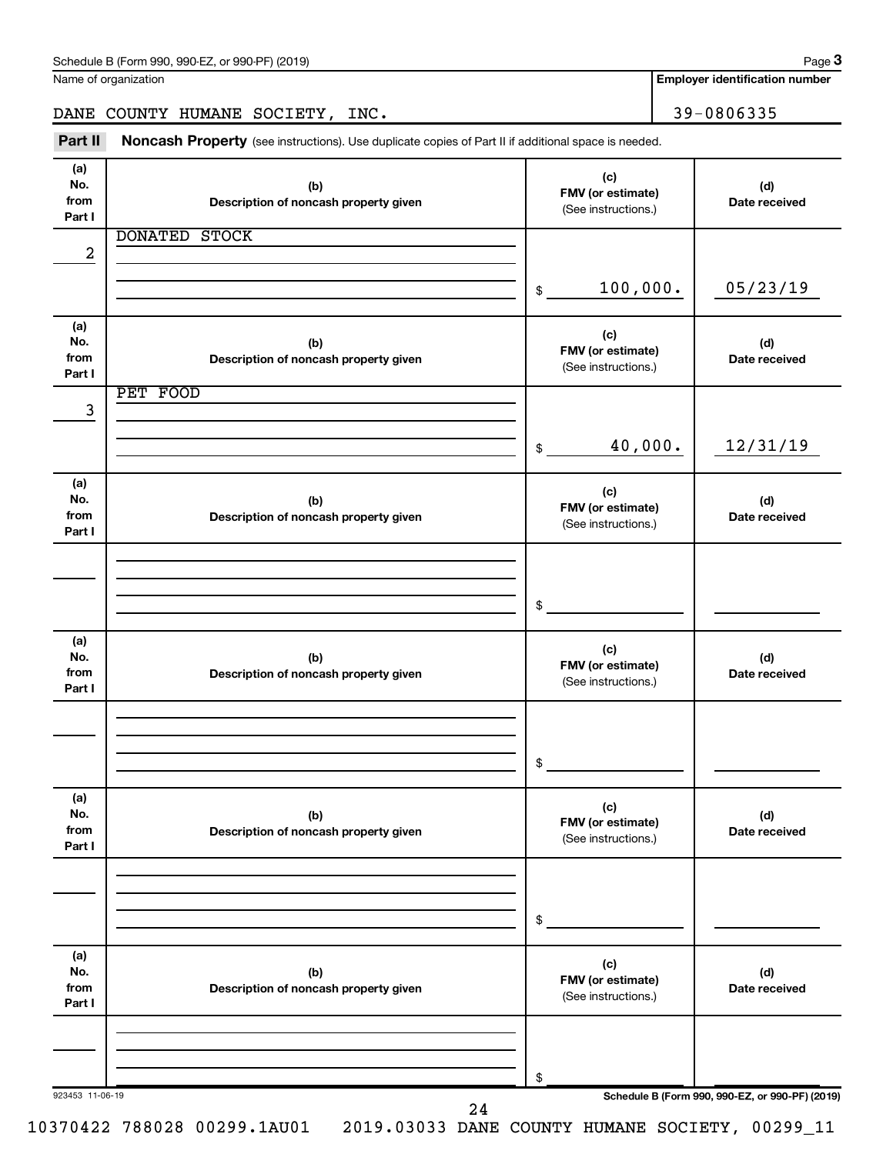| Part II                      | Noncash Property (see instructions). Use duplicate copies of Part II if additional space is needed. |                                                 |                      |
|------------------------------|-----------------------------------------------------------------------------------------------------|-------------------------------------------------|----------------------|
| (a)<br>No.<br>from<br>Part I | (b)<br>Description of noncash property given                                                        | (c)<br>FMV (or estimate)<br>(See instructions.) | (d)<br>Date received |
|                              | <b>DONATED</b><br><b>STOCK</b>                                                                      |                                                 |                      |
| $\boldsymbol{2}$             |                                                                                                     | 100,000.<br>$\$$                                | 05/23/19             |
| (a)<br>No.<br>from<br>Part I | (b)<br>Description of noncash property given                                                        | (c)<br>FMV (or estimate)<br>(See instructions.) | (d)<br>Date received |
| 3                            | PET FOOD                                                                                            |                                                 |                      |
|                              |                                                                                                     | 40,000.<br>\$                                   | 12/31/19             |
| (a)<br>No.<br>from<br>Part I | (b)<br>Description of noncash property given                                                        | (c)<br>FMV (or estimate)<br>(See instructions.) | (d)<br>Date received |
|                              |                                                                                                     |                                                 |                      |
|                              |                                                                                                     | \$                                              |                      |
| (a)<br>No.<br>from<br>Part I | (b)<br>Description of noncash property given                                                        | (c)<br>FMV (or estimate)<br>(See instructions.) | (d)<br>Date received |
|                              |                                                                                                     |                                                 |                      |
|                              |                                                                                                     | \$                                              |                      |
| (a)<br>No.<br>from<br>Part I | (b)<br>Description of noncash property given                                                        | (c)<br>FMV (or estimate)<br>(See instructions.) | (d)<br>Date received |
|                              |                                                                                                     |                                                 |                      |
| (a)                          |                                                                                                     | \$                                              |                      |
| No.<br>from<br>Part I        | (b)<br>Description of noncash property given                                                        | (c)<br>FMV (or estimate)<br>(See instructions.) | (d)<br>Date received |
|                              |                                                                                                     |                                                 |                      |
|                              |                                                                                                     | \$                                              |                      |

Name of organization

DANE COUNTY HUMANE SOCIETY, INC. 39-0806335

**3**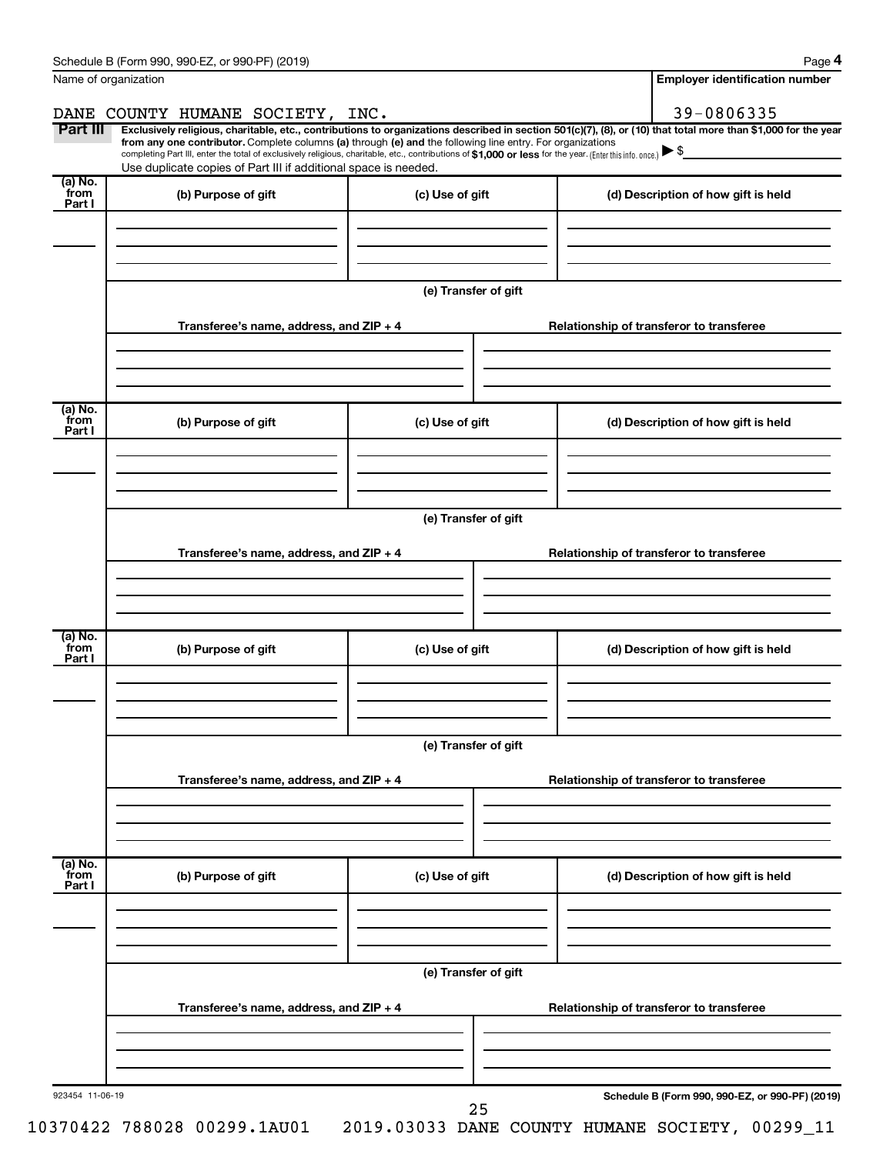| Name of organization       |                                                                                                                                                                                                                                                                                                                                           |                      | <b>Employer identification number</b>                                                                                                                          |  |  |  |
|----------------------------|-------------------------------------------------------------------------------------------------------------------------------------------------------------------------------------------------------------------------------------------------------------------------------------------------------------------------------------------|----------------------|----------------------------------------------------------------------------------------------------------------------------------------------------------------|--|--|--|
|                            | DANE COUNTY HUMANE SOCIETY, INC.                                                                                                                                                                                                                                                                                                          |                      | 39-0806335                                                                                                                                                     |  |  |  |
| Part III                   | from any one contributor. Complete columns (a) through (e) and the following line entry. For organizations<br>completing Part III, enter the total of exclusively religious, charitable, etc., contributions of \$1,000 or less for the year. (Enter this info. once.)<br>Use duplicate copies of Part III if additional space is needed. |                      | Exclusively religious, charitable, etc., contributions to organizations described in section 501(c)(7), (8), or (10) that total more than \$1,000 for the year |  |  |  |
| (a) No.<br>`from           | (b) Purpose of gift                                                                                                                                                                                                                                                                                                                       | (c) Use of gift      | (d) Description of how gift is held                                                                                                                            |  |  |  |
| Part I                     |                                                                                                                                                                                                                                                                                                                                           |                      |                                                                                                                                                                |  |  |  |
|                            |                                                                                                                                                                                                                                                                                                                                           | (e) Transfer of gift |                                                                                                                                                                |  |  |  |
|                            | Transferee's name, address, and ZIP + 4                                                                                                                                                                                                                                                                                                   |                      | Relationship of transferor to transferee                                                                                                                       |  |  |  |
| (a) No.<br>`from<br>Part I | (b) Purpose of gift                                                                                                                                                                                                                                                                                                                       | (c) Use of gift      | (d) Description of how gift is held                                                                                                                            |  |  |  |
|                            |                                                                                                                                                                                                                                                                                                                                           |                      |                                                                                                                                                                |  |  |  |
|                            |                                                                                                                                                                                                                                                                                                                                           | (e) Transfer of gift |                                                                                                                                                                |  |  |  |
|                            | Transferee's name, address, and ZIP + 4                                                                                                                                                                                                                                                                                                   |                      | Relationship of transferor to transferee                                                                                                                       |  |  |  |
|                            |                                                                                                                                                                                                                                                                                                                                           |                      |                                                                                                                                                                |  |  |  |
| (a) No.<br>from<br>Part I  | (b) Purpose of gift                                                                                                                                                                                                                                                                                                                       | (c) Use of gift      | (d) Description of how gift is held                                                                                                                            |  |  |  |
|                            |                                                                                                                                                                                                                                                                                                                                           |                      |                                                                                                                                                                |  |  |  |
|                            | (e) Transfer of gift                                                                                                                                                                                                                                                                                                                      |                      |                                                                                                                                                                |  |  |  |
|                            | Transferee's name, address, and ZIP + 4                                                                                                                                                                                                                                                                                                   |                      | Relationship of transferor to transferee                                                                                                                       |  |  |  |
|                            |                                                                                                                                                                                                                                                                                                                                           |                      |                                                                                                                                                                |  |  |  |
| (a) No.<br>from<br>Part I  | (b) Purpose of gift                                                                                                                                                                                                                                                                                                                       | (c) Use of gift      | (d) Description of how gift is held                                                                                                                            |  |  |  |
|                            | (e) Transfer of gift                                                                                                                                                                                                                                                                                                                      |                      |                                                                                                                                                                |  |  |  |
|                            | Transferee's name, address, and ZIP + 4                                                                                                                                                                                                                                                                                                   |                      | Relationship of transferor to transferee                                                                                                                       |  |  |  |
|                            |                                                                                                                                                                                                                                                                                                                                           |                      |                                                                                                                                                                |  |  |  |
| 923454 11-06-19            |                                                                                                                                                                                                                                                                                                                                           | 25                   | Schedule B (Form 990, 990-EZ, or 990-PF) (2019)                                                                                                                |  |  |  |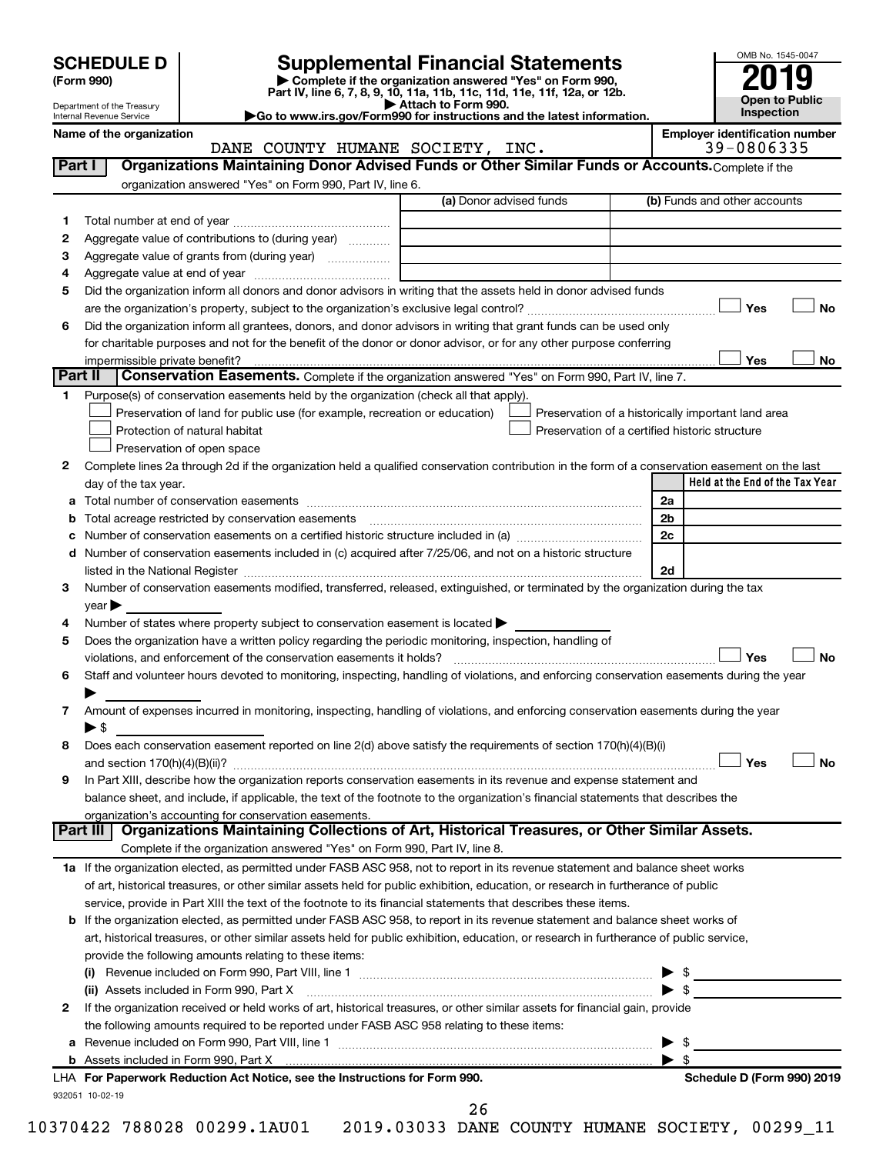| <b>SCHEDULE D</b> |  |
|-------------------|--|
|-------------------|--|

Department of the Treasury Internal Revenue Service

| (Form 990) |
|------------|
|            |

# **SCHEDULE D Supplemental Financial Statements**<br> **Form 990 2019**<br> **Part IV** line 6.7.8.9.10, 11a, 11b, 11d, 11d, 11d, 11d, 11d, 12a, 0r, 12b

**(Form 990) | Complete if the organization answered "Yes" on Form 990, Part IV, line 6, 7, 8, 9, 10, 11a, 11b, 11c, 11d, 11e, 11f, 12a, or 12b.**

**| Attach to Form 990. |Go to www.irs.gov/Form990 for instructions and the latest information.**



Name of the organization<br> **Employer identification number**<br> **Employer identification number**<br> **Employer identification number**<br> **Employer identification number**<br> **Employer identification number** DANE COUNTY HUMANE SOCIETY, INC.

| Part I  | Organizations Maintaining Donor Advised Funds or Other Similar Funds or Accounts. Complete if the<br>organization answered "Yes" on Form 990, Part IV, line 6.                                                                 |                         |                                                    |
|---------|--------------------------------------------------------------------------------------------------------------------------------------------------------------------------------------------------------------------------------|-------------------------|----------------------------------------------------|
|         |                                                                                                                                                                                                                                | (a) Donor advised funds | (b) Funds and other accounts                       |
| 1       |                                                                                                                                                                                                                                |                         |                                                    |
| 2       | Aggregate value of contributions to (during year)                                                                                                                                                                              |                         |                                                    |
| 3       | Aggregate value of grants from (during year)                                                                                                                                                                                   |                         |                                                    |
| 4       |                                                                                                                                                                                                                                |                         |                                                    |
| 5       | Did the organization inform all donors and donor advisors in writing that the assets held in donor advised funds                                                                                                               |                         |                                                    |
|         |                                                                                                                                                                                                                                |                         | Yes<br>No                                          |
| 6       | Did the organization inform all grantees, donors, and donor advisors in writing that grant funds can be used only                                                                                                              |                         |                                                    |
|         | for charitable purposes and not for the benefit of the donor or donor advisor, or for any other purpose conferring                                                                                                             |                         |                                                    |
|         |                                                                                                                                                                                                                                |                         | Yes<br>No                                          |
| Part II | Conservation Easements. Complete if the organization answered "Yes" on Form 990, Part IV, line 7.                                                                                                                              |                         |                                                    |
| 1.      | Purpose(s) of conservation easements held by the organization (check all that apply).                                                                                                                                          |                         |                                                    |
|         | Preservation of land for public use (for example, recreation or education)                                                                                                                                                     |                         | Preservation of a historically important land area |
|         | Protection of natural habitat                                                                                                                                                                                                  |                         | Preservation of a certified historic structure     |
|         |                                                                                                                                                                                                                                |                         |                                                    |
|         | Preservation of open space                                                                                                                                                                                                     |                         |                                                    |
| 2       | Complete lines 2a through 2d if the organization held a qualified conservation contribution in the form of a conservation easement on the last                                                                                 |                         | Held at the End of the Tax Year                    |
|         | day of the tax year.                                                                                                                                                                                                           |                         |                                                    |
|         |                                                                                                                                                                                                                                |                         | 2a                                                 |
| b       | Total acreage restricted by conservation easements [11] [12] matter and acreage restricted by conservation easements [12] matter and acreage restricted by conservation easements [12] matter and acreage restricted by conser |                         | 2b                                                 |
|         |                                                                                                                                                                                                                                |                         | 2c                                                 |
|         | d Number of conservation easements included in (c) acquired after 7/25/06, and not on a historic structure                                                                                                                     |                         |                                                    |
|         | listed in the National Register [1111] listed in the National Register [111] listed in the National Register [11] listed in the National Register [11] listed in the National Register [11] listed in the National Register [1 |                         | 2d                                                 |
| 3       | Number of conservation easements modified, transferred, released, extinguished, or terminated by the organization during the tax                                                                                               |                         |                                                    |
|         | $year \blacktriangleright$                                                                                                                                                                                                     |                         |                                                    |
| 4       | Number of states where property subject to conservation easement is located $\blacktriangleright$                                                                                                                              |                         |                                                    |
| 5       | Does the organization have a written policy regarding the periodic monitoring, inspection, handling of                                                                                                                         |                         |                                                    |
|         | violations, and enforcement of the conservation easements it holds?                                                                                                                                                            |                         | Yes<br><b>No</b>                                   |
| 6       | Staff and volunteer hours devoted to monitoring, inspecting, handling of violations, and enforcing conservation easements during the year                                                                                      |                         |                                                    |
|         |                                                                                                                                                                                                                                |                         |                                                    |
| 7       | Amount of expenses incurred in monitoring, inspecting, handling of violations, and enforcing conservation easements during the year                                                                                            |                         |                                                    |
|         | $\blacktriangleright$ \$                                                                                                                                                                                                       |                         |                                                    |
| 8       | Does each conservation easement reported on line 2(d) above satisfy the requirements of section 170(h)(4)(B)(i)                                                                                                                |                         |                                                    |
|         |                                                                                                                                                                                                                                |                         | Yes<br>No                                          |
| 9       | In Part XIII, describe how the organization reports conservation easements in its revenue and expense statement and                                                                                                            |                         |                                                    |
|         | balance sheet, and include, if applicable, the text of the footnote to the organization's financial statements that describes the                                                                                              |                         |                                                    |
|         | organization's accounting for conservation easements.                                                                                                                                                                          |                         |                                                    |
|         | Organizations Maintaining Collections of Art, Historical Treasures, or Other Similar Assets.<br>Part III                                                                                                                       |                         |                                                    |
|         | Complete if the organization answered "Yes" on Form 990, Part IV, line 8.                                                                                                                                                      |                         |                                                    |
|         | 1a If the organization elected, as permitted under FASB ASC 958, not to report in its revenue statement and balance sheet works                                                                                                |                         |                                                    |
|         | of art, historical treasures, or other similar assets held for public exhibition, education, or research in furtherance of public                                                                                              |                         |                                                    |
|         | service, provide in Part XIII the text of the footnote to its financial statements that describes these items.                                                                                                                 |                         |                                                    |
|         | <b>b</b> If the organization elected, as permitted under FASB ASC 958, to report in its revenue statement and balance sheet works of                                                                                           |                         |                                                    |
|         | art, historical treasures, or other similar assets held for public exhibition, education, or research in furtherance of public service,                                                                                        |                         |                                                    |
|         | provide the following amounts relating to these items:                                                                                                                                                                         |                         |                                                    |
|         |                                                                                                                                                                                                                                |                         |                                                    |
|         | (ii) Assets included in Form 990, Part X                                                                                                                                                                                       |                         | $\blacktriangleright$ \$                           |
| 2       | If the organization received or held works of art, historical treasures, or other similar assets for financial gain, provide                                                                                                   |                         |                                                    |
|         | the following amounts required to be reported under FASB ASC 958 relating to these items:                                                                                                                                      |                         |                                                    |
|         |                                                                                                                                                                                                                                |                         | -\$                                                |
|         |                                                                                                                                                                                                                                |                         | $\blacktriangleright$ s                            |
|         | LHA For Paperwork Reduction Act Notice, see the Instructions for Form 990.                                                                                                                                                     |                         | Schedule D (Form 990) 2019                         |
|         | 932051 10-02-19                                                                                                                                                                                                                |                         |                                                    |
|         |                                                                                                                                                                                                                                | つよ                      |                                                    |

26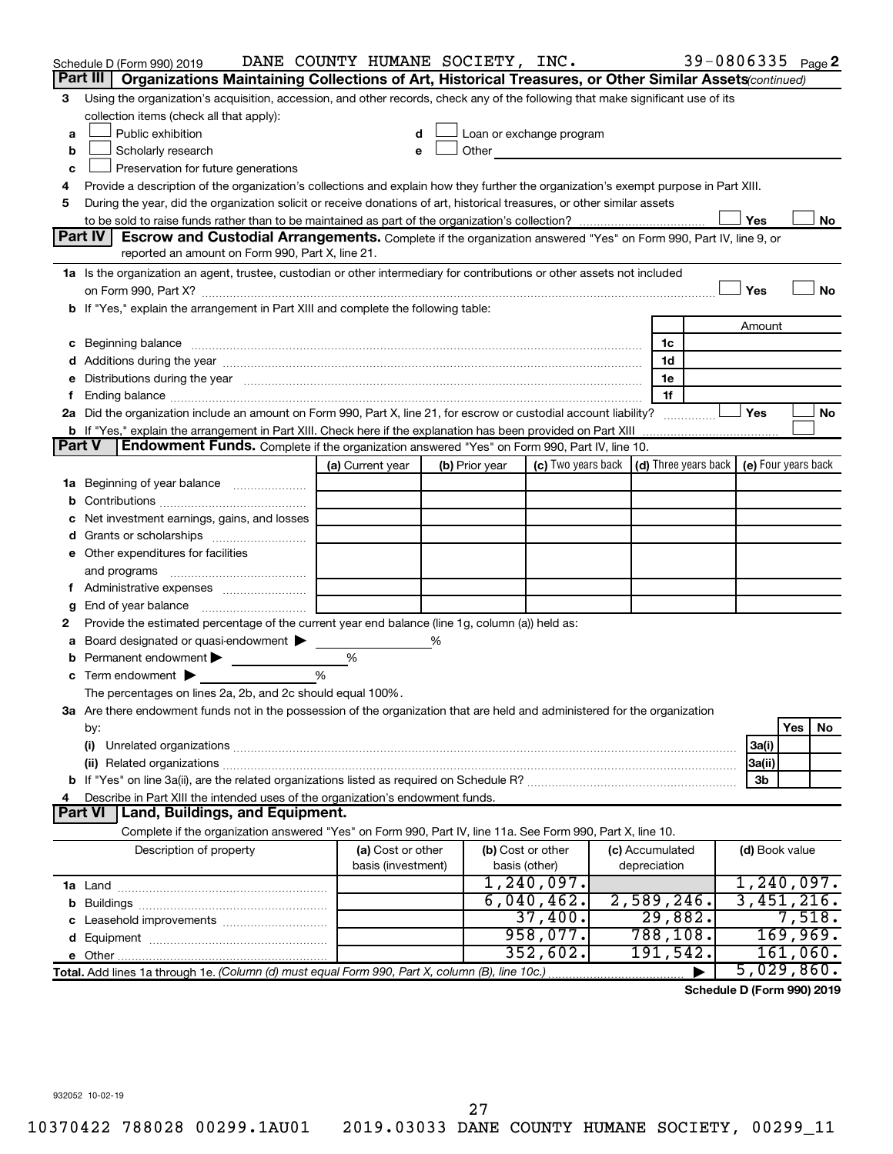|               | Schedule D (Form 990) 2019                                                                                                                                                                                                     | DANE COUNTY HUMANE SOCIETY, INC. |   |                |                                                                                                                                                                                                                               |                 | 39-0806335 Page 2                          |                |          |    |
|---------------|--------------------------------------------------------------------------------------------------------------------------------------------------------------------------------------------------------------------------------|----------------------------------|---|----------------|-------------------------------------------------------------------------------------------------------------------------------------------------------------------------------------------------------------------------------|-----------------|--------------------------------------------|----------------|----------|----|
|               | Organizations Maintaining Collections of Art, Historical Treasures, or Other Similar Assets (continued)<br>Part III                                                                                                            |                                  |   |                |                                                                                                                                                                                                                               |                 |                                            |                |          |    |
| 3             | Using the organization's acquisition, accession, and other records, check any of the following that make significant use of its                                                                                                |                                  |   |                |                                                                                                                                                                                                                               |                 |                                            |                |          |    |
|               | collection items (check all that apply):                                                                                                                                                                                       |                                  |   |                |                                                                                                                                                                                                                               |                 |                                            |                |          |    |
| a             | Public exhibition                                                                                                                                                                                                              |                                  |   |                | Loan or exchange program                                                                                                                                                                                                      |                 |                                            |                |          |    |
| b             | Scholarly research                                                                                                                                                                                                             | e                                |   |                | Other and the contract of the contract of the contract of the contract of the contract of the contract of the contract of the contract of the contract of the contract of the contract of the contract of the contract of the |                 |                                            |                |          |    |
| с             | Preservation for future generations                                                                                                                                                                                            |                                  |   |                |                                                                                                                                                                                                                               |                 |                                            |                |          |    |
| 4             | Provide a description of the organization's collections and explain how they further the organization's exempt purpose in Part XIII.                                                                                           |                                  |   |                |                                                                                                                                                                                                                               |                 |                                            |                |          |    |
| 5             | During the year, did the organization solicit or receive donations of art, historical treasures, or other similar assets                                                                                                       |                                  |   |                |                                                                                                                                                                                                                               |                 |                                            |                |          |    |
|               |                                                                                                                                                                                                                                |                                  |   |                |                                                                                                                                                                                                                               |                 |                                            | Yes            |          | No |
|               | Part IV<br><b>Escrow and Custodial Arrangements.</b> Complete if the organization answered "Yes" on Form 990, Part IV, line 9, or<br>reported an amount on Form 990, Part X, line 21.                                          |                                  |   |                |                                                                                                                                                                                                                               |                 |                                            |                |          |    |
|               | 1a Is the organization an agent, trustee, custodian or other intermediary for contributions or other assets not included                                                                                                       |                                  |   |                |                                                                                                                                                                                                                               |                 |                                            |                |          |    |
|               |                                                                                                                                                                                                                                |                                  |   |                |                                                                                                                                                                                                                               |                 |                                            | Yes            |          | No |
|               | b If "Yes," explain the arrangement in Part XIII and complete the following table:                                                                                                                                             |                                  |   |                |                                                                                                                                                                                                                               |                 |                                            |                |          |    |
|               |                                                                                                                                                                                                                                |                                  |   |                |                                                                                                                                                                                                                               |                 |                                            | Amount         |          |    |
| с             | Beginning balance manufactured and contact the contract of contact the contact of contact the contact of contact the contact of contact of contact of contact of contact of contact of contact of contact of contact of contac |                                  |   |                |                                                                                                                                                                                                                               | 1c              |                                            |                |          |    |
|               |                                                                                                                                                                                                                                |                                  |   |                |                                                                                                                                                                                                                               | 1d              |                                            |                |          |    |
| е             | Distributions during the year manufactured and an account of the year manufactured and the year manufactured and the year manufactured and the year manufactured and the year manufactured and the year manufactured and the y |                                  |   |                |                                                                                                                                                                                                                               | 1e              |                                            |                |          |    |
| f.            |                                                                                                                                                                                                                                |                                  |   |                |                                                                                                                                                                                                                               | 1f              |                                            |                |          |    |
|               | 2a Did the organization include an amount on Form 990, Part X, line 21, for escrow or custodial account liability?                                                                                                             |                                  |   |                |                                                                                                                                                                                                                               |                 |                                            | Yes            |          | No |
|               | b If "Yes," explain the arrangement in Part XIII. Check here if the explanation has been provided on Part XIII                                                                                                                 |                                  |   |                |                                                                                                                                                                                                                               |                 |                                            |                |          |    |
| <b>Part V</b> | <b>Endowment Funds.</b> Complete if the organization answered "Yes" on Form 990, Part IV, line 10.                                                                                                                             |                                  |   |                |                                                                                                                                                                                                                               |                 |                                            |                |          |    |
|               |                                                                                                                                                                                                                                | (a) Current year                 |   | (b) Prior year | (c) Two years back                                                                                                                                                                                                            |                 | (d) Three years back   (e) Four years back |                |          |    |
| 1a            | Beginning of year balance                                                                                                                                                                                                      |                                  |   |                |                                                                                                                                                                                                                               |                 |                                            |                |          |    |
| b             |                                                                                                                                                                                                                                |                                  |   |                |                                                                                                                                                                                                                               |                 |                                            |                |          |    |
| с             | Net investment earnings, gains, and losses                                                                                                                                                                                     |                                  |   |                |                                                                                                                                                                                                                               |                 |                                            |                |          |    |
| d             | Grants or scholarships                                                                                                                                                                                                         |                                  |   |                |                                                                                                                                                                                                                               |                 |                                            |                |          |    |
|               | e Other expenditures for facilities                                                                                                                                                                                            |                                  |   |                |                                                                                                                                                                                                                               |                 |                                            |                |          |    |
|               | and programs                                                                                                                                                                                                                   |                                  |   |                |                                                                                                                                                                                                                               |                 |                                            |                |          |    |
|               |                                                                                                                                                                                                                                |                                  |   |                |                                                                                                                                                                                                                               |                 |                                            |                |          |    |
| g             |                                                                                                                                                                                                                                |                                  |   |                |                                                                                                                                                                                                                               |                 |                                            |                |          |    |
| 2             | Provide the estimated percentage of the current year end balance (line 1g, column (a)) held as:                                                                                                                                |                                  |   |                |                                                                                                                                                                                                                               |                 |                                            |                |          |    |
| а             | Board designated or quasi-endowment                                                                                                                                                                                            |                                  | % |                |                                                                                                                                                                                                                               |                 |                                            |                |          |    |
| b             | Permanent endowment<br>Term endowment $\blacktriangleright$                                                                                                                                                                    | %<br>%                           |   |                |                                                                                                                                                                                                                               |                 |                                            |                |          |    |
| с             | The percentages on lines 2a, 2b, and 2c should equal 100%.                                                                                                                                                                     |                                  |   |                |                                                                                                                                                                                                                               |                 |                                            |                |          |    |
|               | 3a Are there endowment funds not in the possession of the organization that are held and administered for the organization                                                                                                     |                                  |   |                |                                                                                                                                                                                                                               |                 |                                            |                |          |    |
|               | by:                                                                                                                                                                                                                            |                                  |   |                |                                                                                                                                                                                                                               |                 |                                            |                | Yes      | No |
|               | (i)                                                                                                                                                                                                                            |                                  |   |                |                                                                                                                                                                                                                               |                 |                                            | 3a(i)          |          |    |
|               |                                                                                                                                                                                                                                |                                  |   |                |                                                                                                                                                                                                                               |                 |                                            | 3a(ii)         |          |    |
|               |                                                                                                                                                                                                                                |                                  |   |                |                                                                                                                                                                                                                               |                 |                                            | 3b             |          |    |
| 4             | Describe in Part XIII the intended uses of the organization's endowment funds.                                                                                                                                                 |                                  |   |                |                                                                                                                                                                                                                               |                 |                                            |                |          |    |
|               | Part VI   Land, Buildings, and Equipment.                                                                                                                                                                                      |                                  |   |                |                                                                                                                                                                                                                               |                 |                                            |                |          |    |
|               | Complete if the organization answered "Yes" on Form 990, Part IV, line 11a. See Form 990, Part X, line 10.                                                                                                                     |                                  |   |                |                                                                                                                                                                                                                               |                 |                                            |                |          |    |
|               | Description of property                                                                                                                                                                                                        | (a) Cost or other                |   |                | (b) Cost or other                                                                                                                                                                                                             | (c) Accumulated |                                            | (d) Book value |          |    |
|               |                                                                                                                                                                                                                                | basis (investment)               |   |                | basis (other)                                                                                                                                                                                                                 | depreciation    |                                            |                |          |    |
|               |                                                                                                                                                                                                                                |                                  |   |                | 1, 240, 097.                                                                                                                                                                                                                  |                 |                                            | 1,240,097.     |          |    |
| b             |                                                                                                                                                                                                                                |                                  |   |                | 6,040,462.                                                                                                                                                                                                                    | 2,589,246.      |                                            | 3,451,216.     |          |    |
| c             | Leasehold improvements                                                                                                                                                                                                         |                                  |   |                | 37,400.                                                                                                                                                                                                                       | 29,882.         |                                            |                | 7,518.   |    |
| d             |                                                                                                                                                                                                                                |                                  |   |                | 958,077.                                                                                                                                                                                                                      | 788,108.        |                                            |                | 169,969. |    |
|               |                                                                                                                                                                                                                                |                                  |   |                | 352,602.                                                                                                                                                                                                                      | 191,542.        |                                            |                | 161,060. |    |
|               | Total. Add lines 1a through 1e. (Column (d) must equal Form 990, Part X, column (B), line 10c.)                                                                                                                                |                                  |   |                |                                                                                                                                                                                                                               |                 |                                            | 5,029,860.     |          |    |

**Schedule D (Form 990) 2019**

932052 10-02-19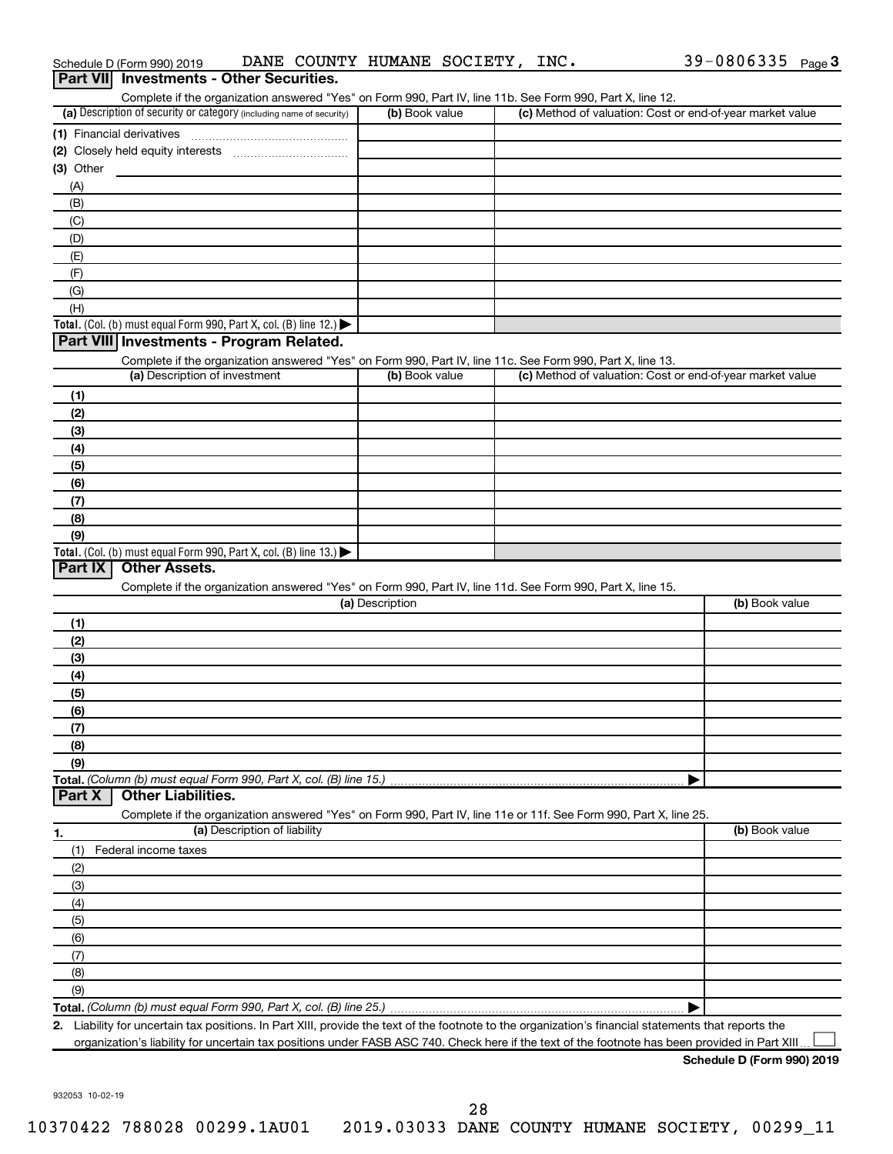|                           | Part VII Investments - Other Securities.                                                                                                             |                 |                                                           |                |
|---------------------------|------------------------------------------------------------------------------------------------------------------------------------------------------|-----------------|-----------------------------------------------------------|----------------|
|                           | Complete if the organization answered "Yes" on Form 990, Part IV, line 11b. See Form 990, Part X, line 12.                                           |                 |                                                           |                |
|                           | (a) Description of security or category (including name of security)                                                                                 | (b) Book value  | (c) Method of valuation: Cost or end-of-year market value |                |
| (1) Financial derivatives |                                                                                                                                                      |                 |                                                           |                |
|                           |                                                                                                                                                      |                 |                                                           |                |
| (3) Other                 |                                                                                                                                                      |                 |                                                           |                |
| (A)<br>(B)                |                                                                                                                                                      |                 |                                                           |                |
| (C)                       |                                                                                                                                                      |                 |                                                           |                |
| (D)                       |                                                                                                                                                      |                 |                                                           |                |
| (E)                       |                                                                                                                                                      |                 |                                                           |                |
| (F)                       |                                                                                                                                                      |                 |                                                           |                |
| (G)                       |                                                                                                                                                      |                 |                                                           |                |
| (H)                       |                                                                                                                                                      |                 |                                                           |                |
|                           | <b>Total.</b> (Col. (b) must equal Form 990, Part X, col. (B) line 12.)                                                                              |                 |                                                           |                |
|                           | Part VIII Investments - Program Related.                                                                                                             |                 |                                                           |                |
|                           | Complete if the organization answered "Yes" on Form 990, Part IV, line 11c. See Form 990, Part X, line 13.                                           |                 |                                                           |                |
|                           | (a) Description of investment                                                                                                                        | (b) Book value  | (c) Method of valuation: Cost or end-of-year market value |                |
| (1)                       |                                                                                                                                                      |                 |                                                           |                |
| (2)                       |                                                                                                                                                      |                 |                                                           |                |
| (3)                       |                                                                                                                                                      |                 |                                                           |                |
| (4)                       |                                                                                                                                                      |                 |                                                           |                |
| (5)                       |                                                                                                                                                      |                 |                                                           |                |
| (6)                       |                                                                                                                                                      |                 |                                                           |                |
| (7)<br>(8)                |                                                                                                                                                      |                 |                                                           |                |
| (9)                       |                                                                                                                                                      |                 |                                                           |                |
|                           | <b>Total.</b> (Col. (b) must equal Form 990, Part X, col. (B) line 13.)                                                                              |                 |                                                           |                |
| Part IX                   | <b>Other Assets.</b>                                                                                                                                 |                 |                                                           |                |
|                           | Complete if the organization answered "Yes" on Form 990, Part IV, line 11d. See Form 990, Part X, line 15.                                           |                 |                                                           |                |
|                           |                                                                                                                                                      | (a) Description |                                                           | (b) Book value |
| (1)                       |                                                                                                                                                      |                 |                                                           |                |
| (2)                       |                                                                                                                                                      |                 |                                                           |                |
| (3)                       |                                                                                                                                                      |                 |                                                           |                |
| (4)                       |                                                                                                                                                      |                 |                                                           |                |
| (5)                       |                                                                                                                                                      |                 |                                                           |                |
| (6)                       |                                                                                                                                                      |                 |                                                           |                |
| (7)                       |                                                                                                                                                      |                 |                                                           |                |
| (8)                       |                                                                                                                                                      |                 |                                                           |                |
| (9)                       | Total. (Column (b) must equal Form 990, Part X, col. (B) line 15.)                                                                                   |                 |                                                           |                |
| Part X                    | <b>Other Liabilities.</b>                                                                                                                            |                 |                                                           |                |
|                           | Complete if the organization answered "Yes" on Form 990, Part IV, line 11e or 11f. See Form 990, Part X, line 25.                                    |                 |                                                           |                |
| 1.                        | (a) Description of liability                                                                                                                         |                 |                                                           | (b) Book value |
| (1)                       | Federal income taxes                                                                                                                                 |                 |                                                           |                |
| (2)                       |                                                                                                                                                      |                 |                                                           |                |
| (3)                       |                                                                                                                                                      |                 |                                                           |                |
| (4)                       |                                                                                                                                                      |                 |                                                           |                |
| (5)                       |                                                                                                                                                      |                 |                                                           |                |
| (6)                       |                                                                                                                                                      |                 |                                                           |                |
| (7)                       |                                                                                                                                                      |                 |                                                           |                |
| (8)                       |                                                                                                                                                      |                 |                                                           |                |
| (9)                       |                                                                                                                                                      |                 |                                                           |                |
|                           |                                                                                                                                                      |                 |                                                           |                |
|                           | 2. Liability for uncertain tax positions. In Part XIII, provide the text of the footnote to the organization's financial statements that reports the |                 |                                                           |                |

organization's liability for uncertain tax positions under FASB ASC 740. Check here if the text of the footnote has been provided in Part XIII...

932053 10-02-19

# Schedule D (Form 990) 2019 **DANE COUNTY HUMANE SOCIETY,INC.** 39-0806335 <sub>Page</sub> 3

**Schedule D (Form 990) 2019**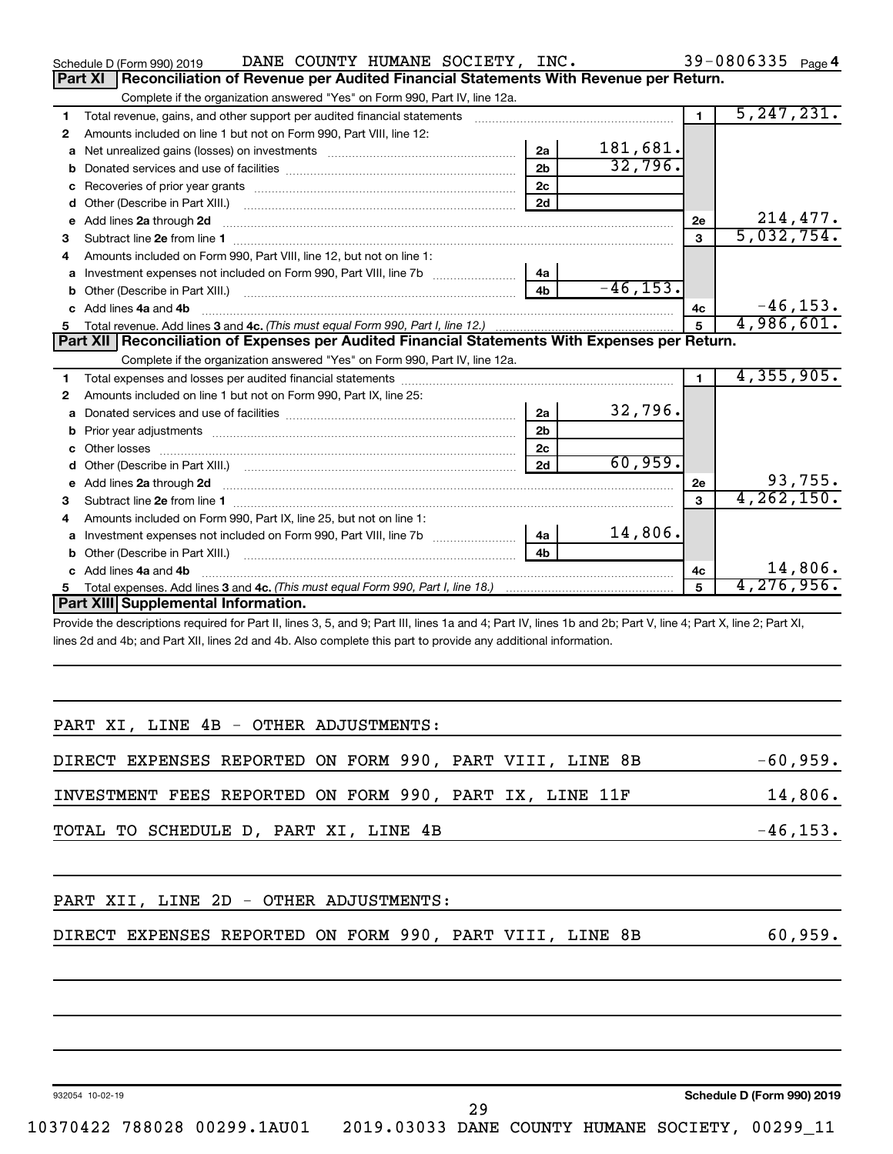|    | DANE COUNTY HUMANE SOCIETY, INC.<br>Schedule D (Form 990) 2019                                                                                                 |                |             |                | 39-0806335 Page 4 |  |
|----|----------------------------------------------------------------------------------------------------------------------------------------------------------------|----------------|-------------|----------------|-------------------|--|
|    | Reconciliation of Revenue per Audited Financial Statements With Revenue per Return.<br><b>Part XI</b>                                                          |                |             |                |                   |  |
|    | Complete if the organization answered "Yes" on Form 990, Part IV, line 12a.                                                                                    |                |             |                |                   |  |
| 1  | Total revenue, gains, and other support per audited financial statements [[[[[[[[[[[[[[[[[[[[[[[[[]]]]]]]]]]]                                                  |                |             | $\blacksquare$ | 5, 247, 231.      |  |
| 2  | Amounts included on line 1 but not on Form 990, Part VIII, line 12:                                                                                            |                |             |                |                   |  |
| a  | Net unrealized gains (losses) on investments [111] [12] matter and the unrealized gains (losses) on investments                                                | 2a             | 181,681.    |                |                   |  |
| b  |                                                                                                                                                                | 2 <sub>b</sub> | 32,796.     |                |                   |  |
| с  |                                                                                                                                                                | 2 <sub>c</sub> |             |                |                   |  |
| d  |                                                                                                                                                                | 2d             |             |                |                   |  |
| е  | Add lines 2a through 2d                                                                                                                                        |                |             | 2e             | 214,477.          |  |
| 3  |                                                                                                                                                                |                |             | 3              | 5,032,754.        |  |
| 4  | Amounts included on Form 990, Part VIII, line 12, but not on line 1:                                                                                           |                |             |                |                   |  |
| a  |                                                                                                                                                                | 4a             |             |                |                   |  |
| b  |                                                                                                                                                                | 4 <sub>h</sub> | $-46, 153.$ |                |                   |  |
| C. | Add lines 4a and 4b                                                                                                                                            |                |             | 4c             | $-46, 153.$       |  |
|    |                                                                                                                                                                |                |             | 5              | 4,986,601.        |  |
|    |                                                                                                                                                                |                |             |                |                   |  |
|    | Part XII   Reconciliation of Expenses per Audited Financial Statements With Expenses per Return.                                                               |                |             |                |                   |  |
|    | Complete if the organization answered "Yes" on Form 990, Part IV, line 12a.                                                                                    |                |             |                |                   |  |
| 1  |                                                                                                                                                                |                |             | $\blacksquare$ | 4, 355, 905.      |  |
| 2  | Amounts included on line 1 but not on Form 990, Part IX, line 25:                                                                                              |                |             |                |                   |  |
| a  |                                                                                                                                                                | 2a             | 32,796.     |                |                   |  |
| b  |                                                                                                                                                                | 2 <sub>b</sub> |             |                |                   |  |
|    |                                                                                                                                                                | 2 <sub>c</sub> |             |                |                   |  |
| d  |                                                                                                                                                                | 2d             | 60,959.     |                |                   |  |
| e  | Add lines 2a through 2d                                                                                                                                        |                |             | 2e             | 93,755.           |  |
| 3  |                                                                                                                                                                |                |             | $\mathbf{a}$   | 4, 262, 150.      |  |
| 4  | Amounts included on Form 990, Part IX, line 25, but not on line 1:                                                                                             |                |             |                |                   |  |
| a  | Investment expenses not included on Form 990, Part VIII, line 7b [100] [100] [100] [100] [100] [100] [100] [10                                                 | 4a             | 14,806.     |                |                   |  |
| b  |                                                                                                                                                                | 4 <sub>h</sub> |             |                |                   |  |
| c. | Add lines 4a and 4b                                                                                                                                            |                |             | 4c             | 14,806.           |  |
| 5  | Total expenses. Add lines 3 and 4c. (This must equal Form 990, Part I, line 18.) <i>manumeronominal</i> manumeronominal<br>Part XIII Supplemental Information. |                |             | 5              | 4,276,956.        |  |

Provide the descriptions required for Part II, lines 3, 5, and 9; Part III, lines 1a and 4; Part IV, lines 1b and 2b; Part V, line 4; Part X, line 2; Part XI, lines 2d and 4b; and Part XII, lines 2d and 4b. Also complete this part to provide any additional information.

| PART XI, LINE 4B - OTHER ADJUSTMENTS:                    |                                 |
|----------------------------------------------------------|---------------------------------|
| DIRECT EXPENSES REPORTED ON FORM 990, PART VIII, LINE 8B | $-60,959.$                      |
| INVESTMENT FEES REPORTED ON FORM 990, PART IX, LINE 11F  | 14,806.                         |
| TOTAL TO SCHEDULE D, PART XI, LINE 4B                    | $-46, 153.$                     |
| PART XII, LINE 2D - OTHER ADJUSTMENTS:                   |                                 |
| DIRECT EXPENSES REPORTED ON FORM 990, PART VIII, LINE 8B | 60,959.                         |
|                                                          |                                 |
|                                                          |                                 |
|                                                          |                                 |
|                                                          | <b>O-L-J-L-BIE---- 00010040</b> |

932054 10-02-19

10370422 788028 00299.1AU01 2019.03033 DANE COUNTY HUMANE SOCIETY, 00299\_11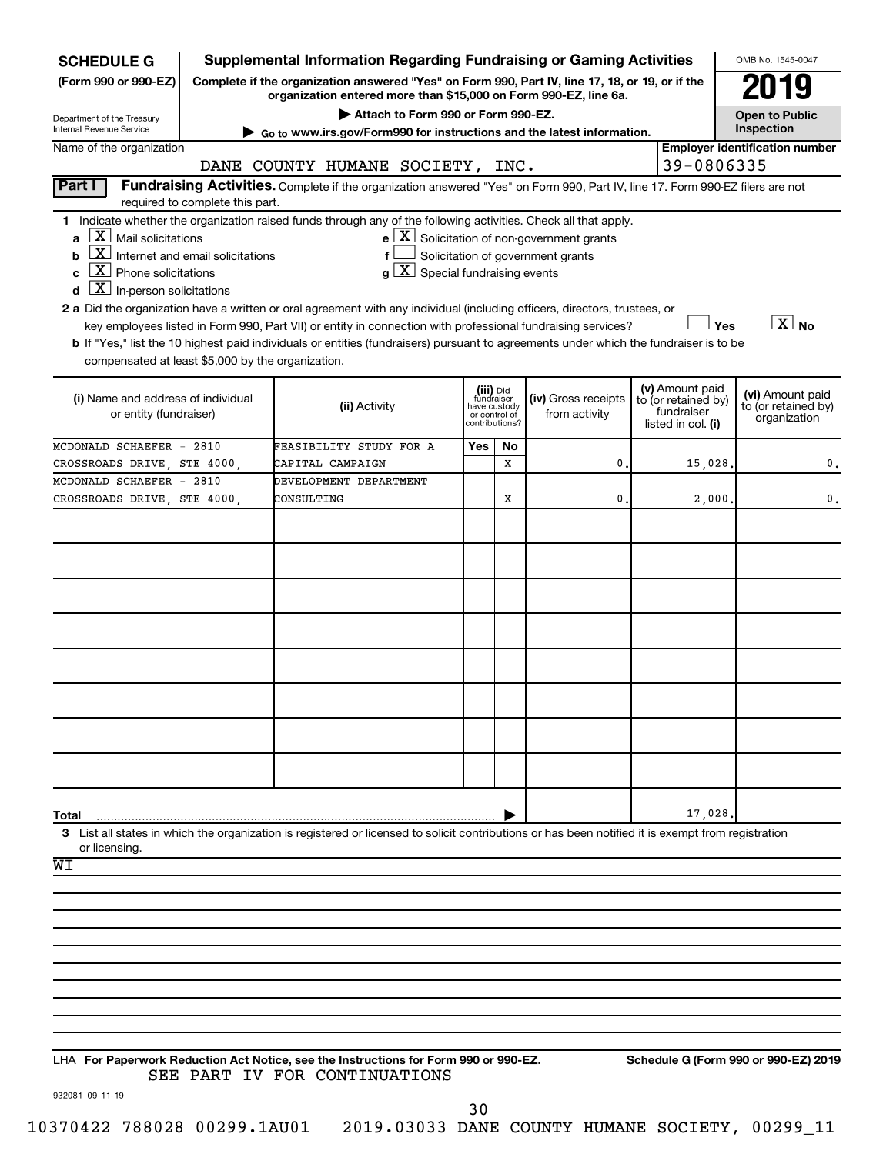| <b>Supplemental Information Regarding Fundraising or Gaming Activities</b><br><b>SCHEDULE G</b>                         |                                                                                                                                                                     |                                                                                                                                                                                                                                                                                                                                                                                                                                                                                                                                               |     |                                                                            |                                                                                                   |  |                                                                            | OMB No. 1545-0047                                       |
|-------------------------------------------------------------------------------------------------------------------------|---------------------------------------------------------------------------------------------------------------------------------------------------------------------|-----------------------------------------------------------------------------------------------------------------------------------------------------------------------------------------------------------------------------------------------------------------------------------------------------------------------------------------------------------------------------------------------------------------------------------------------------------------------------------------------------------------------------------------------|-----|----------------------------------------------------------------------------|---------------------------------------------------------------------------------------------------|--|----------------------------------------------------------------------------|---------------------------------------------------------|
| (Form 990 or 990-EZ)                                                                                                    | Complete if the organization answered "Yes" on Form 990, Part IV, line 17, 18, or 19, or if the<br>organization entered more than \$15,000 on Form 990-EZ, line 6a. |                                                                                                                                                                                                                                                                                                                                                                                                                                                                                                                                               |     |                                                                            |                                                                                                   |  |                                                                            |                                                         |
| Department of the Treasury<br>Internal Revenue Service                                                                  |                                                                                                                                                                     | Attach to Form 990 or Form 990-EZ.<br>$\triangleright$ Go to www.irs.gov/Form990 for instructions and the latest information.                                                                                                                                                                                                                                                                                                                                                                                                                 |     |                                                                            |                                                                                                   |  |                                                                            | <b>Open to Public</b><br>Inspection                     |
| Name of the organization                                                                                                |                                                                                                                                                                     |                                                                                                                                                                                                                                                                                                                                                                                                                                                                                                                                               |     |                                                                            |                                                                                                   |  | 39-0806335                                                                 | <b>Employer identification number</b>                   |
| Part I                                                                                                                  |                                                                                                                                                                     | DANE COUNTY HUMANE SOCIETY, INC.<br>Fundraising Activities. Complete if the organization answered "Yes" on Form 990, Part IV, line 17. Form 990-EZ filers are not                                                                                                                                                                                                                                                                                                                                                                             |     |                                                                            |                                                                                                   |  |                                                                            |                                                         |
|                                                                                                                         | required to complete this part.                                                                                                                                     |                                                                                                                                                                                                                                                                                                                                                                                                                                                                                                                                               |     |                                                                            |                                                                                                   |  |                                                                            |                                                         |
| $X$ Mail solicitations<br>a<br> X <br>b<br>$X$ Phone solicitations<br>C<br>$\underline{X}$ In-person solicitations<br>d | Internet and email solicitations                                                                                                                                    | 1 Indicate whether the organization raised funds through any of the following activities. Check all that apply.<br>$g\mid X$ Special fundraising events<br>2 a Did the organization have a written or oral agreement with any individual (including officers, directors, trustees, or<br>key employees listed in Form 990, Part VII) or entity in connection with professional fundraising services?<br>b If "Yes," list the 10 highest paid individuals or entities (fundraisers) pursuant to agreements under which the fundraiser is to be |     |                                                                            | $e$ $\boxed{\text{X}}$ Solicitation of non-government grants<br>Solicitation of government grants |  | Yes                                                                        | $\boxed{\text{X}}$ No                                   |
| compensated at least \$5,000 by the organization.                                                                       |                                                                                                                                                                     |                                                                                                                                                                                                                                                                                                                                                                                                                                                                                                                                               |     |                                                                            |                                                                                                   |  |                                                                            |                                                         |
| (i) Name and address of individual<br>or entity (fundraiser)                                                            |                                                                                                                                                                     | (ii) Activity                                                                                                                                                                                                                                                                                                                                                                                                                                                                                                                                 |     | (iii) Did<br>fundraiser<br>have custody<br>or control of<br>contributions? | (iv) Gross receipts<br>from activity                                                              |  | (v) Amount paid<br>to (or retained by)<br>fundraiser<br>listed in col. (i) | (vi) Amount paid<br>to (or retained by)<br>organization |
| MCDONALD SCHAEFER - 2810                                                                                                |                                                                                                                                                                     | FEASIBILITY STUDY FOR A                                                                                                                                                                                                                                                                                                                                                                                                                                                                                                                       | Yes | No                                                                         |                                                                                                   |  |                                                                            |                                                         |
| CROSSROADS DRIVE, STE 4000,                                                                                             |                                                                                                                                                                     | CAPITAL CAMPAIGN                                                                                                                                                                                                                                                                                                                                                                                                                                                                                                                              |     | x                                                                          | 0                                                                                                 |  | 15,028                                                                     | 0.                                                      |
| MCDONALD SCHAEFER - 2810<br>CROSSROADS DRIVE, STE 4000,                                                                 |                                                                                                                                                                     | DEVELOPMENT DEPARTMENT<br>CONSULTING                                                                                                                                                                                                                                                                                                                                                                                                                                                                                                          |     | х                                                                          | 0                                                                                                 |  | 2,000.                                                                     | 0.                                                      |
|                                                                                                                         |                                                                                                                                                                     |                                                                                                                                                                                                                                                                                                                                                                                                                                                                                                                                               |     |                                                                            |                                                                                                   |  |                                                                            |                                                         |
|                                                                                                                         |                                                                                                                                                                     |                                                                                                                                                                                                                                                                                                                                                                                                                                                                                                                                               |     |                                                                            |                                                                                                   |  |                                                                            |                                                         |
| Total<br>or licensing.<br>WI                                                                                            |                                                                                                                                                                     | 3 List all states in which the organization is registered or licensed to solicit contributions or has been notified it is exempt from registration                                                                                                                                                                                                                                                                                                                                                                                            |     |                                                                            |                                                                                                   |  | 17,028.                                                                    |                                                         |
| 932081 09-11-19                                                                                                         |                                                                                                                                                                     | LHA For Paperwork Reduction Act Notice, see the Instructions for Form 990 or 990-EZ.<br>SEE PART IV FOR CONTINUATIONS                                                                                                                                                                                                                                                                                                                                                                                                                         |     |                                                                            |                                                                                                   |  |                                                                            | Schedule G (Form 990 or 990-EZ) 2019                    |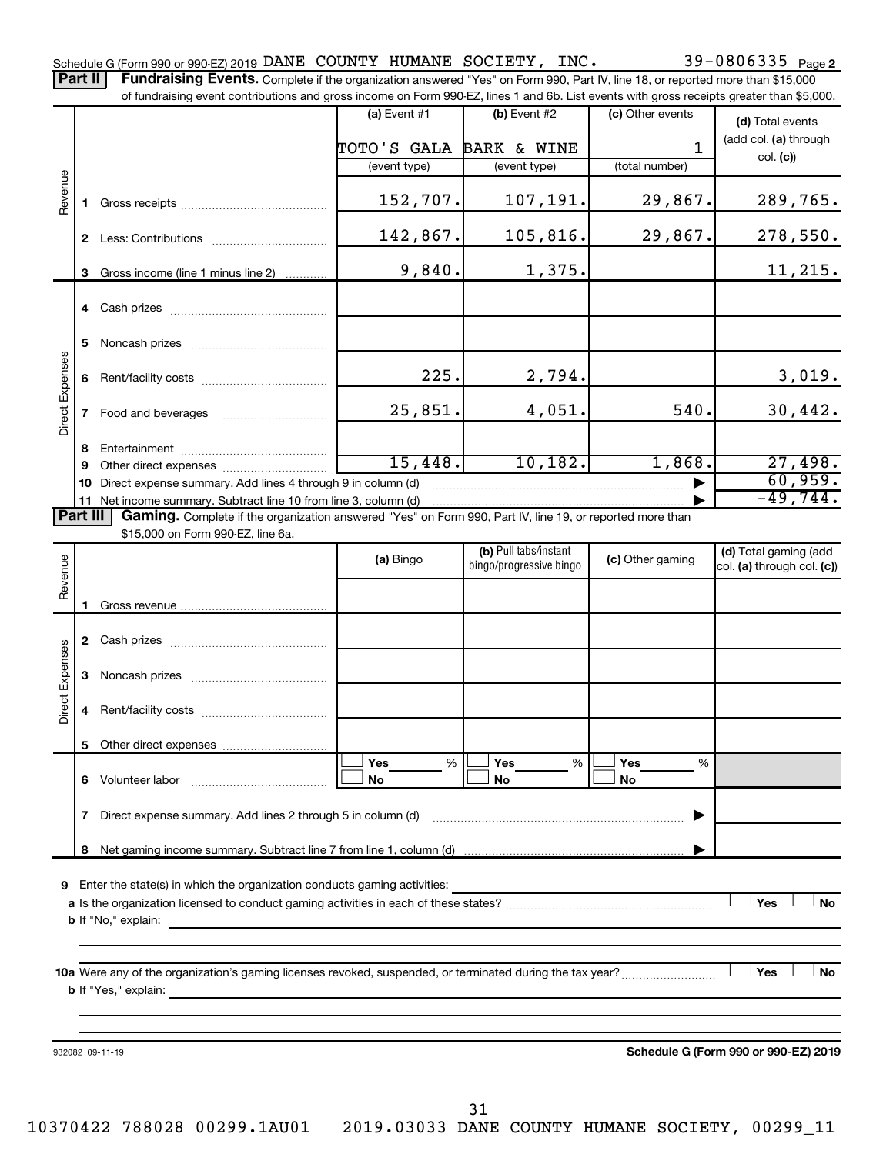39-0806335 Page 2 Schedule G (Form 990 or 990-EZ) 2019 Page DANE COUNTY HUMANE SOCIETY, INC. 39-0806335 Part II | Fundraising Events. Complete if the organization answered "Yes" on Form 990, Part IV, line 18, or reported more than \$15,000

of fundraising event contributions and gross income on Form 990-EZ, lines 1 and 6b. List events with gross receipts greater than \$5,000. **(a)** Event  $#1$  **(b)** Event  $#2$ (c) Other events **(d)**  Total events (add col. (a) through TOTO'S GALA BARK & WINE 1 col. **(c)**) (event type) (event type) (total number) Revenue 152,707. 107,191. 29,867. 289,765. **1** Gross receipts ~~~~~~~~~~~~~~ 142,867. 105,816. 29,867. 278,550. **2** Less: Contributions ~~~~~~~~~~~  $9,840.$  1,375. 11,215. **3** Gross income (line 1 minus line 2) . . . . . . . . . . . . **4** Cash prizes ~~~~~~~~~~~~~~~ **5** Noncash prizes ~~~~~~~~~~~~~ Direct Expenses Direct Expenses  $225.$  2,794. 2.4794. **6** Rent/facility costs ~~~~~~~~~~~~ 25,851. 4,051. 540. 30,442. **7** Food and beverages **with the Strateger 7 8** Entertainment ~~~~~~~~~~~~~~ 15,448. 10,182. 1,868. 27,498. **9** Other direct expenses  $\ldots$  **............................** 60,959. **10** Direct expense summary. Add lines 4 through 9 in column (d)  $~\bullet~$ -49,744. **11** Net income summary. Subtract line 10 from line 3, column (d) | Part III Gaming. Complete if the organization answered "Yes" on Form 990, Part IV, line 19, or reported more than \$15,000 on Form 990-EZ, line 6a. (b) Pull tabs/instant (d) Total gaming (add Revenue **(a)** Bingo **a b**ingo/progressive bingo **(c)** Other gaming bingo/progressive bingo col. (a) through col. (c)) Gross revenue **1 2** Cash prizes ~~~~~~~~~~~~~~~ Direct Expenses Direct Expenses **3** Noncash prizes ~~~~~~~~~~~~~ **4** Rent/facility costs ~~~~~~~~~~~~ **5** Other direct expenses  $|\Box$  Yes  $\qquad \%$   $|\Box$  Yes  $\qquad \%$   $|\Box$ **Yes Yes Yes** % % %  $|\Box$  No  $|\Box$  No  $|\Box$ **6** Volunteer labor ~~~~~~~~~~~~~ **No No No 7** Direct expense summary. Add lines 2 through 5 in column (d) ~~~~~~~~~~~~~~~~~~~~~~~~ | Net gaming income summary. Subtract line 7 from line 1, column (d) **8** | **9** Enter the state(s) in which the organization conducts gaming activities:  $|$  Yes **Yes No a** Is the organization licensed to conduct gaming activities in each of these states? ~~~~~~~~~~~~~~~~~~~~ **b** If "No," explain: **10 a** Were any of the organization's gaming licenses revoked, suspended, or terminated during the tax year? ~~~~~~~~~ † † **Yes No b** If "Yes," explain: **Schedule G (Form 990 or 990-EZ) 2019** 932082 09-11-19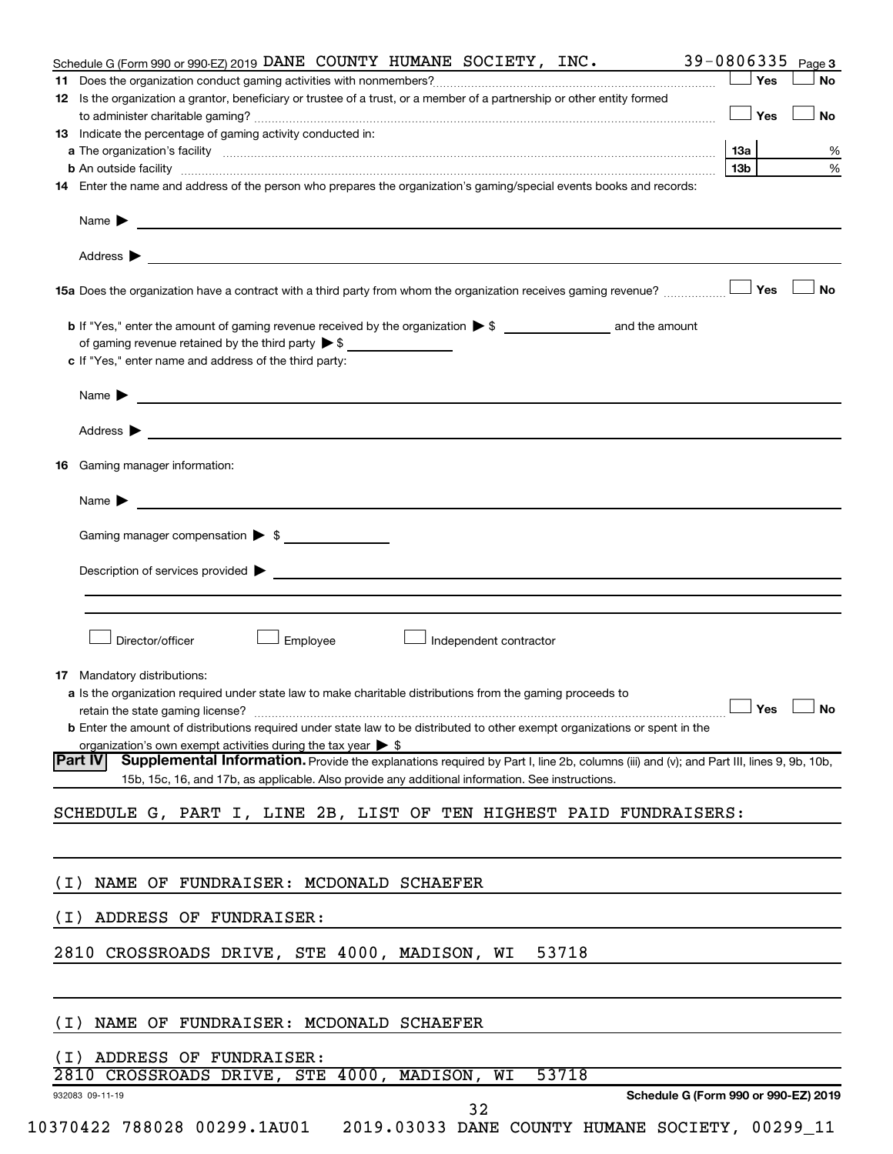| Schedule G (Form 990 or 990-EZ) 2019 DANE COUNTY HUMANE SOCIETY, INC.                                                                                                                                                                                                                                                                                             | 39-0806335<br>Page 3                 |
|-------------------------------------------------------------------------------------------------------------------------------------------------------------------------------------------------------------------------------------------------------------------------------------------------------------------------------------------------------------------|--------------------------------------|
|                                                                                                                                                                                                                                                                                                                                                                   | Yes<br>No                            |
| 12 Is the organization a grantor, beneficiary or trustee of a trust, or a member of a partnership or other entity formed                                                                                                                                                                                                                                          |                                      |
|                                                                                                                                                                                                                                                                                                                                                                   | Yes<br>No                            |
| 13 Indicate the percentage of gaming activity conducted in:                                                                                                                                                                                                                                                                                                       |                                      |
|                                                                                                                                                                                                                                                                                                                                                                   | <b>13a</b><br>℅                      |
| <b>b</b> An outside facility <b>with the contract of the contract of the contract of the contract of the contract of the contract of the contract of the contract of the contract of the contract of the contract of the contract of </b><br>14 Enter the name and address of the person who prepares the organization's gaming/special events books and records: | %<br>13 <sub>b</sub>                 |
|                                                                                                                                                                                                                                                                                                                                                                   |                                      |
| Name $\blacktriangleright$<br><u> 1989 - Johann Barn, fransk politik amerikansk politik (d. 1989)</u>                                                                                                                                                                                                                                                             |                                      |
| Address $\blacktriangleright$<br>and the control of the control of the control of the control of the control of the control of the control of the                                                                                                                                                                                                                 |                                      |
| 15a Does the organization have a contract with a third party from whom the organization receives gaming revenue?                                                                                                                                                                                                                                                  | Yes<br>No                            |
|                                                                                                                                                                                                                                                                                                                                                                   |                                      |
| of gaming revenue retained by the third party $\triangleright$ \$                                                                                                                                                                                                                                                                                                 |                                      |
| c If "Yes," enter name and address of the third party:                                                                                                                                                                                                                                                                                                            |                                      |
| Name > 2008 - 2008 - 2009 - 2009 - 2009 - 2009 - 2009 - 2009 - 2009 - 2009 - 2009 - 2009 - 2009 - 2009 - 2009 - 2009 - 2009 - 2009 - 2009 - 2009 - 2009 - 2009 - 2009 - 2009 - 2009 - 2009 - 2009 - 2009 - 2009 - 2009 - 2009                                                                                                                                     |                                      |
| Address $\blacktriangleright$                                                                                                                                                                                                                                                                                                                                     |                                      |
| <b>16</b> Gaming manager information:                                                                                                                                                                                                                                                                                                                             |                                      |
|                                                                                                                                                                                                                                                                                                                                                                   |                                      |
| Name $\blacktriangleright$<br><u> 1989 - John Stein, Amerikaansk politiker (* 1918)</u>                                                                                                                                                                                                                                                                           |                                      |
| Gaming manager compensation > \$                                                                                                                                                                                                                                                                                                                                  |                                      |
| Description of services provided > The Communication of Services and Theorem Communication of Services provided                                                                                                                                                                                                                                                   |                                      |
|                                                                                                                                                                                                                                                                                                                                                                   |                                      |
|                                                                                                                                                                                                                                                                                                                                                                   |                                      |
| Director/officer<br>Employee<br>Independent contractor                                                                                                                                                                                                                                                                                                            |                                      |
|                                                                                                                                                                                                                                                                                                                                                                   |                                      |
| 17 Mandatory distributions:                                                                                                                                                                                                                                                                                                                                       |                                      |
| a Is the organization required under state law to make charitable distributions from the gaming proceeds to                                                                                                                                                                                                                                                       |                                      |
|                                                                                                                                                                                                                                                                                                                                                                   |                                      |
| <b>b</b> Enter the amount of distributions required under state law to be distributed to other exempt organizations or spent in the                                                                                                                                                                                                                               |                                      |
| organization's own exempt activities during the tax year $\triangleright$ \$                                                                                                                                                                                                                                                                                      |                                      |
| Supplemental Information. Provide the explanations required by Part I, line 2b, columns (iii) and (v); and Part III, lines 9, 9b, 10b,<br> Part IV <br>15b, 15c, 16, and 17b, as applicable. Also provide any additional information. See instructions.                                                                                                           |                                      |
|                                                                                                                                                                                                                                                                                                                                                                   |                                      |
| SCHEDULE G, PART I, LINE 2B, LIST OF TEN HIGHEST PAID FUNDRAISERS:                                                                                                                                                                                                                                                                                                |                                      |
|                                                                                                                                                                                                                                                                                                                                                                   |                                      |
|                                                                                                                                                                                                                                                                                                                                                                   |                                      |
| NAME OF FUNDRAISER: MCDONALD SCHAEFER<br>( I )                                                                                                                                                                                                                                                                                                                    |                                      |
| ADDRESS OF FUNDRAISER:<br>( I )                                                                                                                                                                                                                                                                                                                                   |                                      |
| CROSSROADS DRIVE, STE 4000, MADISON, WI<br>53718<br>2810                                                                                                                                                                                                                                                                                                          |                                      |
|                                                                                                                                                                                                                                                                                                                                                                   |                                      |
|                                                                                                                                                                                                                                                                                                                                                                   |                                      |
| NAME OF FUNDRAISER: MCDONALD SCHAEFER<br>( I )                                                                                                                                                                                                                                                                                                                    |                                      |
| ADDRESS OF FUNDRAISER:<br>( I )                                                                                                                                                                                                                                                                                                                                   |                                      |
| CROSSROADS DRIVE, STE 4000, MADISON, WI<br>53718<br>2810                                                                                                                                                                                                                                                                                                          |                                      |
| 932083 09-11-19                                                                                                                                                                                                                                                                                                                                                   | Schedule G (Form 990 or 990-EZ) 2019 |
| 32                                                                                                                                                                                                                                                                                                                                                                |                                      |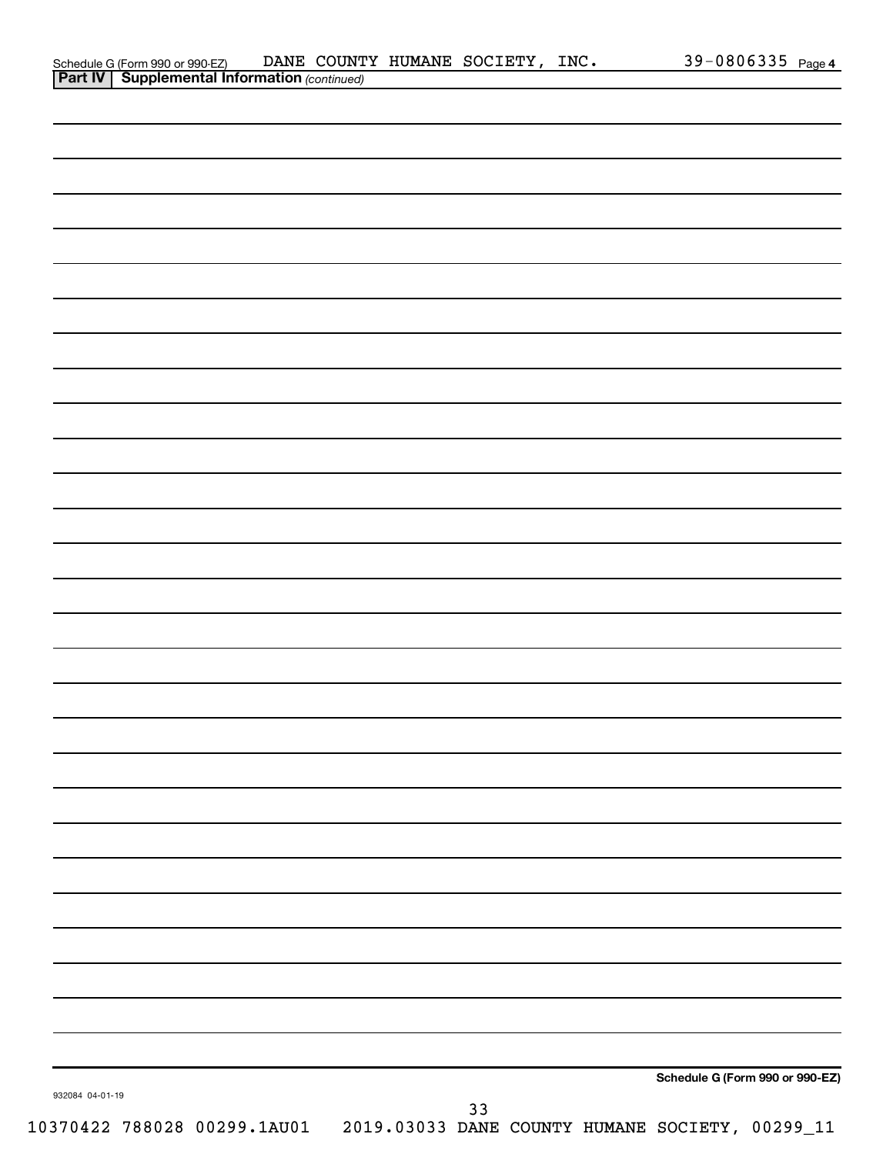|                 | Schedule G (Form 990 or 990-EZ) DANE COUNT<br><b>Part IV   Supplemental Information</b> (continued) | DANE COUNTY HUMANE SOCIETY, INC. |    |  |                                 | 39-0806335 Page 4 |  |
|-----------------|-----------------------------------------------------------------------------------------------------|----------------------------------|----|--|---------------------------------|-------------------|--|
|                 |                                                                                                     |                                  |    |  |                                 |                   |  |
|                 |                                                                                                     |                                  |    |  |                                 |                   |  |
|                 |                                                                                                     |                                  |    |  |                                 |                   |  |
|                 |                                                                                                     |                                  |    |  |                                 |                   |  |
|                 |                                                                                                     |                                  |    |  |                                 |                   |  |
|                 |                                                                                                     |                                  |    |  |                                 |                   |  |
|                 |                                                                                                     |                                  |    |  |                                 |                   |  |
|                 |                                                                                                     |                                  |    |  |                                 |                   |  |
|                 |                                                                                                     |                                  |    |  |                                 |                   |  |
|                 |                                                                                                     |                                  |    |  |                                 |                   |  |
|                 |                                                                                                     |                                  |    |  |                                 |                   |  |
|                 |                                                                                                     |                                  |    |  |                                 |                   |  |
|                 |                                                                                                     |                                  |    |  |                                 |                   |  |
|                 |                                                                                                     |                                  |    |  |                                 |                   |  |
|                 |                                                                                                     |                                  |    |  |                                 |                   |  |
|                 |                                                                                                     |                                  |    |  |                                 |                   |  |
|                 |                                                                                                     |                                  |    |  |                                 |                   |  |
|                 |                                                                                                     |                                  |    |  |                                 |                   |  |
|                 |                                                                                                     |                                  |    |  |                                 |                   |  |
|                 |                                                                                                     |                                  |    |  |                                 |                   |  |
|                 |                                                                                                     |                                  |    |  |                                 |                   |  |
|                 |                                                                                                     |                                  |    |  |                                 |                   |  |
|                 |                                                                                                     |                                  |    |  |                                 |                   |  |
|                 |                                                                                                     |                                  |    |  |                                 |                   |  |
|                 |                                                                                                     |                                  |    |  |                                 |                   |  |
|                 |                                                                                                     |                                  |    |  |                                 |                   |  |
|                 |                                                                                                     |                                  |    |  |                                 |                   |  |
|                 |                                                                                                     |                                  |    |  |                                 |                   |  |
|                 |                                                                                                     |                                  |    |  |                                 |                   |  |
|                 |                                                                                                     |                                  |    |  |                                 |                   |  |
|                 |                                                                                                     |                                  |    |  |                                 |                   |  |
|                 |                                                                                                     |                                  |    |  |                                 |                   |  |
|                 |                                                                                                     |                                  |    |  |                                 |                   |  |
|                 |                                                                                                     |                                  |    |  |                                 |                   |  |
|                 |                                                                                                     |                                  |    |  |                                 |                   |  |
|                 |                                                                                                     |                                  |    |  |                                 |                   |  |
|                 |                                                                                                     |                                  |    |  |                                 |                   |  |
|                 |                                                                                                     |                                  |    |  |                                 |                   |  |
|                 |                                                                                                     |                                  |    |  |                                 |                   |  |
|                 |                                                                                                     |                                  |    |  |                                 |                   |  |
|                 |                                                                                                     |                                  |    |  |                                 |                   |  |
|                 |                                                                                                     |                                  |    |  |                                 |                   |  |
|                 |                                                                                                     |                                  |    |  |                                 |                   |  |
| 932084 04-01-19 |                                                                                                     |                                  |    |  | Schedule G (Form 990 or 990-EZ) |                   |  |
|                 |                                                                                                     |                                  | 33 |  |                                 |                   |  |
|                 | 10370422 788028 00299.1AU01  2019.03033 DANE COUNTY HUMANE SOCIETY, 00299_11                        |                                  |    |  |                                 |                   |  |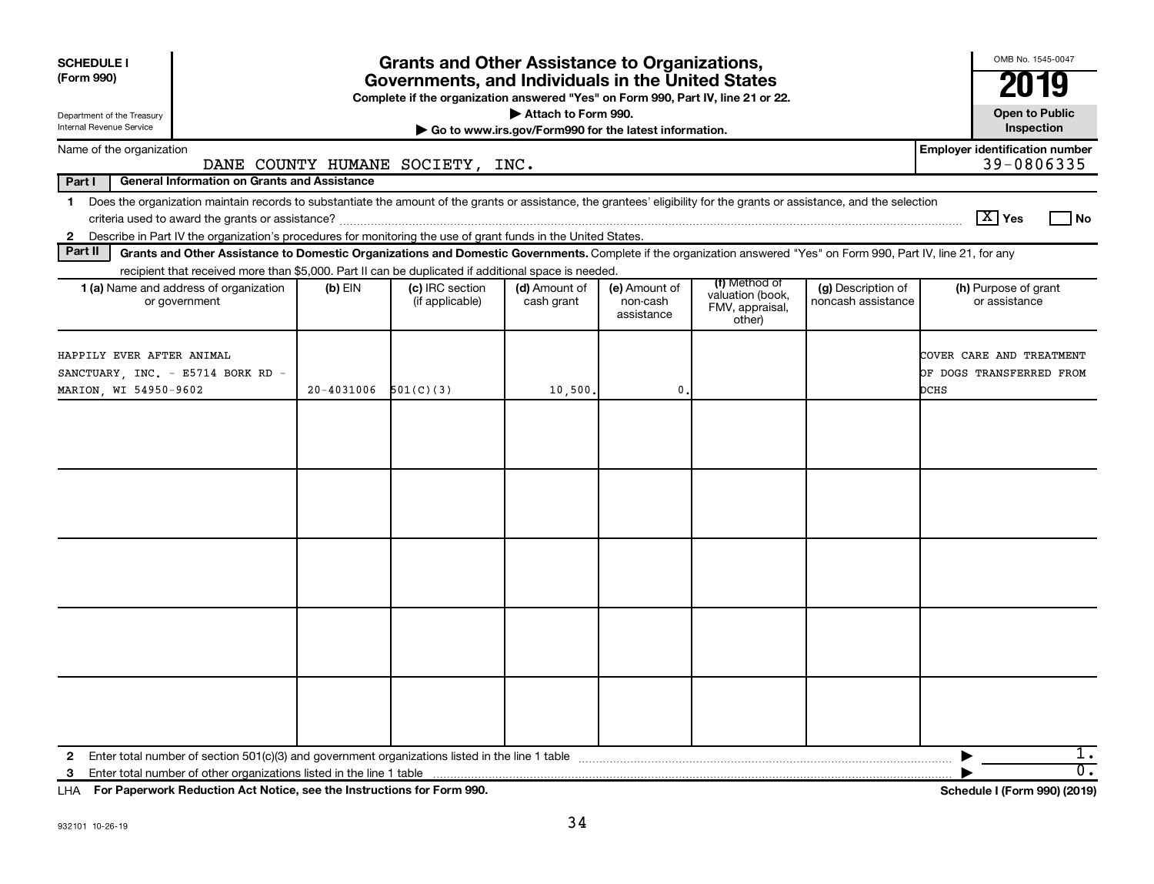| <b>SCHEDULE I</b><br>(Form 990)                                                                                                                                                                                                                                           |            | <b>Grants and Other Assistance to Organizations,</b><br>Governments, and Individuals in the United States<br>Complete if the organization answered "Yes" on Form 990, Part IV, line 21 or 22. |                                                       |                                         |                                                                |                                          | OMB No. 1545-0047<br>2019                                    |
|---------------------------------------------------------------------------------------------------------------------------------------------------------------------------------------------------------------------------------------------------------------------------|------------|-----------------------------------------------------------------------------------------------------------------------------------------------------------------------------------------------|-------------------------------------------------------|-----------------------------------------|----------------------------------------------------------------|------------------------------------------|--------------------------------------------------------------|
| Department of the Treasury                                                                                                                                                                                                                                                |            |                                                                                                                                                                                               | Attach to Form 990.                                   |                                         |                                                                |                                          | <b>Open to Public</b>                                        |
| Internal Revenue Service                                                                                                                                                                                                                                                  |            |                                                                                                                                                                                               | Go to www.irs.gov/Form990 for the latest information. |                                         |                                                                |                                          | Inspection                                                   |
| Name of the organization                                                                                                                                                                                                                                                  |            | DANE COUNTY HUMANE SOCIETY, INC.                                                                                                                                                              |                                                       |                                         |                                                                |                                          | <b>Employer identification number</b><br>39-0806335          |
| Part I<br><b>General Information on Grants and Assistance</b>                                                                                                                                                                                                             |            |                                                                                                                                                                                               |                                                       |                                         |                                                                |                                          |                                                              |
| Does the organization maintain records to substantiate the amount of the grants or assistance, the grantees' eligibility for the grants or assistance, and the selection<br>$\mathbf 1$                                                                                   |            |                                                                                                                                                                                               |                                                       |                                         |                                                                |                                          | $\lceil \text{X} \rceil$ Yes<br>l No                         |
| 2 Describe in Part IV the organization's procedures for monitoring the use of grant funds in the United States.<br>Part II                                                                                                                                                |            |                                                                                                                                                                                               |                                                       |                                         |                                                                |                                          |                                                              |
| Grants and Other Assistance to Domestic Organizations and Domestic Governments. Complete if the organization answered "Yes" on Form 990, Part IV, line 21, for any<br>recipient that received more than \$5,000. Part II can be duplicated if additional space is needed. |            |                                                                                                                                                                                               |                                                       |                                         |                                                                |                                          |                                                              |
| 1 (a) Name and address of organization<br>or government                                                                                                                                                                                                                   | $(b)$ EIN  | (c) IRC section<br>(if applicable)                                                                                                                                                            | (d) Amount of<br>cash grant                           | (e) Amount of<br>non-cash<br>assistance | (f) Method of<br>valuation (book,<br>FMV, appraisal,<br>other) | (g) Description of<br>noncash assistance | (h) Purpose of grant<br>or assistance                        |
| HAPPILY EVER AFTER ANIMAL<br>SANCTUARY, INC. - E5714 BORK RD -<br>MARION, WI 54950-9602                                                                                                                                                                                   | 20-4031006 | 501(C)(3)                                                                                                                                                                                     | 10,500.                                               | 0                                       |                                                                |                                          | COVER CARE AND TREATMENT<br>OF DOGS TRANSFERRED FROM<br>DCHS |
|                                                                                                                                                                                                                                                                           |            |                                                                                                                                                                                               |                                                       |                                         |                                                                |                                          |                                                              |
| $\mathbf{2}$<br>3                                                                                                                                                                                                                                                         |            |                                                                                                                                                                                               |                                                       |                                         |                                                                |                                          | 1.<br>$\overline{0}$ .                                       |

**For Paperwork Reduction Act Notice, see the Instructions for Form 990. Schedule I (Form 990) (2019)** LHA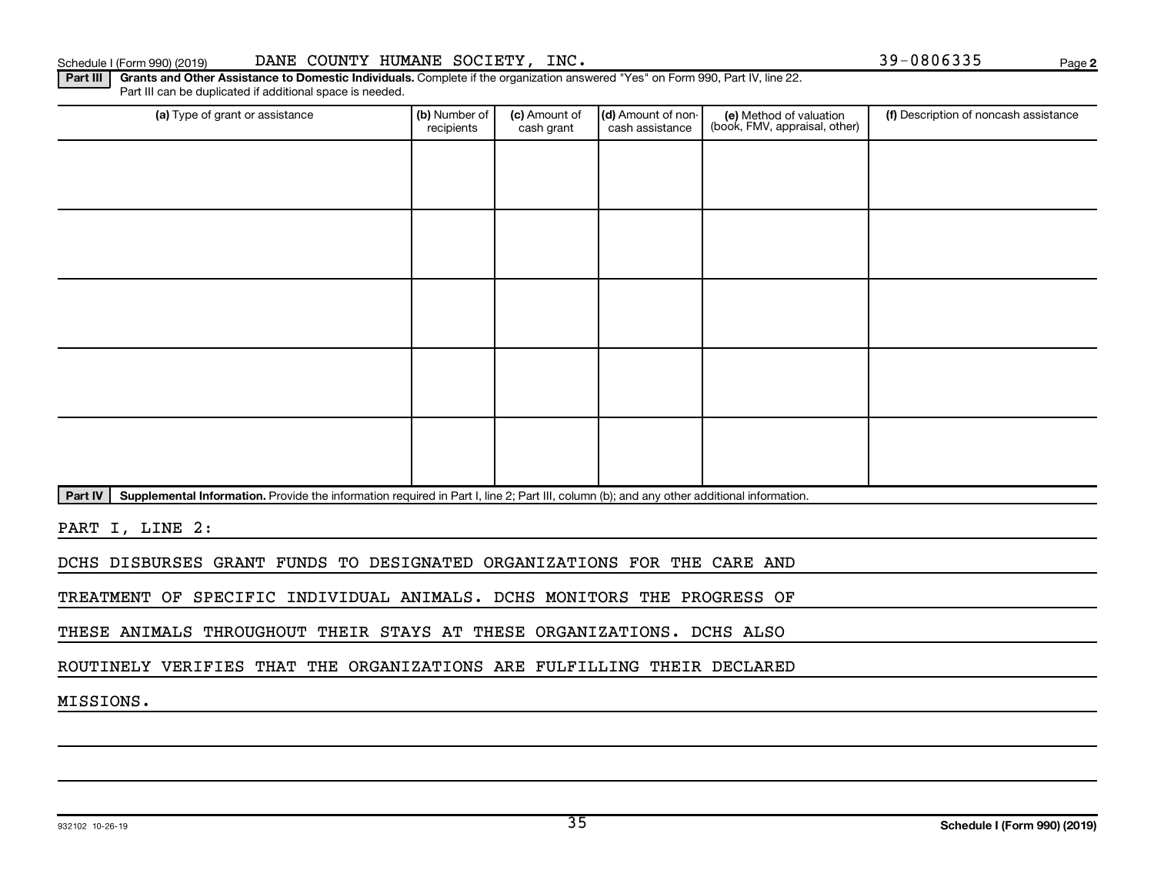### Schedule I (Form 990) (2019) DANE COUNTY HUMANE SOCIETY, INC. 39-0806335 Page

Part III | Grants and Other Assistance to Domestic Individuals. Complete if the organization answered "Yes" on Form 990, Part IV, line 22. Part III can be duplicated if additional space is needed.

| (a) Type of grant or assistance | (b) Number of<br>recipients | (c) Amount of<br>cash grant | (d) Amount of non-<br>cash assistance | (e) Method of valuation<br>(book, FMV, appraisal, other) | (f) Description of noncash assistance |
|---------------------------------|-----------------------------|-----------------------------|---------------------------------------|----------------------------------------------------------|---------------------------------------|
|                                 |                             |                             |                                       |                                                          |                                       |
|                                 |                             |                             |                                       |                                                          |                                       |
|                                 |                             |                             |                                       |                                                          |                                       |
|                                 |                             |                             |                                       |                                                          |                                       |
|                                 |                             |                             |                                       |                                                          |                                       |
|                                 |                             |                             |                                       |                                                          |                                       |
|                                 |                             |                             |                                       |                                                          |                                       |
|                                 |                             |                             |                                       |                                                          |                                       |
|                                 |                             |                             |                                       |                                                          |                                       |
|                                 |                             |                             |                                       |                                                          |                                       |

Part IV | Supplemental Information. Provide the information required in Part I, line 2; Part III, column (b); and any other additional information.

PART I, LINE 2:

DCHS DISBURSES GRANT FUNDS TO DESIGNATED ORGANIZATIONS FOR THE CARE AND

TREATMENT OF SPECIFIC INDIVIDUAL ANIMALS. DCHS MONITORS THE PROGRESS OF

THESE ANIMALS THROUGHOUT THEIR STAYS AT THESE ORGANIZATIONS. DCHS ALSO

ROUTINELY VERIFIES THAT THE ORGANIZATIONS ARE FULFILLING THEIR DECLARED

MISSIONS.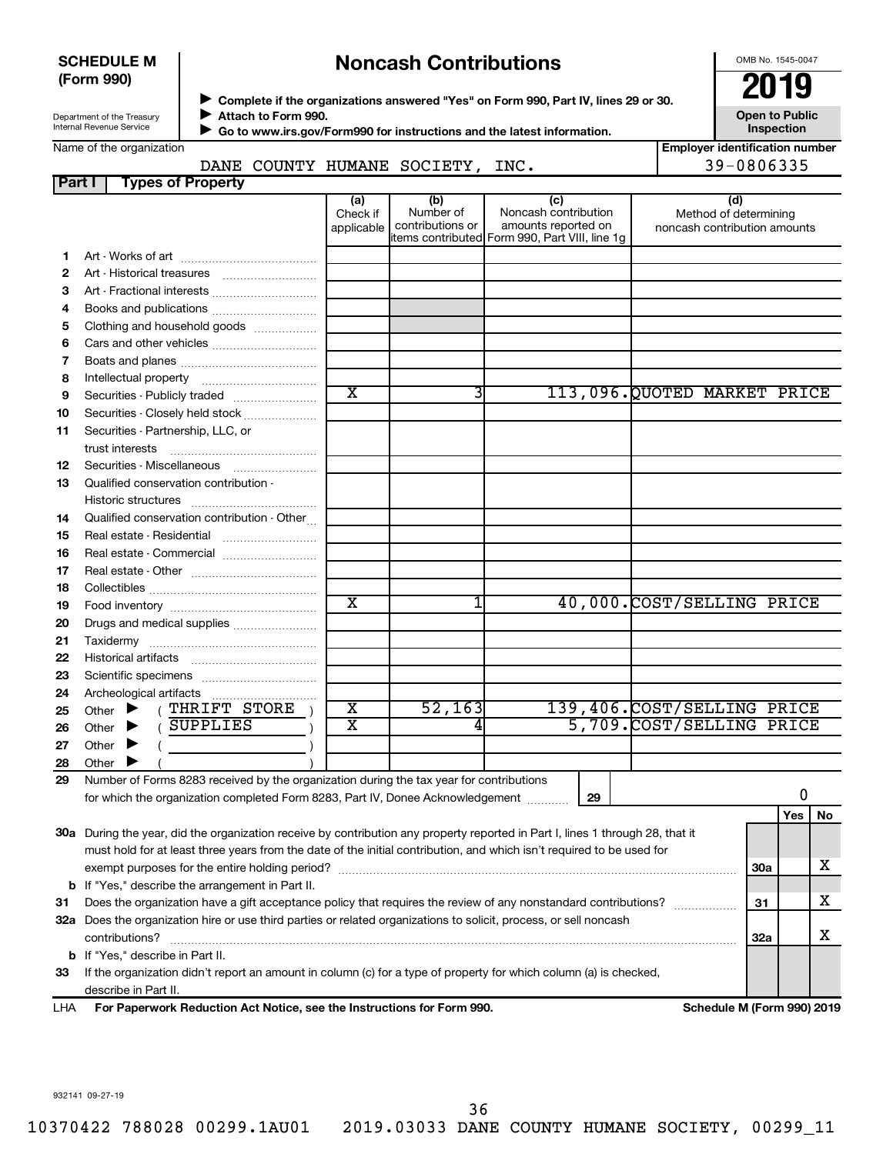#### **SCHEDULE M (Form 990)**

# **Noncash Contributions**

OMB No. 1545-0047

**Employer identification number**

| Department of the Treasury |  |
|----------------------------|--|
| Internal Revenue Service   |  |

◆ Complete if the organizations answered "Yes" on Form 990, Part IV, lines 29 or 30.<br>▶ Complete if the organizations answered "Yes" on Form 990, Part IV, lines 29 or 30. **Attach to Form 990.**  $\blacktriangleright$ 

**Open to Public Inspection**

|  | Name of the organization |
|--|--------------------------|
|  |                          |
|  |                          |
|  |                          |

 **Go to www.irs.gov/Form990 for instructions and the latest information.** J

# DANE COUNTY HUMANE SOCIETY, INC. 49-0806335

| Part I | <b>Types of Property</b>                                                                                                            |                               |                                      |                                                                                                      |                                                              |            |    |
|--------|-------------------------------------------------------------------------------------------------------------------------------------|-------------------------------|--------------------------------------|------------------------------------------------------------------------------------------------------|--------------------------------------------------------------|------------|----|
|        |                                                                                                                                     | (a)<br>Check if<br>applicable | (b)<br>Number of<br>contributions or | (c)<br>Noncash contribution<br>amounts reported on<br>items contributed Form 990, Part VIII, line 1g | (d)<br>Method of determining<br>noncash contribution amounts |            |    |
| 1.     |                                                                                                                                     |                               |                                      |                                                                                                      |                                                              |            |    |
| 2      |                                                                                                                                     |                               |                                      |                                                                                                      |                                                              |            |    |
| 3      | Art - Fractional interests                                                                                                          |                               |                                      |                                                                                                      |                                                              |            |    |
| 4      | Books and publications                                                                                                              |                               |                                      |                                                                                                      |                                                              |            |    |
| 5      | Clothing and household goods                                                                                                        |                               |                                      |                                                                                                      |                                                              |            |    |
| 6      | Cars and other vehicles                                                                                                             |                               |                                      |                                                                                                      |                                                              |            |    |
| 7      |                                                                                                                                     |                               |                                      |                                                                                                      |                                                              |            |    |
| 8      |                                                                                                                                     |                               |                                      |                                                                                                      |                                                              |            |    |
| 9      | Securities - Publicly traded                                                                                                        | $\overline{\textbf{x}}$       | 3                                    |                                                                                                      | 113,096.QUOTED MARKET PRICE                                  |            |    |
| 10     | Securities - Closely held stock                                                                                                     |                               |                                      |                                                                                                      |                                                              |            |    |
| 11     | Securities - Partnership, LLC, or<br>trust interests                                                                                |                               |                                      |                                                                                                      |                                                              |            |    |
| 12     | Securities - Miscellaneous                                                                                                          |                               |                                      |                                                                                                      |                                                              |            |    |
| 13     | Qualified conservation contribution -                                                                                               |                               |                                      |                                                                                                      |                                                              |            |    |
| 14     | Qualified conservation contribution - Other                                                                                         |                               |                                      |                                                                                                      |                                                              |            |    |
| 15     | Real estate - Residential                                                                                                           |                               |                                      |                                                                                                      |                                                              |            |    |
| 16     | Real estate - Commercial                                                                                                            |                               |                                      |                                                                                                      |                                                              |            |    |
| 17     |                                                                                                                                     |                               |                                      |                                                                                                      |                                                              |            |    |
| 18     |                                                                                                                                     |                               |                                      |                                                                                                      |                                                              |            |    |
| 19     |                                                                                                                                     | $\mathbf x$                   | 1                                    |                                                                                                      | 40,000.COST/SELLING PRICE                                    |            |    |
| 20     | Drugs and medical supplies                                                                                                          |                               |                                      |                                                                                                      |                                                              |            |    |
| 21     |                                                                                                                                     |                               |                                      |                                                                                                      |                                                              |            |    |
| 22     |                                                                                                                                     |                               |                                      |                                                                                                      |                                                              |            |    |
| 23     |                                                                                                                                     |                               |                                      |                                                                                                      |                                                              |            |    |
| 24     |                                                                                                                                     |                               |                                      |                                                                                                      |                                                              |            |    |
| 25     | (THRIFT STORE<br>Other $\blacktriangleright$                                                                                        | $\overline{\textbf{x}}$       | 52, 163                              |                                                                                                      | 139,406.COST/SELLING PRICE                                   |            |    |
| 26     | (SUPPLIES<br>Other $\blacktriangleright$                                                                                            | X                             |                                      |                                                                                                      | 5,709. COST/SELLING PRICE                                    |            |    |
| 27     | Other<br>▸                                                                                                                          |                               |                                      |                                                                                                      |                                                              |            |    |
| 28     | Other                                                                                                                               |                               |                                      |                                                                                                      |                                                              |            |    |
| 29     | Number of Forms 8283 received by the organization during the tax year for contributions                                             |                               |                                      |                                                                                                      |                                                              |            |    |
|        | for which the organization completed Form 8283, Part IV, Donee Acknowledgement                                                      |                               |                                      | 29                                                                                                   |                                                              | 0          |    |
|        |                                                                                                                                     |                               |                                      |                                                                                                      |                                                              | Yes        | No |
|        | 30a During the year, did the organization receive by contribution any property reported in Part I, lines 1 through 28, that it      |                               |                                      |                                                                                                      |                                                              |            |    |
|        | must hold for at least three years from the date of the initial contribution, and which isn't required to be used for               |                               |                                      |                                                                                                      |                                                              |            |    |
|        |                                                                                                                                     |                               |                                      |                                                                                                      |                                                              | <b>30a</b> | х  |
|        | <b>b</b> If "Yes," describe the arrangement in Part II.                                                                             |                               |                                      |                                                                                                      |                                                              | 31         |    |
| 31     | Does the organization have a gift acceptance policy that requires the review of any nonstandard contributions?                      |                               |                                      |                                                                                                      |                                                              |            | х  |
|        | 32a Does the organization hire or use third parties or related organizations to solicit, process, or sell noncash<br>contributions? |                               |                                      |                                                                                                      |                                                              | 32a        | х  |
| b      | If "Yes," describe in Part II.                                                                                                      |                               |                                      |                                                                                                      |                                                              |            |    |
| 33     | If the organization didn't report an amount in column (c) for a type of property for which column (a) is checked,                   |                               |                                      |                                                                                                      |                                                              |            |    |
|        | describe in Part II.                                                                                                                |                               |                                      |                                                                                                      |                                                              |            |    |
|        |                                                                                                                                     |                               |                                      |                                                                                                      |                                                              |            |    |

**For Paperwork Reduction Act Notice, see the Instructions for Form 990. Schedule M (Form 990) 2019** LHA

932141 09-27-19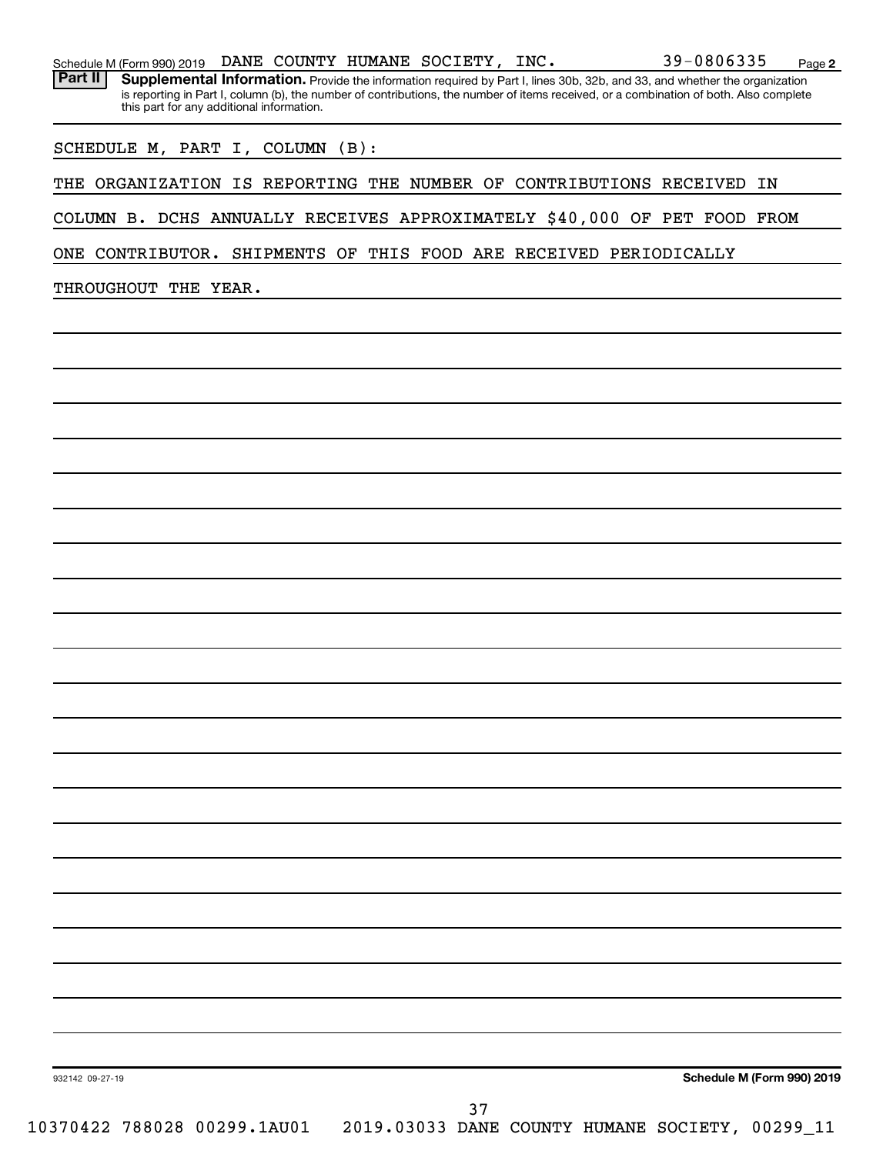Part II | Supplemental Information. Provide the information required by Part I, lines 30b, 32b, and 33, and whether the organization is reporting in Part I, column (b), the number of contributions, the number of items received, or a combination of both. Also complete this part for any additional information.

SCHEDULE M, PART I, COLUMN (B):

THE ORGANIZATION IS REPORTING THE NUMBER OF CONTRIBUTIONS RECEIVED IN

COLUMN B. DCHS ANNUALLY RECEIVES APPROXIMATELY \$40,000 OF PET FOOD FROM

ONE CONTRIBUTOR. SHIPMENTS OF THIS FOOD ARE RECEIVED PERIODICALLY

THROUGHOUT THE YEAR.

**Schedule M (Form 990) 2019**

**2**

932142 09-27-19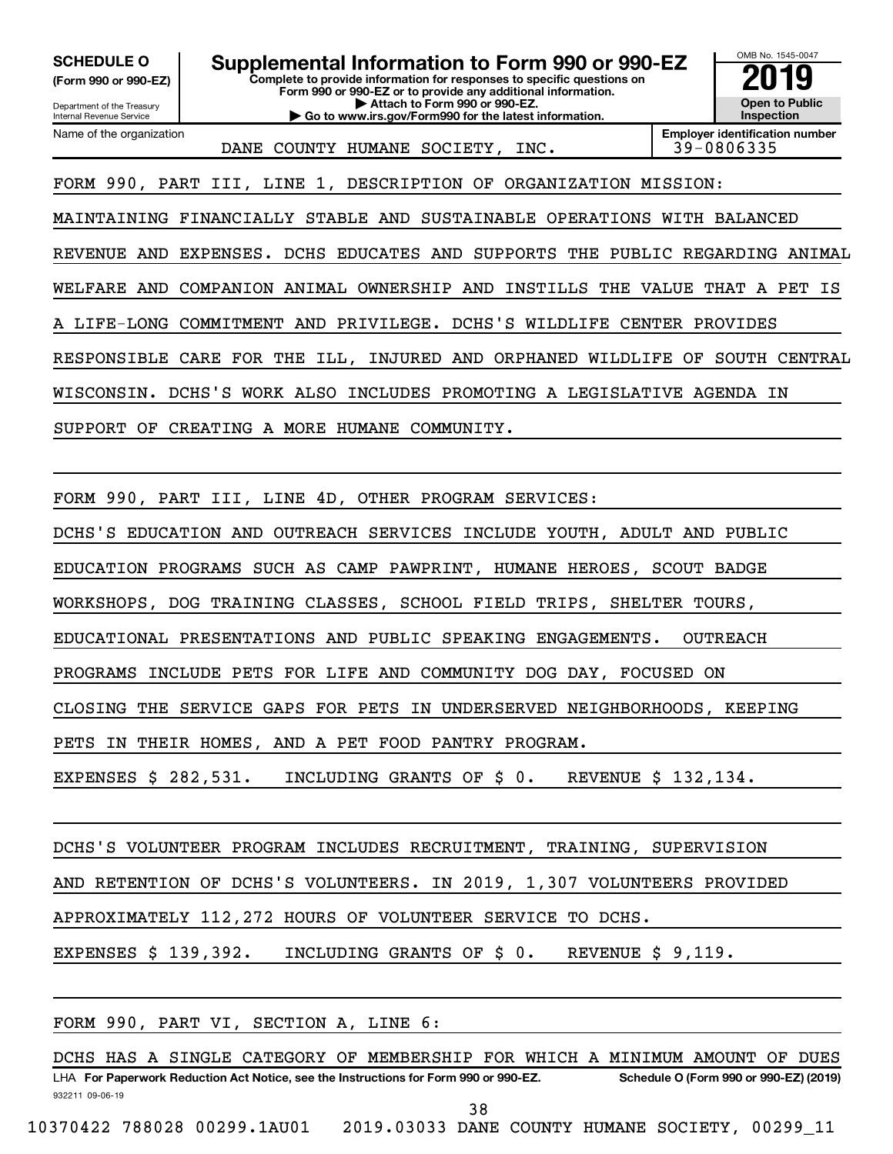**(Form 990 or 990-EZ)**

Internal Revenue Service

Department of the Treasury

Name of the organization

**Complete to provide information for responses to specific questions on Form 990 or 990-EZ or to provide any additional information. | Attach to Form 990 or 990-EZ. | Go to www.irs.gov/Form990 for the latest information. SCHEDULE O Supplemental Information to Form 990 or 990-EZ 2019** 



DANE COUNTY HUMANE SOCIETY, INC.

**Employer identification number**

FORM 990, PART III, LINE 1, DESCRIPTION OF ORGANIZATION MISSION:

MAINTAINING FINANCIALLY STABLE AND SUSTAINABLE OPERATIONS WITH BALANCED REVENUE AND EXPENSES. DCHS EDUCATES AND SUPPORTS THE PUBLIC REGARDING ANIMAL WELFARE AND COMPANION ANIMAL OWNERSHIP AND INSTILLS THE VALUE THAT A PET IS A LIFE-LONG COMMITMENT AND PRIVILEGE. DCHS'S WILDLIFE CENTER PROVIDES RESPONSIBLE CARE FOR THE ILL, INJURED AND ORPHANED WILDLIFE OF SOUTH CENTRAL WISCONSIN. DCHS'S WORK ALSO INCLUDES PROMOTING A LEGISLATIVE AGENDA IN SUPPORT OF CREATING A MORE HUMANE COMMUNITY.

FORM 990, PART III, LINE 4D, OTHER PROGRAM SERVICES:

DCHS'S EDUCATION AND OUTREACH SERVICES INCLUDE YOUTH, ADULT AND PUBLIC

EDUCATION PROGRAMS SUCH AS CAMP PAWPRINT, HUMANE HEROES, SCOUT BADGE

WORKSHOPS, DOG TRAINING CLASSES, SCHOOL FIELD TRIPS, SHELTER TOURS,

EDUCATIONAL PRESENTATIONS AND PUBLIC SPEAKING ENGAGEMENTS. OUTREACH

PROGRAMS INCLUDE PETS FOR LIFE AND COMMUNITY DOG DAY, FOCUSED ON

CLOSING THE SERVICE GAPS FOR PETS IN UNDERSERVED NEIGHBORHOODS, KEEPING

PETS IN THEIR HOMES, AND A PET FOOD PANTRY PROGRAM.

EXPENSES \$ 282,531. INCLUDING GRANTS OF \$ 0. REVENUE \$ 132,134.

DCHS'S VOLUNTEER PROGRAM INCLUDES RECRUITMENT, TRAINING, SUPERVISION AND RETENTION OF DCHS'S VOLUNTEERS. IN 2019, 1,307 VOLUNTEERS PROVIDED APPROXIMATELY 112,272 HOURS OF VOLUNTEER SERVICE TO DCHS. EXPENSES \$ 139,392. INCLUDING GRANTS OF \$ 0. REVENUE \$ 9,119.

FORM 990, PART VI, SECTION A, LINE 6:

932211 09-06-19 LHA For Paperwork Reduction Act Notice, see the Instructions for Form 990 or 990-EZ. Schedule O (Form 990 or 990-EZ) (2019) DCHS HAS A SINGLE CATEGORY OF MEMBERSHIP FOR WHICH A MINIMUM AMOUNT OF DUES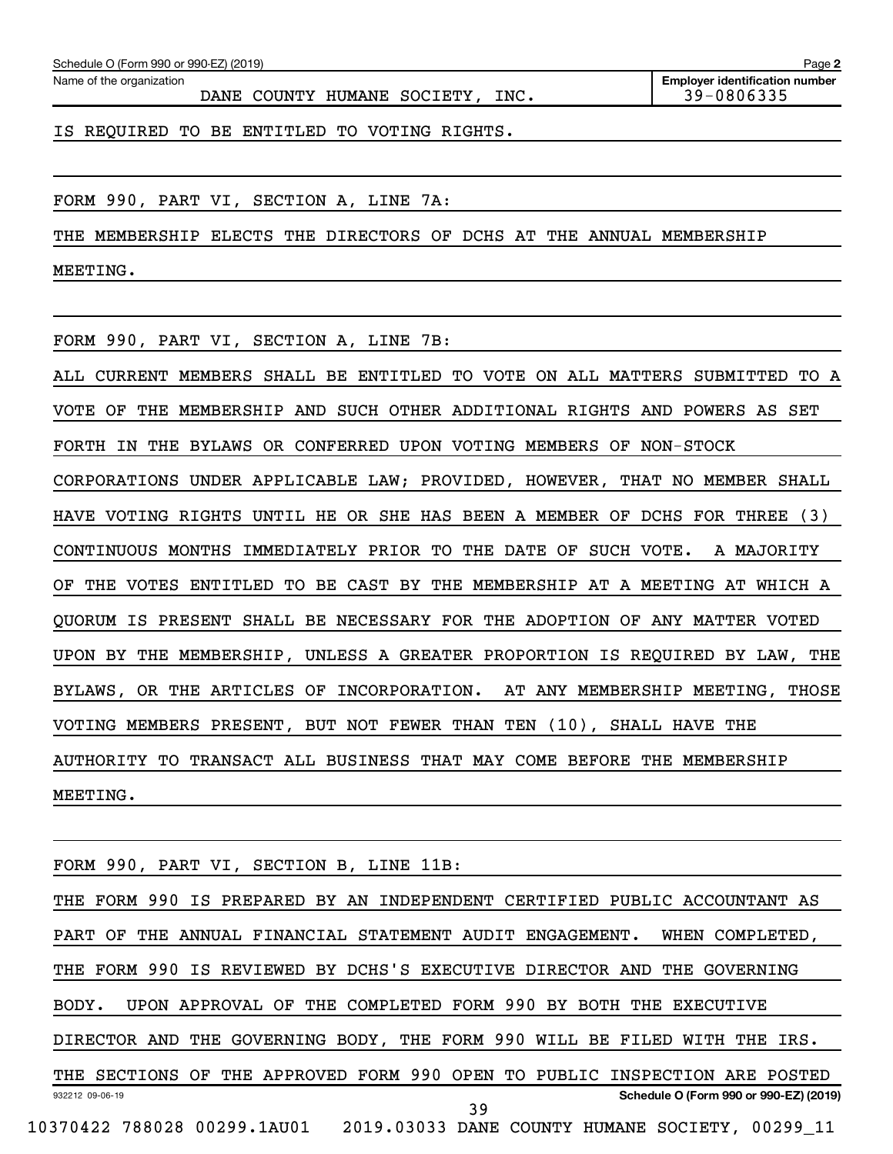| Schedule O (Form 990 or 990-EZ) (2019) |  | Page |
|----------------------------------------|--|------|
|                                        |  |      |

Name of the organization

DANE COUNTY HUMANE SOCIETY, INC. 49-0806335

IS REQUIRED TO BE ENTITLED TO VOTING RIGHTS.

FORM 990, PART VI, SECTION A, LINE 7A:

THE MEMBERSHIP ELECTS THE DIRECTORS OF DCHS AT THE ANNUAL MEMBERSHIP

MEETING.

FORM 990, PART VI, SECTION A, LINE 7B:

ALL CURRENT MEMBERS SHALL BE ENTITLED TO VOTE ON ALL MATTERS SUBMITTED TO A VOTE OF THE MEMBERSHIP AND SUCH OTHER ADDITIONAL RIGHTS AND POWERS AS SET FORTH IN THE BYLAWS OR CONFERRED UPON VOTING MEMBERS OF NON-STOCK CORPORATIONS UNDER APPLICABLE LAW; PROVIDED, HOWEVER, THAT NO MEMBER SHALL HAVE VOTING RIGHTS UNTIL HE OR SHE HAS BEEN A MEMBER OF DCHS FOR THREE (3) CONTINUOUS MONTHS IMMEDIATELY PRIOR TO THE DATE OF SUCH VOTE. A MAJORITY OF THE VOTES ENTITLED TO BE CAST BY THE MEMBERSHIP AT A MEETING AT WHICH A QUORUM IS PRESENT SHALL BE NECESSARY FOR THE ADOPTION OF ANY MATTER VOTED UPON BY THE MEMBERSHIP, UNLESS A GREATER PROPORTION IS REQUIRED BY LAW, THE BYLAWS, OR THE ARTICLES OF INCORPORATION. AT ANY MEMBERSHIP MEETING, THOSE VOTING MEMBERS PRESENT, BUT NOT FEWER THAN TEN (10), SHALL HAVE THE AUTHORITY TO TRANSACT ALL BUSINESS THAT MAY COME BEFORE THE MEMBERSHIP MEETING.

FORM 990, PART VI, SECTION B, LINE 11B:

932212 09-06-19 **Schedule O (Form 990 or 990-EZ) (2019)** THE FORM 990 IS PREPARED BY AN INDEPENDENT CERTIFIED PUBLIC ACCOUNTANT AS PART OF THE ANNUAL FINANCIAL STATEMENT AUDIT ENGAGEMENT. WHEN COMPLETED, THE FORM 990 IS REVIEWED BY DCHS'S EXECUTIVE DIRECTOR AND THE GOVERNING BODY. UPON APPROVAL OF THE COMPLETED FORM 990 BY BOTH THE EXECUTIVE DIRECTOR AND THE GOVERNING BODY, THE FORM 990 WILL BE FILED WITH THE IRS. THE SECTIONS OF THE APPROVED FORM 990 OPEN TO PUBLIC INSPECTION ARE POSTED 10370422 788028 00299.1AU01 2019.03033 DANE COUNTY HUMANE SOCIETY, 00299\_11 39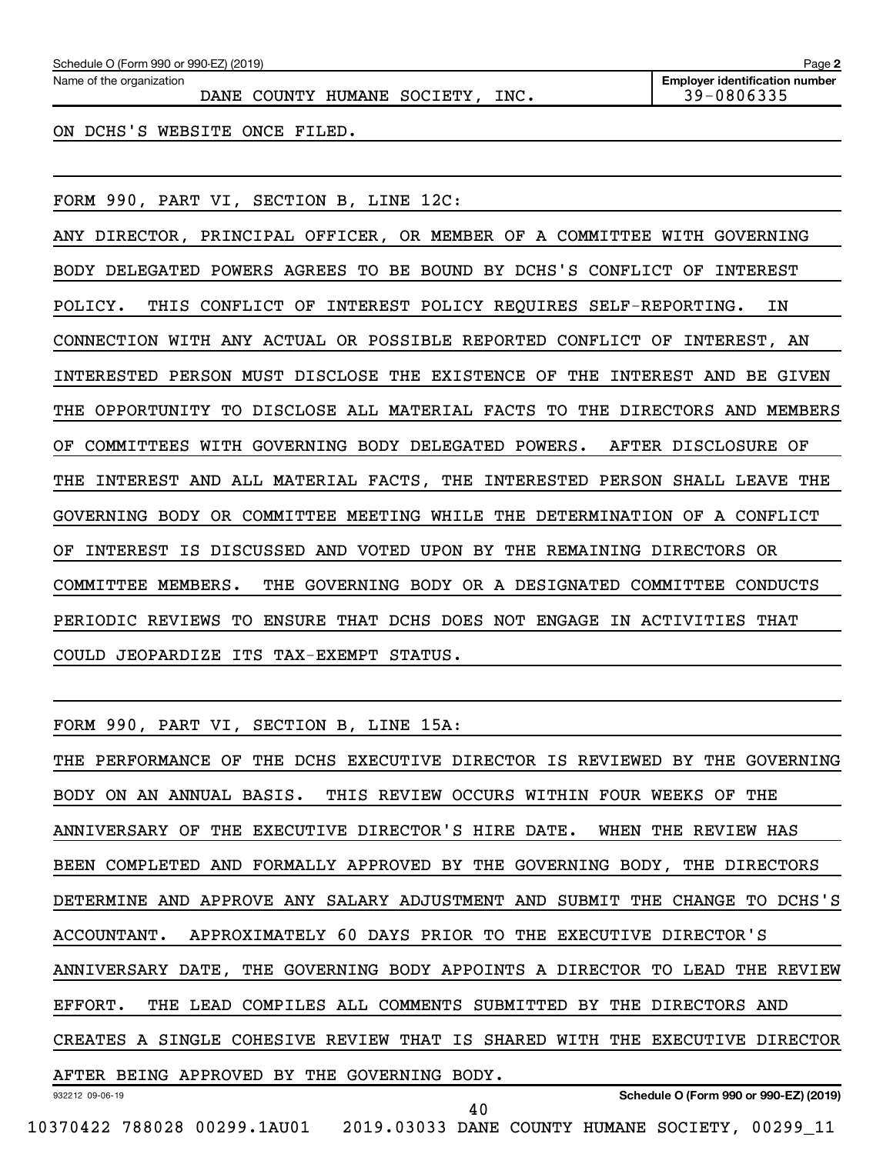| Schedule O (Form 990 or 990-EZ) (2019)                       | Page 2                                              |
|--------------------------------------------------------------|-----------------------------------------------------|
| Name of the organization<br>DANE COUNTY HUMANE SOCIETY, INC. | <b>Employer identification number</b><br>39-0806335 |
| ON DCHS'S WEBSITE ONCE FILED.                                |                                                     |

FORM 990, PART VI, SECTION B, LINE 12C:

ANY DIRECTOR, PRINCIPAL OFFICER, OR MEMBER OF A COMMITTEE WITH GOVERNING BODY DELEGATED POWERS AGREES TO BE BOUND BY DCHS'S CONFLICT OF INTEREST POLICY. THIS CONFLICT OF INTEREST POLICY REQUIRES SELF-REPORTING. IN CONNECTION WITH ANY ACTUAL OR POSSIBLE REPORTED CONFLICT OF INTEREST, AN INTERESTED PERSON MUST DISCLOSE THE EXISTENCE OF THE INTEREST AND BE GIVEN THE OPPORTUNITY TO DISCLOSE ALL MATERIAL FACTS TO THE DIRECTORS AND MEMBERS OF COMMITTEES WITH GOVERNING BODY DELEGATED POWERS. AFTER DISCLOSURE OF THE INTEREST AND ALL MATERIAL FACTS, THE INTERESTED PERSON SHALL LEAVE THE GOVERNING BODY OR COMMITTEE MEETING WHILE THE DETERMINATION OF A CONFLICT OF INTEREST IS DISCUSSED AND VOTED UPON BY THE REMAINING DIRECTORS OR COMMITTEE MEMBERS. THE GOVERNING BODY OR A DESIGNATED COMMITTEE CONDUCTS PERIODIC REVIEWS TO ENSURE THAT DCHS DOES NOT ENGAGE IN ACTIVITIES THAT COULD JEOPARDIZE ITS TAX-EXEMPT STATUS.

FORM 990, PART VI, SECTION B, LINE 15A:

932212 09-06-19 **Schedule O (Form 990 or 990-EZ) (2019)** THE PERFORMANCE OF THE DCHS EXECUTIVE DIRECTOR IS REVIEWED BY THE GOVERNING BODY ON AN ANNUAL BASIS. THIS REVIEW OCCURS WITHIN FOUR WEEKS OF THE ANNIVERSARY OF THE EXECUTIVE DIRECTOR'S HIRE DATE. WHEN THE REVIEW HAS BEEN COMPLETED AND FORMALLY APPROVED BY THE GOVERNING BODY, THE DIRECTORS DETERMINE AND APPROVE ANY SALARY ADJUSTMENT AND SUBMIT THE CHANGE TO DCHS'S ACCOUNTANT. APPROXIMATELY 60 DAYS PRIOR TO THE EXECUTIVE DIRECTOR'S ANNIVERSARY DATE, THE GOVERNING BODY APPOINTS A DIRECTOR TO LEAD THE REVIEW EFFORT. THE LEAD COMPILES ALL COMMENTS SUBMITTED BY THE DIRECTORS AND CREATES A SINGLE COHESIVE REVIEW THAT IS SHARED WITH THE EXECUTIVE DIRECTOR AFTER BEING APPROVED BY THE GOVERNING BODY. 40